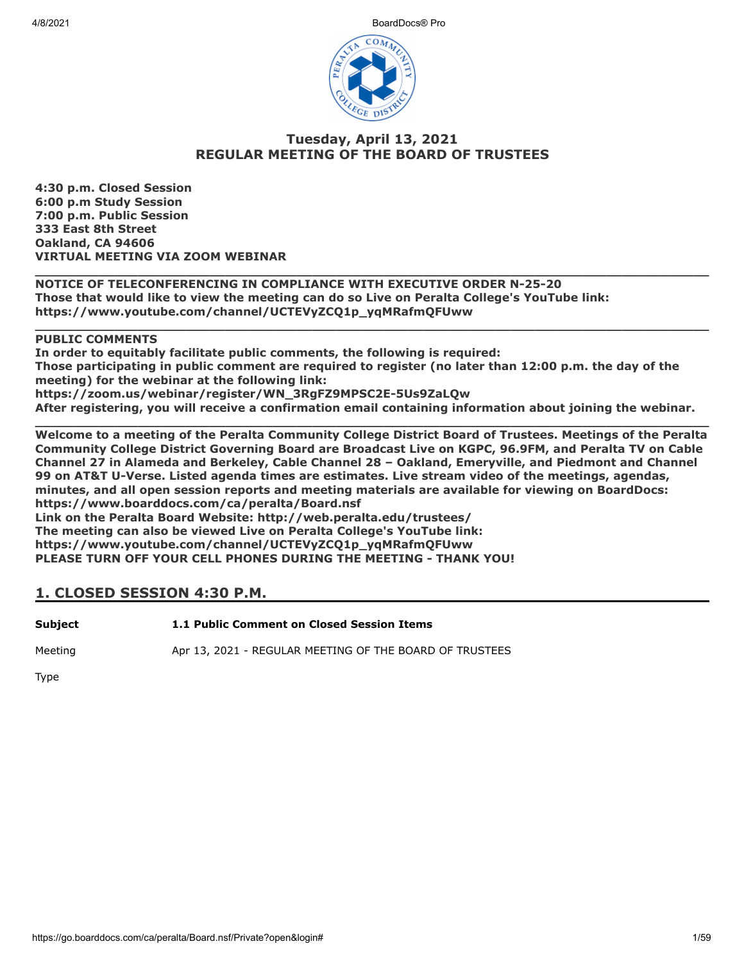4/8/2021 BoardDocs® Pro



## **Tuesday, April 13, 2021 REGULAR MEETING OF THE BOARD OF TRUSTEES**

**\_\_\_\_\_\_\_\_\_\_\_\_\_\_\_\_\_\_\_\_\_\_\_\_\_\_\_\_\_\_\_\_\_\_\_\_\_\_\_\_\_\_\_\_\_\_\_\_\_\_\_\_\_\_\_\_\_\_\_\_\_\_\_\_\_\_\_\_\_\_\_\_\_\_\_\_\_\_\_\_\_\_\_\_\_**

**\_\_\_\_\_\_\_\_\_\_\_\_\_\_\_\_\_\_\_\_\_\_\_\_\_\_\_\_\_\_\_\_\_\_\_\_\_\_\_\_\_\_\_\_\_\_\_\_\_\_\_\_\_\_\_\_\_\_\_\_\_\_\_\_\_\_\_\_\_\_\_\_\_\_\_\_\_\_\_\_\_\_\_\_\_**

**4:30 p.m. Closed Session 6:00 p.m Study Session 7:00 p.m. Public Session 333 East 8th Street Oakland, CA 94606 VIRTUAL MEETING VIA ZOOM WEBINAR**

**NOTICE OF TELECONFERENCING IN COMPLIANCE WITH EXECUTIVE ORDER N-25-20 Those that would like to view the meeting can do so Live on Peralta College's YouTube link: https://www.youtube.com/channel/UCTEVyZCQ1p\_yqMRafmQFUww**

## **PUBLIC COMMENTS**

**In order to equitably facilitate public comments, the following is required: Those participating in public comment are required to register (no later than 12:00 p.m. the day of the meeting) for the webinar at the following link: https://zoom.us/webinar/register/WN\_3RgFZ9MPSC2E-5Us9ZaLQw After registering, you will receive a confirmation email containing information about joining the webinar.**

**\_\_\_\_\_\_\_\_\_\_\_\_\_\_\_\_\_\_\_\_\_\_\_\_\_\_\_\_\_\_\_\_\_\_\_\_\_\_\_\_\_\_\_\_\_\_\_\_\_\_\_\_\_\_\_\_\_\_\_\_\_\_\_\_\_\_\_\_\_\_\_\_\_\_\_\_\_\_\_\_\_\_\_\_\_ Welcome to a meeting of the Peralta Community College District Board of Trustees. Meetings of the Peralta Community College District Governing Board are Broadcast Live on KGPC, 96.9FM, and Peralta TV on Cable Channel 27 in Alameda and Berkeley, Cable Channel 28 – Oakland, Emeryville, and Piedmont and Channel 99 on AT&T U-Verse. Listed agenda times are estimates. Live stream video of the meetings, agendas, minutes, and all open session reports and meeting materials are available for viewing on BoardDocs: https://www.boarddocs.com/ca/peralta/Board.nsf Link on the Peralta Board Website: http://web.peralta.edu/trustees/ The meeting can also be viewed Live on Peralta College's YouTube link: https://www.youtube.com/channel/UCTEVyZCQ1p\_yqMRafmQFUww PLEASE TURN OFF YOUR CELL PHONES DURING THE MEETING - THANK YOU!**

## **1. CLOSED SESSION 4:30 P.M.**

**Subject 1.1 Public Comment on Closed Session Items**

Meeting **Apr 13, 2021 - REGULAR MEETING OF THE BOARD OF TRUSTEES** 

Type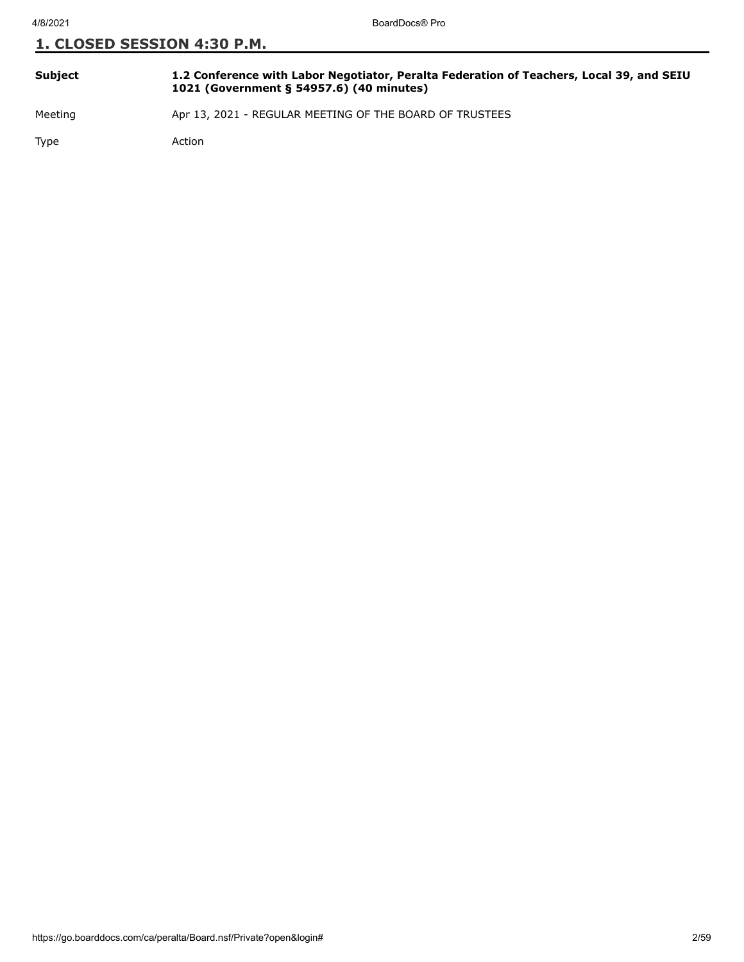| <b>Subject</b> | 1.2 Conference with Labor Negotiator, Peralta Federation of Teachers, Local 39, and SEIU<br>1021 (Government § 54957.6) (40 minutes) |
|----------------|--------------------------------------------------------------------------------------------------------------------------------------|
| $M = -11.7$    | $\lambda = 10$ $2021$ $\lambda = 0.001$ $\lambda = 0.001$ $\lambda = 0.001$ $\lambda = 0.001$ $\lambda = 0.001$ $\lambda = 0.001$    |

Meeting **Apr 13, 2021 - REGULAR MEETING OF THE BOARD OF TRUSTEES** 

Type Action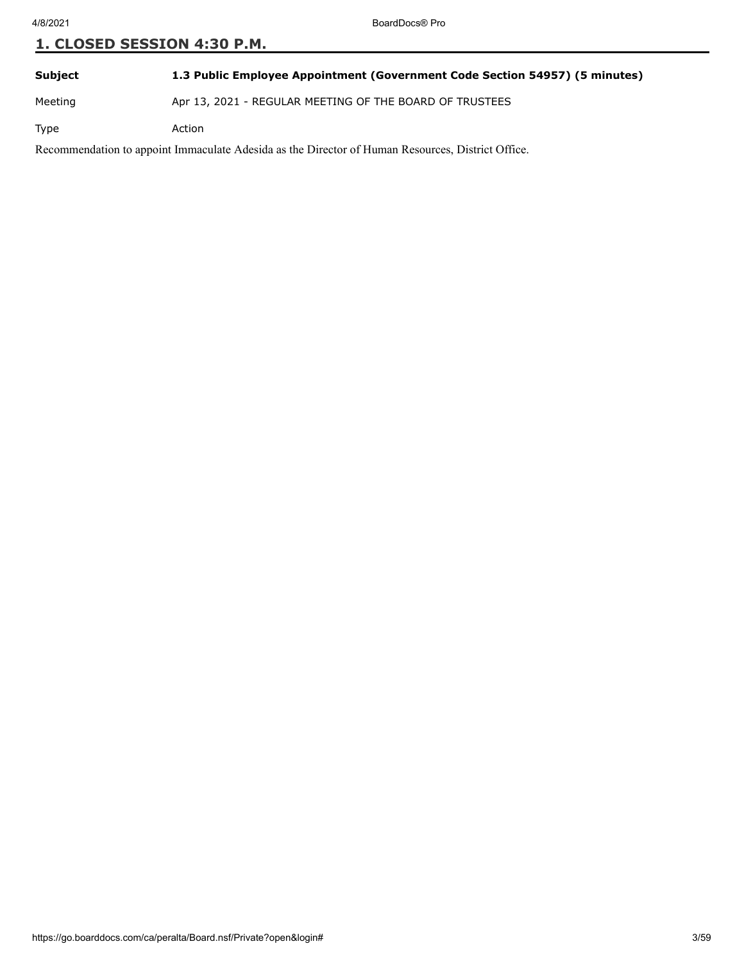**Subject 1.3 Public Employee Appointment (Government Code Section 54957) (5 minutes)**

Meeting Apr 13, 2021 - REGULAR MEETING OF THE BOARD OF TRUSTEES

Type Action

Recommendation to appoint Immaculate Adesida as the Director of Human Resources, District Office.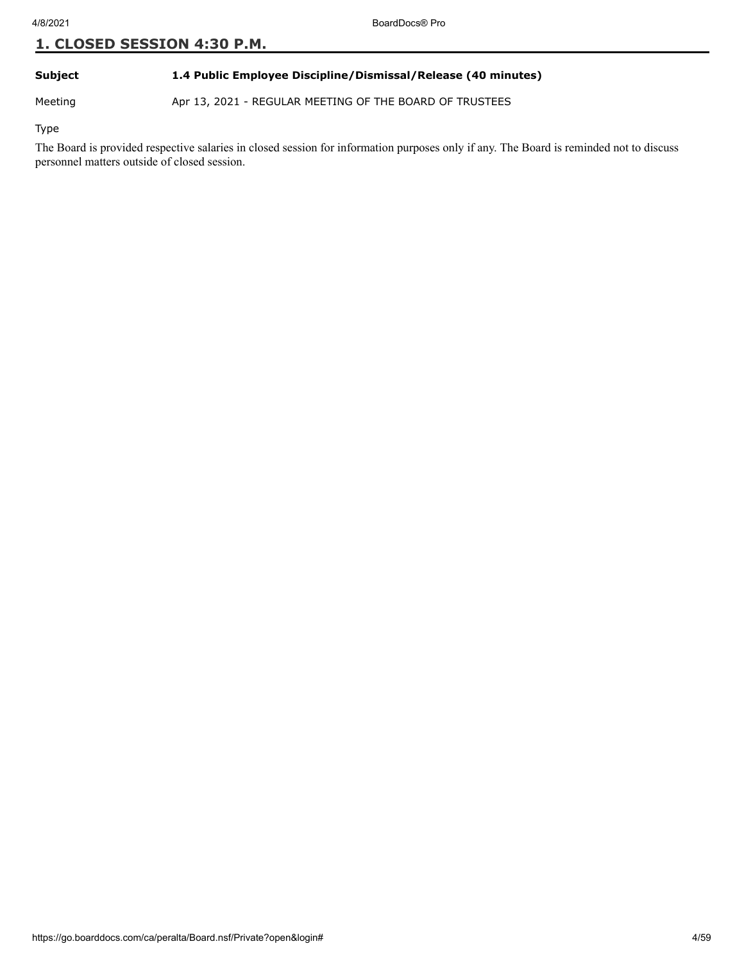#### **Subject 1.4 Public Employee Discipline/Dismissal/Release (40 minutes)**

Meeting Apr 13, 2021 - REGULAR MEETING OF THE BOARD OF TRUSTEES

Type

The Board is provided respective salaries in closed session for information purposes only if any. The Board is reminded not to discuss personnel matters outside of closed session.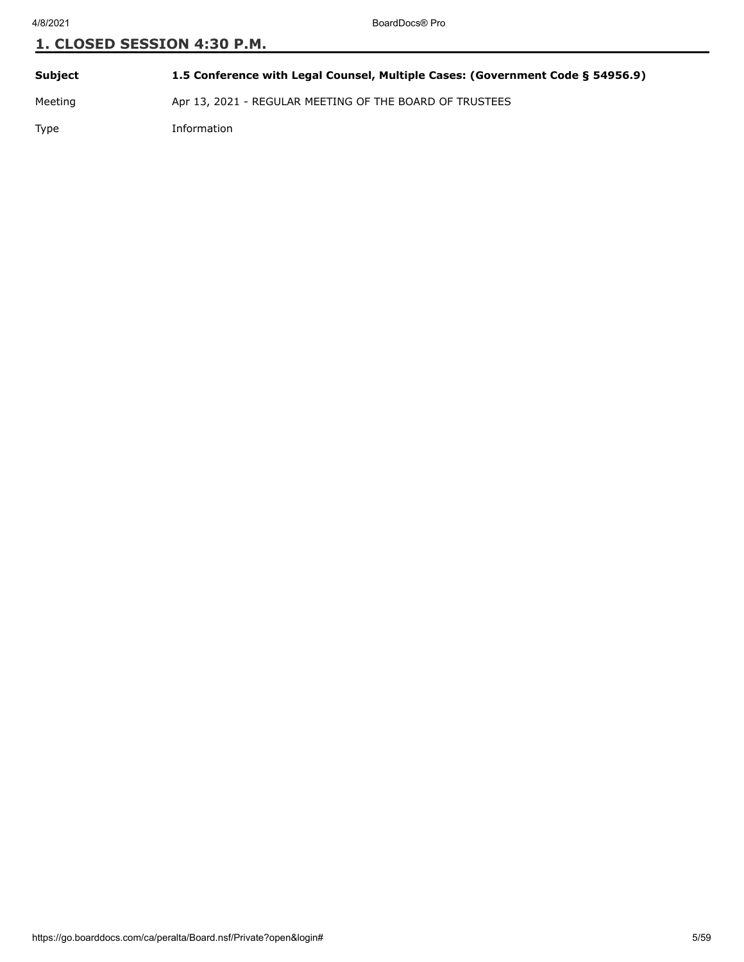**Subject 1.5 Conference with Legal Counsel, Multiple Cases: (Government Code § 54956.9)** Meeting Apr 13, 2021 - REGULAR MEETING OF THE BOARD OF TRUSTEES Type Information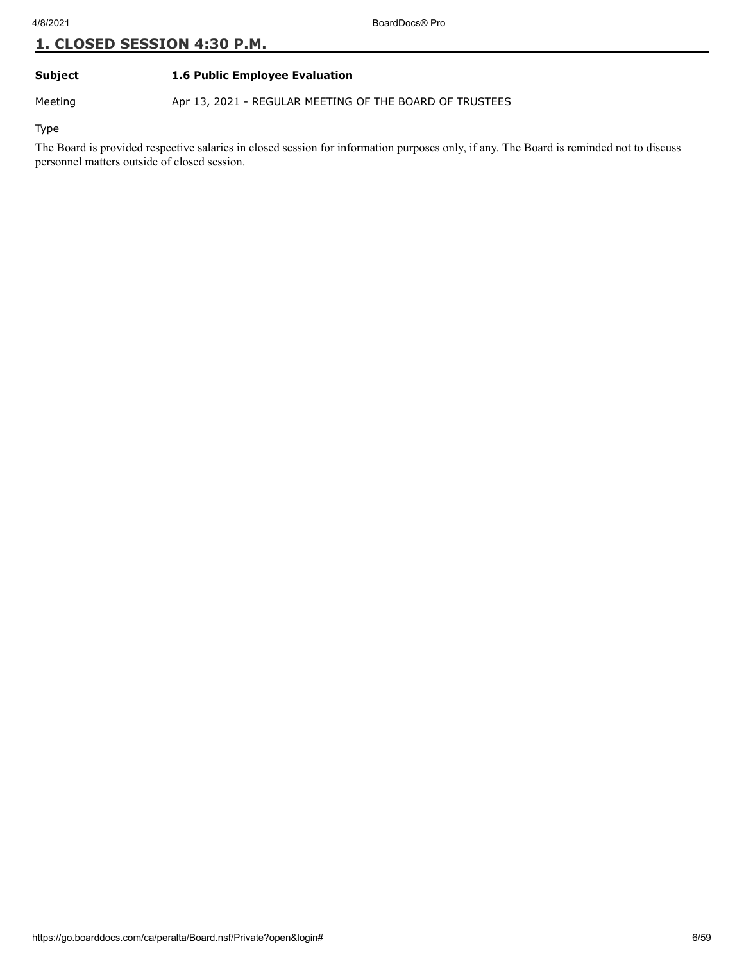#### **Subject 1.6 Public Employee Evaluation**

Meeting Apr 13, 2021 - REGULAR MEETING OF THE BOARD OF TRUSTEES

Type

The Board is provided respective salaries in closed session for information purposes only, if any. The Board is reminded not to discuss personnel matters outside of closed session.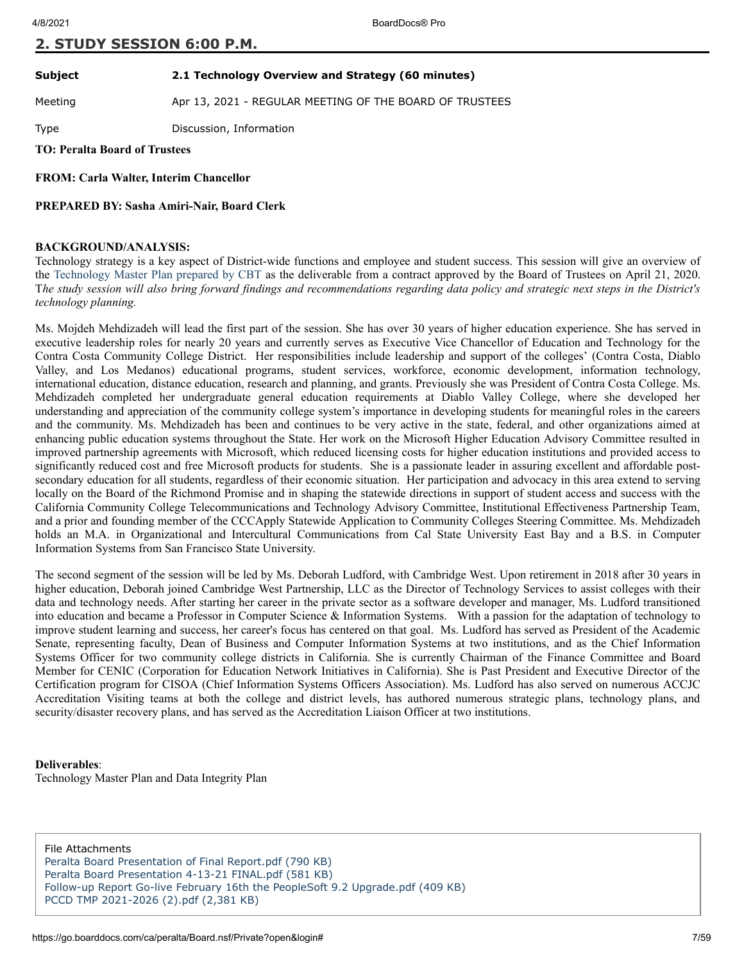#### **2. STUDY SESSION 6:00 P.M.**

#### **Subject 2.1 Technology Overview and Strategy (60 minutes)**

Meeting **Apr 13, 2021 - REGULAR MEETING OF THE BOARD OF TRUSTEES** 

Type Discussion, Information

**TO: Peralta Board of Trustees**

**FROM: Carla Walter, Interim Chancellor**

**PREPARED BY: Sasha Amiri-Nair, Board Clerk** 

#### **BACKGROUND/ANALYSIS:**

Technology strategy is a key aspect of District-wide functions and employee and student success. This session will give an overview of the [Technology Master Plan prepared by CBT](http://go.boarddocs.com/ca/peralta/Board.nsf/goto?open&id=BNNQ8467E119) as the deliverable from a contract approved by the Board of Trustees on April 21, 2020. T*he study session will also bring forward findings and recommendations regarding data policy and strategic next steps in the District's technology planning.*

Ms. Mojdeh Mehdizadeh will lead the first part of the session. She has over 30 years of higher education experience. She has served in executive leadership roles for nearly 20 years and currently serves as Executive Vice Chancellor of Education and Technology for the Contra Costa Community College District. Her responsibilities include leadership and support of the colleges' (Contra Costa, Diablo Valley, and Los Medanos) educational programs, student services, workforce, economic development, information technology, international education, distance education, research and planning, and grants. Previously she was President of Contra Costa College. Ms. Mehdizadeh completed her undergraduate general education requirements at Diablo Valley College, where she developed her understanding and appreciation of the community college system's importance in developing students for meaningful roles in the careers and the community. Ms. Mehdizadeh has been and continues to be very active in the state, federal, and other organizations aimed at enhancing public education systems throughout the State. Her work on the Microsoft Higher Education Advisory Committee resulted in improved partnership agreements with Microsoft, which reduced licensing costs for higher education institutions and provided access to significantly reduced cost and free Microsoft products for students. She is a passionate leader in assuring excellent and affordable postsecondary education for all students, regardless of their economic situation. Her participation and advocacy in this area extend to serving locally on the Board of the Richmond Promise and in shaping the statewide directions in support of student access and success with the California Community College Telecommunications and Technology Advisory Committee, Institutional Effectiveness Partnership Team, and a prior and founding member of the CCCApply Statewide Application to Community Colleges Steering Committee. Ms. Mehdizadeh holds an M.A. in Organizational and Intercultural Communications from Cal State University East Bay and a B.S. in Computer Information Systems from San Francisco State University.

The second segment of the session will be led by Ms. Deborah Ludford, with Cambridge West. Upon retirement in 2018 after 30 years in higher education, Deborah joined Cambridge West Partnership, LLC as the Director of Technology Services to assist colleges with their data and technology needs. After starting her career in the private sector as a software developer and manager, Ms. Ludford transitioned into education and became a Professor in Computer Science & Information Systems. With a passion for the adaptation of technology to improve student learning and success, her career's focus has centered on that goal. Ms. Ludford has served as President of the Academic Senate, representing faculty, Dean of Business and Computer Information Systems at two institutions, and as the Chief Information Systems Officer for two community college districts in California. She is currently Chairman of the Finance Committee and Board Member for CENIC (Corporation for Education Network Initiatives in California). She is Past President and Executive Director of the Certification program for CISOA (Chief Information Systems Officers Association). Ms. Ludford has also served on numerous ACCJC Accreditation Visiting teams at both the college and district levels, has authored numerous strategic plans, technology plans, and security/disaster recovery plans, and has served as the Accreditation Liaison Officer at two institutions.

#### **Deliverables**:

Technology Master Plan and Data Integrity Plan

File Attachments [Peralta Board Presentation of Final Report.pdf \(790 KB\)](https://go.boarddocs.com/ca/peralta/Board.nsf/files/BZLLLH571452/$file/Peralta%20Board%20Presentation%20of%20Final%20Report.pdf) [Peralta Board Presentation 4-13-21 FINAL.pdf \(581 KB\)](https://go.boarddocs.com/ca/peralta/Board.nsf/files/BZMUAF58763C/$file/Peralta%20Board%20Presentation%204-13-21%20FINAL.pdf) [Follow-up Report Go-live February 16th the PeopleSoft 9.2 Upgrade.pdf \(409 KB\)](https://go.boarddocs.com/ca/peralta/Board.nsf/files/BZU28800E76A/$file/Follow-up%20Report%20Go-live%20February%2016th%20the%20PeopleSoft%209.2%20Upgrade.pdf) [PCCD TMP 2021-2026 \(2\).pdf \(2,381 KB\)](https://go.boarddocs.com/ca/peralta/Board.nsf/files/BZVNKV605BF8/$file/PCCD%20TMP%202021-2026%20(2).pdf)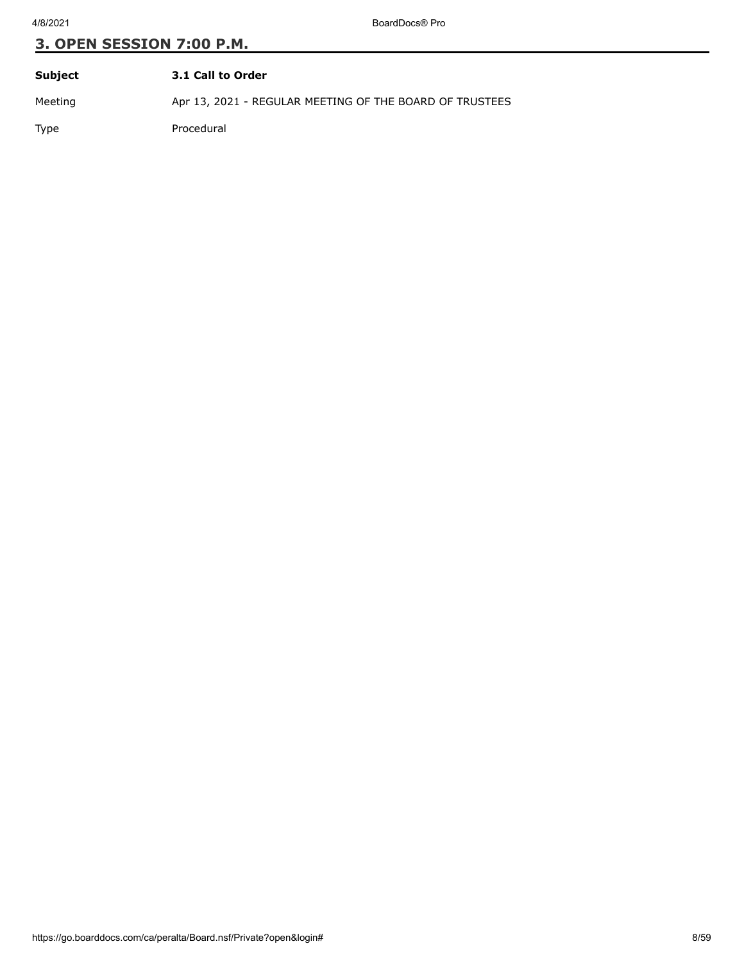4/8/2021 BoardDocs® Pro

| Subject | 3.1 Call to Order                                       |
|---------|---------------------------------------------------------|
| Meeting | Apr 13, 2021 - REGULAR MEETING OF THE BOARD OF TRUSTEES |
| Type    | Procedural                                              |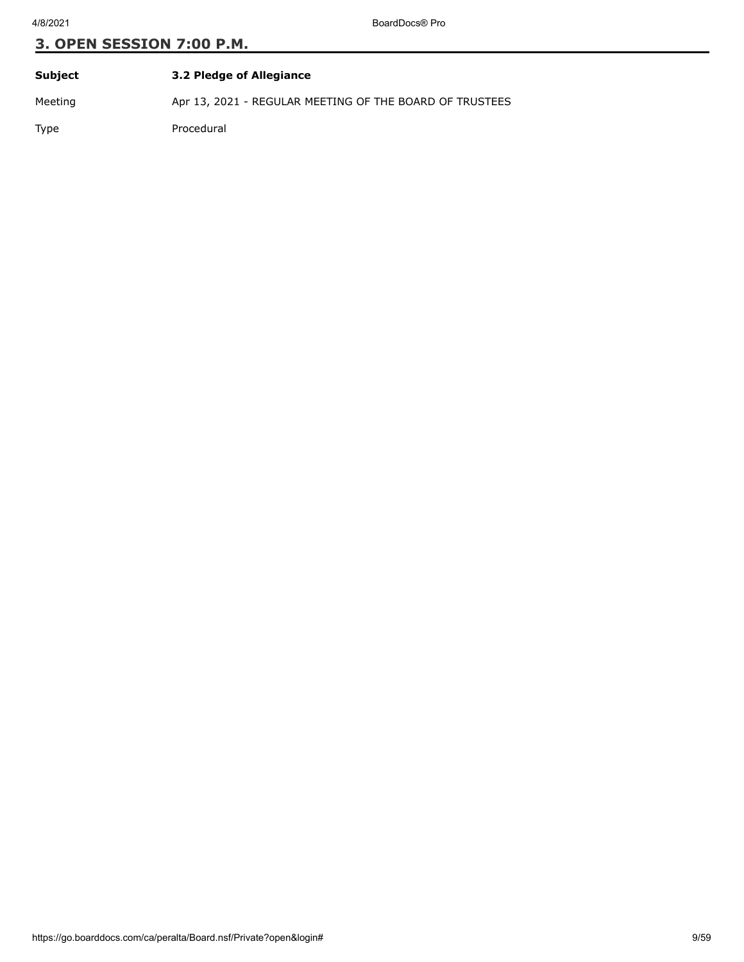| Subject | 3.2 Pledge of Allegiance                                |
|---------|---------------------------------------------------------|
| Meeting | Apr 13, 2021 - REGULAR MEETING OF THE BOARD OF TRUSTEES |
| Type    | Procedural                                              |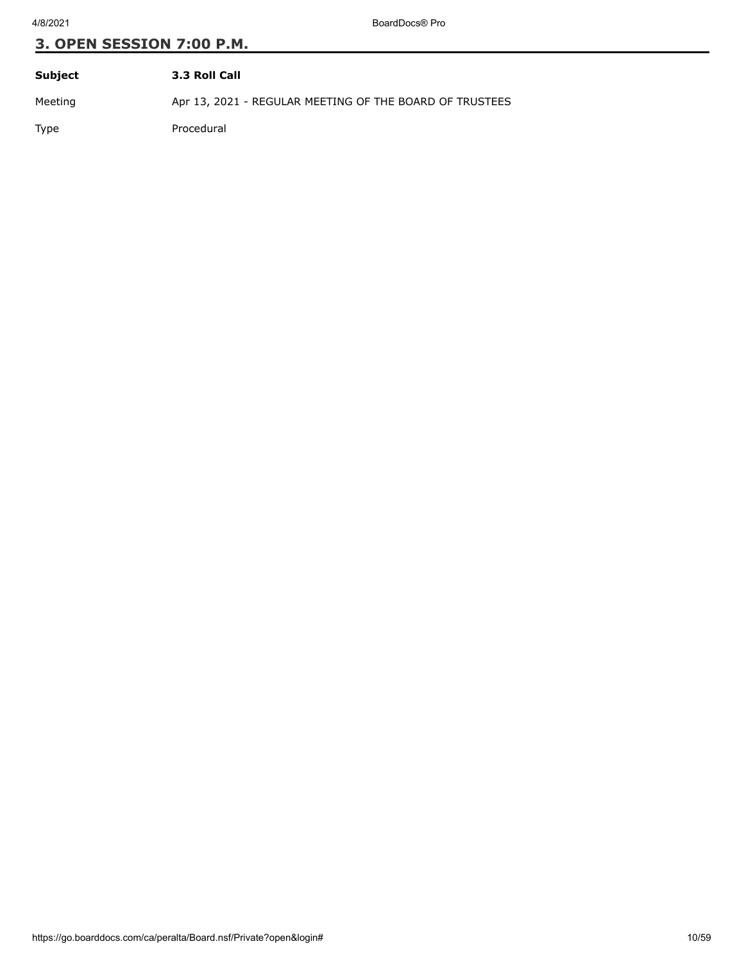4/8/2021 BoardDocs® Pro

| Subject | 3.3 Roll Call                                           |
|---------|---------------------------------------------------------|
| Meeting | Apr 13, 2021 - REGULAR MEETING OF THE BOARD OF TRUSTEES |
| Type    | Procedural                                              |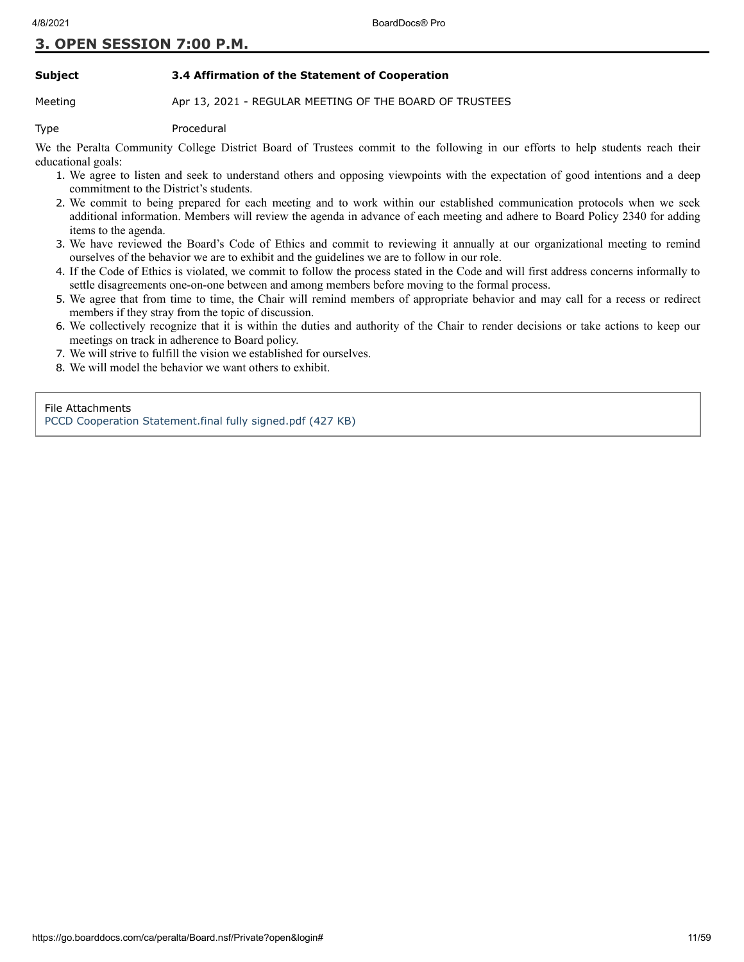#### **Subject 3.4 Affirmation of the Statement of Cooperation**

#### Meeting **Apr 13, 2021 - REGULAR MEETING OF THE BOARD OF TRUSTEES**

Type Procedural

We the Peralta Community College District Board of Trustees commit to the following in our efforts to help students reach their educational goals:

- 1. We agree to listen and seek to understand others and opposing viewpoints with the expectation of good intentions and a deep commitment to the District's students.
- 2. We commit to being prepared for each meeting and to work within our established communication protocols when we seek additional information. Members will review the agenda in advance of each meeting and adhere to Board Policy 2340 for adding items to the agenda.
- 3. We have reviewed the Board's Code of Ethics and commit to reviewing it annually at our organizational meeting to remind ourselves of the behavior we are to exhibit and the guidelines we are to follow in our role.
- 4. If the Code of Ethics is violated, we commit to follow the process stated in the Code and will first address concerns informally to settle disagreements one-on-one between and among members before moving to the formal process.
- 5. We agree that from time to time, the Chair will remind members of appropriate behavior and may call for a recess or redirect members if they stray from the topic of discussion.
- 6. We collectively recognize that it is within the duties and authority of the Chair to render decisions or take actions to keep our meetings on track in adherence to Board policy.
- 7. We will strive to fulfill the vision we established for ourselves.
- 8. We will model the behavior we want others to exhibit.

File Attachments

[PCCD Cooperation Statement.final fully signed.pdf \(427 KB\)](https://go.boarddocs.com/ca/peralta/Board.nsf/files/BZEMFG5B06F2/$file/PCCD%20Cooperation%20Statement.final%20fully%20signed.pdf)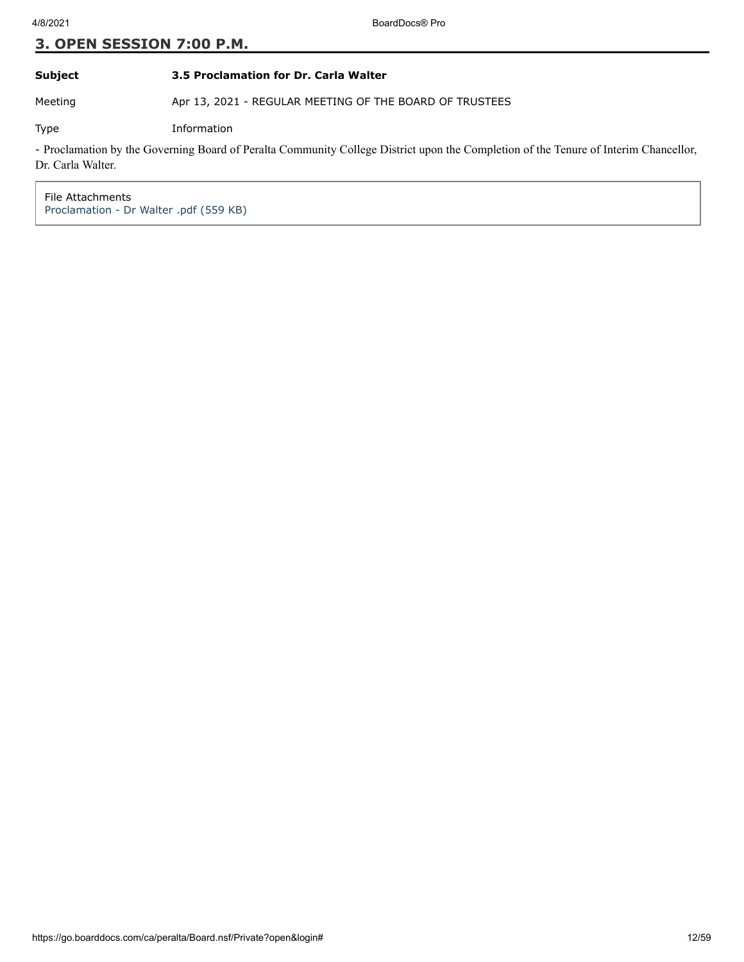#### **Subject 3.5 Proclamation for Dr. Carla Walter**

Meeting Apr 13, 2021 - REGULAR MEETING OF THE BOARD OF TRUSTEES

Type Information

- Proclamation by the Governing Board of Peralta Community College District upon the Completion of the Tenure of Interim Chancellor, Dr. Carla Walter.

File Attachments [Proclamation - Dr Walter .pdf \(559 KB\)](https://go.boarddocs.com/ca/peralta/Board.nsf/files/BZVSR5730BED/$file/Proclamation%20-%20Dr%20Walter%20.pdf)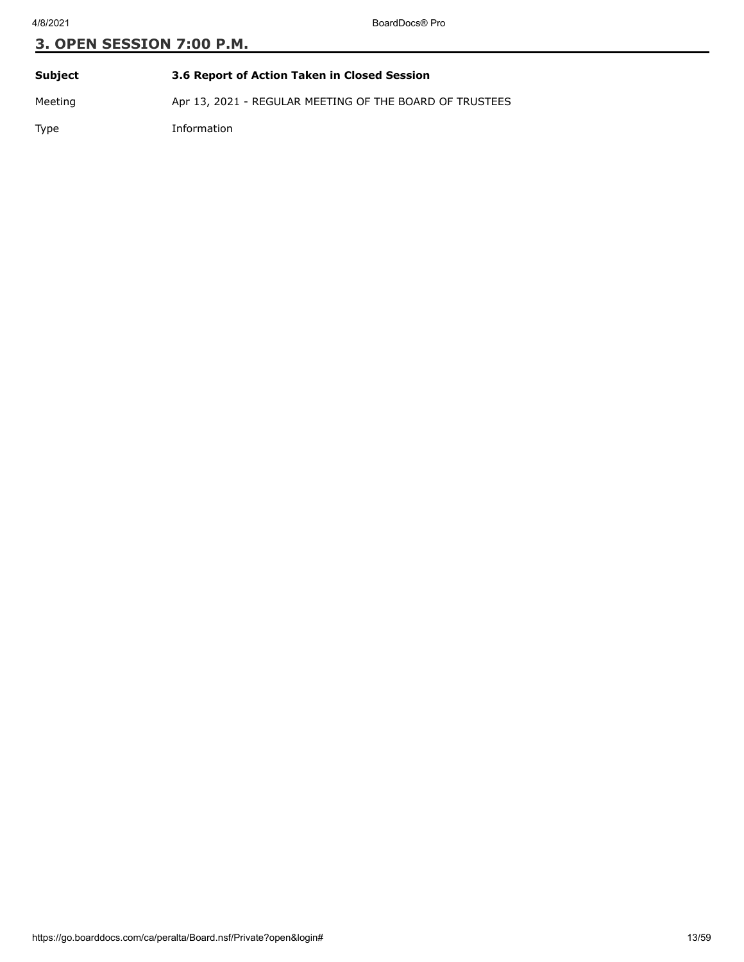| Subject     | 3.6 Report of Action Taken in Closed Session            |
|-------------|---------------------------------------------------------|
| Meeting     | Apr 13, 2021 - REGULAR MEETING OF THE BOARD OF TRUSTEES |
| <b>Type</b> | Information                                             |

https://go.boarddocs.com/ca/peralta/Board.nsf/Private?open&login# 13/59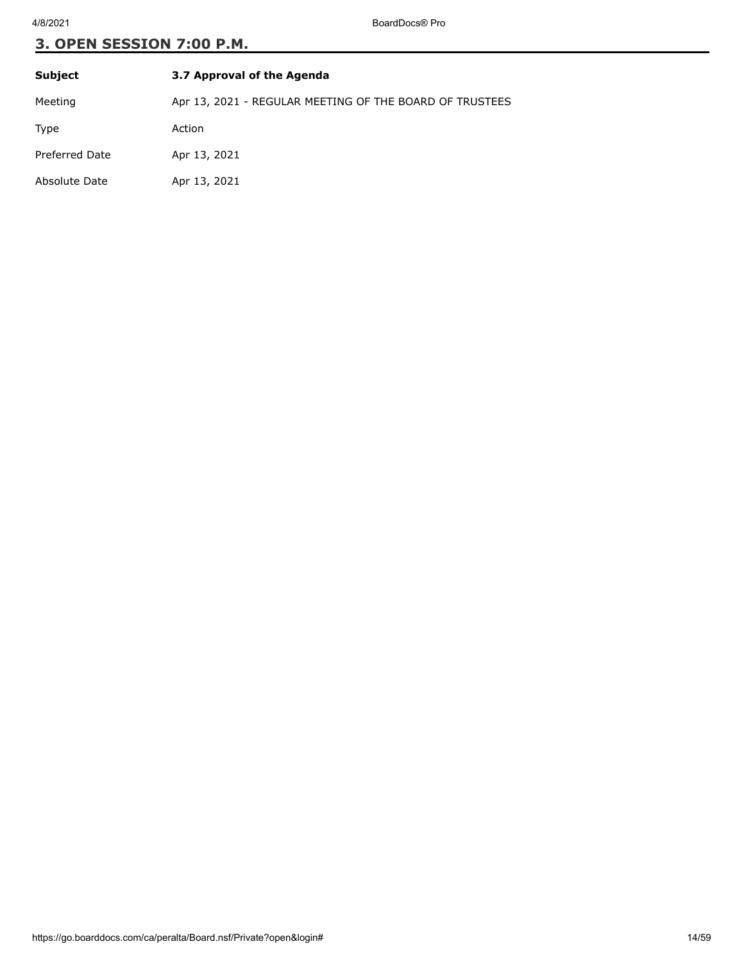| <b>Subject</b>        | 3.7 Approval of the Agenda                              |
|-----------------------|---------------------------------------------------------|
| Meeting               | Apr 13, 2021 - REGULAR MEETING OF THE BOARD OF TRUSTEES |
| Type                  | Action                                                  |
| <b>Preferred Date</b> | Apr 13, 2021                                            |
| Absolute Date         | Apr 13, 2021                                            |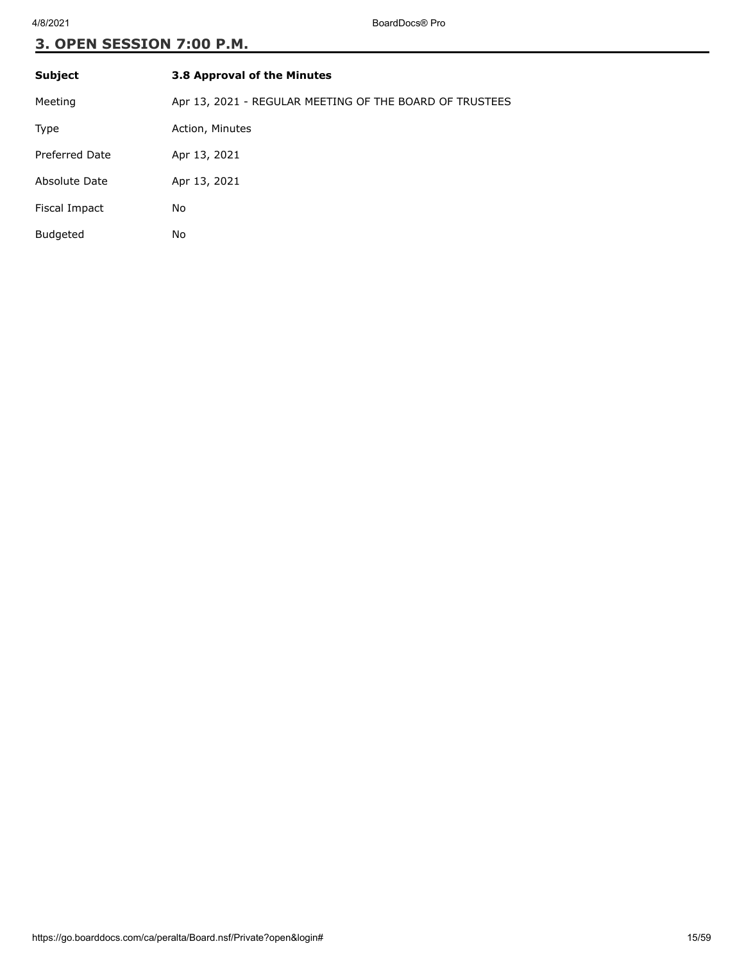| <b>Subject</b>  | 3.8 Approval of the Minutes                             |
|-----------------|---------------------------------------------------------|
| Meeting         | Apr 13, 2021 - REGULAR MEETING OF THE BOARD OF TRUSTEES |
| Type            | Action, Minutes                                         |
| Preferred Date  | Apr 13, 2021                                            |
| Absolute Date   | Apr 13, 2021                                            |
| Fiscal Impact   | No                                                      |
| <b>Budgeted</b> | No                                                      |
|                 |                                                         |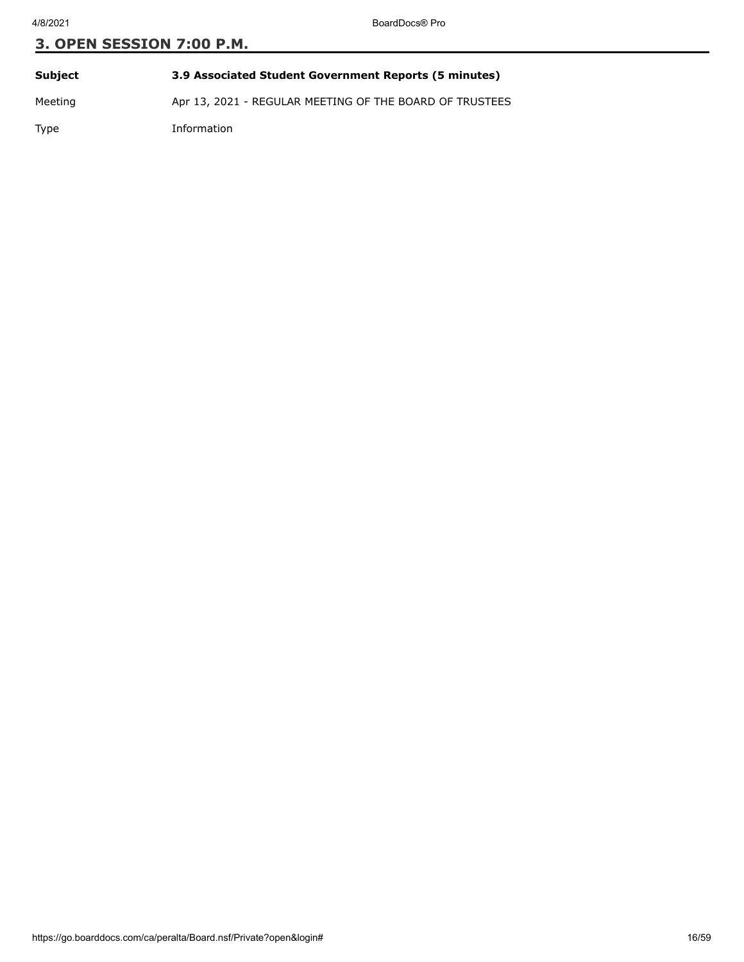| Subject | 3.9 Associated Student Government Reports (5 minutes)   |
|---------|---------------------------------------------------------|
| Meeting | Apr 13, 2021 - REGULAR MEETING OF THE BOARD OF TRUSTEES |
| Type    | Information                                             |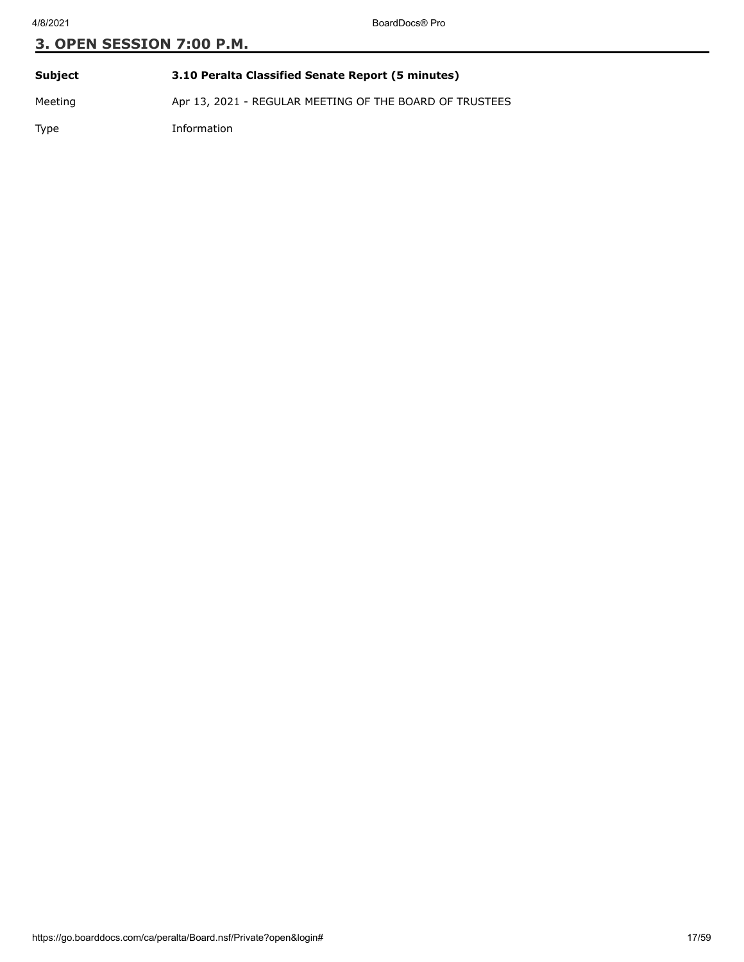| Subject     | 3.10 Peralta Classified Senate Report (5 minutes)       |
|-------------|---------------------------------------------------------|
| Meeting     | Apr 13, 2021 - REGULAR MEETING OF THE BOARD OF TRUSTEES |
| <b>Type</b> | Information                                             |

https://go.boarddocs.com/ca/peralta/Board.nsf/Private?open&login# 17/59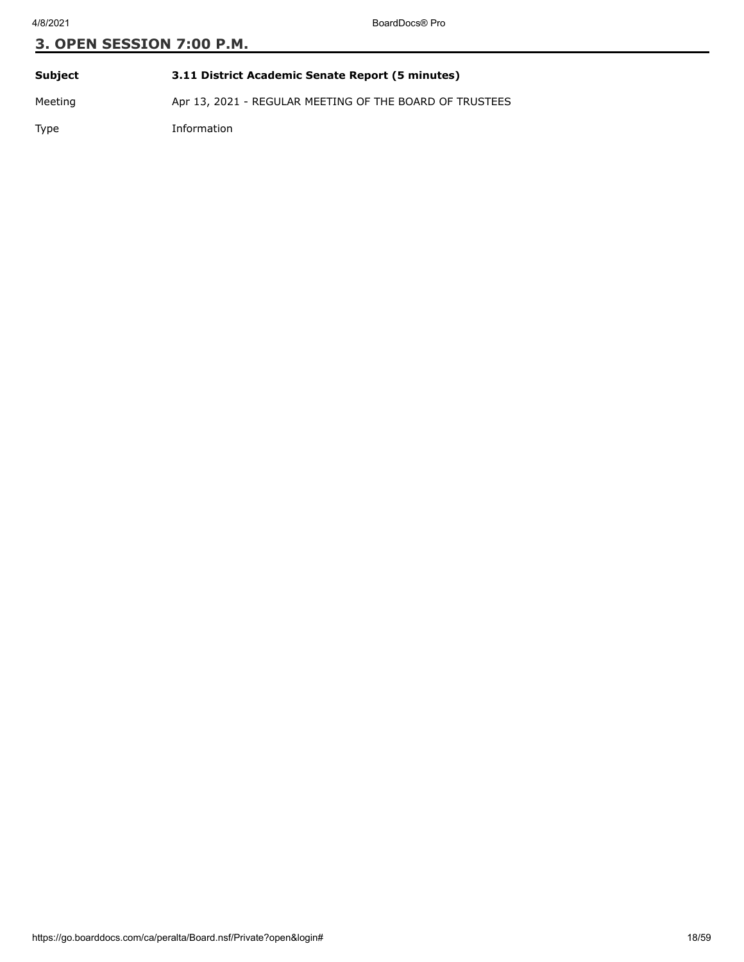| Subject     | 3.11 District Academic Senate Report (5 minutes)        |
|-------------|---------------------------------------------------------|
| Meeting     | Apr 13, 2021 - REGULAR MEETING OF THE BOARD OF TRUSTEES |
| <b>Type</b> | Information                                             |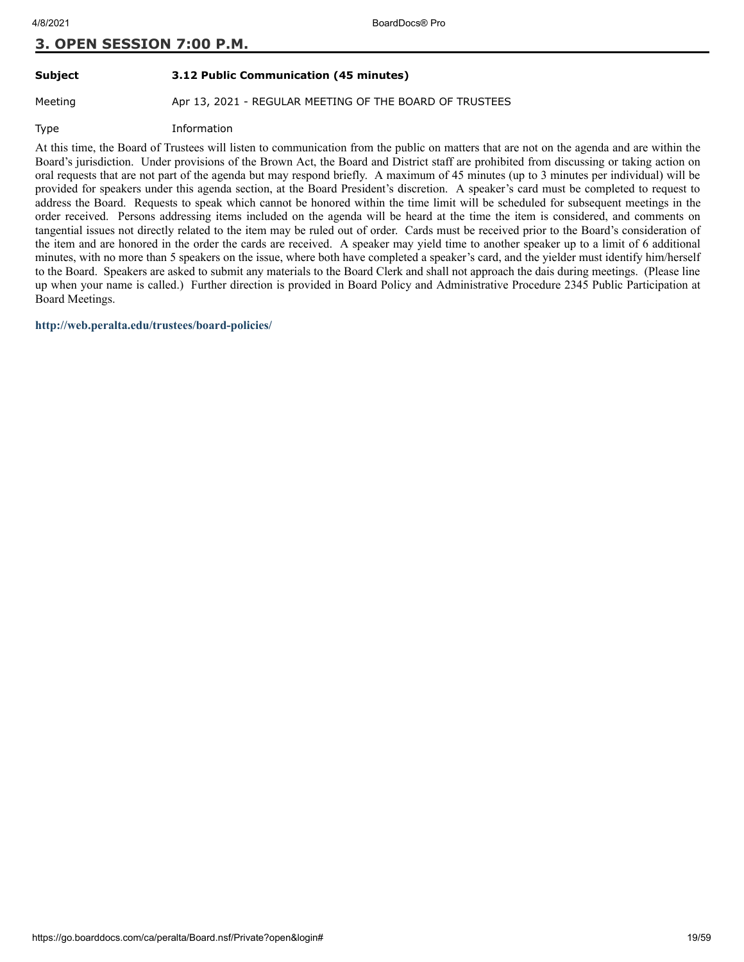#### **Subject 3.12 Public Communication (45 minutes)**

Meeting **Apr 13, 2021 - REGULAR MEETING OF THE BOARD OF TRUSTEES** 

Type Information

At this time, the Board of Trustees will listen to communication from the public on matters that are not on the agenda and are within the Board's jurisdiction. Under provisions of the Brown Act, the Board and District staff are prohibited from discussing or taking action on oral requests that are not part of the agenda but may respond briefly. A maximum of 45 minutes (up to 3 minutes per individual) will be provided for speakers under this agenda section, at the Board President's discretion. A speaker's card must be completed to request to address the Board. Requests to speak which cannot be honored within the time limit will be scheduled for subsequent meetings in the order received. Persons addressing items included on the agenda will be heard at the time the item is considered, and comments on tangential issues not directly related to the item may be ruled out of order. Cards must be received prior to the Board's consideration of the item and are honored in the order the cards are received. A speaker may yield time to another speaker up to a limit of 6 additional minutes, with no more than 5 speakers on the issue, where both have completed a speaker's card, and the yielder must identify him/herself to the Board. Speakers are asked to submit any materials to the Board Clerk and shall not approach the dais during meetings. (Please line up when your name is called.) Further direction is provided in Board Policy and Administrative Procedure 2345 Public Participation at Board Meetings.

**<http://web.peralta.edu/trustees/board-policies/>**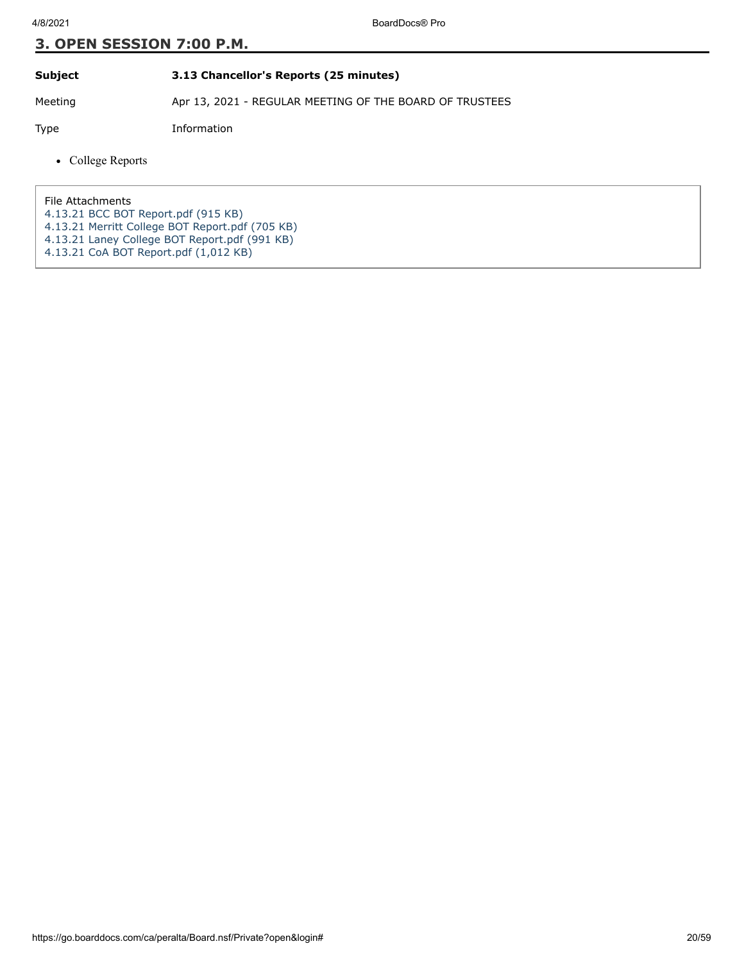#### **Subject 3.13 Chancellor's Reports (25 minutes)**

Meeting Apr 13, 2021 - REGULAR MEETING OF THE BOARD OF TRUSTEES

Type Information

• College Reports

File Attachments

- [4.13.21 BCC BOT Report.pdf \(915 KB\)](https://go.boarddocs.com/ca/peralta/Board.nsf/files/BZSH74470C5C/$file/4.13.21%20BCC%20BOT%20Report.pdf)
- [4.13.21 Merritt College BOT Report.pdf \(705 KB\)](https://go.boarddocs.com/ca/peralta/Board.nsf/files/BZSM6X59C757/$file/4.13.21%20Merritt%20College%20BOT%20Report.pdf)
- [4.13.21 Laney College BOT Report.pdf \(991 KB\)](https://go.boarddocs.com/ca/peralta/Board.nsf/files/BZT6481311B4/$file/4.13.21%20Laney%20College%20BOT%20Report.pdf)
- [4.13.21 CoA BOT Report.pdf \(1,012 KB\)](https://go.boarddocs.com/ca/peralta/Board.nsf/files/BZT64W132ACB/$file/4.13.21%20CoA%20BOT%20Report.pdf)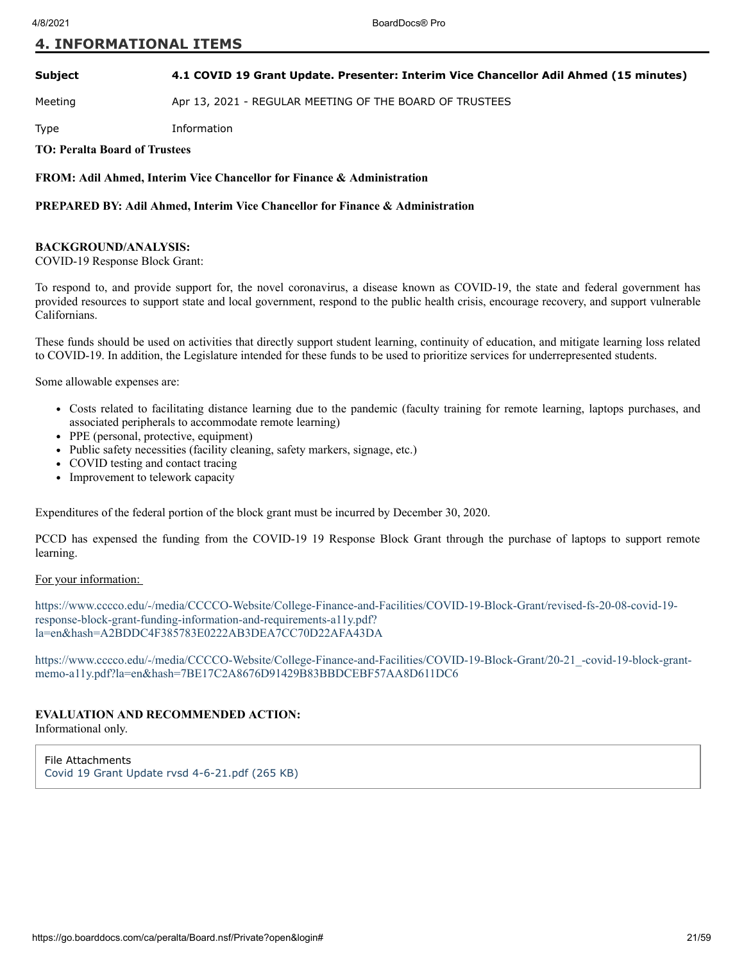#### **Subject 4.1 COVID 19 Grant Update. Presenter: Interim Vice Chancellor Adil Ahmed (15 minutes)**

Meeting **Apr 13, 2021 - REGULAR MEETING OF THE BOARD OF TRUSTEES** 

Type Information

**TO: Peralta Board of Trustees**

**FROM: Adil Ahmed, Interim Vice Chancellor for Finance & Administration**

#### **PREPARED BY: Adil Ahmed, Interim Vice Chancellor for Finance & Administration**

#### **BACKGROUND/ANALYSIS:**

COVID-19 Response Block Grant:

To respond to, and provide support for, the novel coronavirus, a disease known as COVID-19, the state and federal government has provided resources to support state and local government, respond to the public health crisis, encourage recovery, and support vulnerable Californians.

These funds should be used on activities that directly support student learning, continuity of education, and mitigate learning loss related to COVID-19. In addition, the Legislature intended for these funds to be used to prioritize services for underrepresented students.

Some allowable expenses are:

- Costs related to facilitating distance learning due to the pandemic (faculty training for remote learning, laptops purchases, and associated peripherals to accommodate remote learning)
- PPE (personal, protective, equipment)
- Public safety necessities (facility cleaning, safety markers, signage, etc.)
- COVID testing and contact tracing
- Improvement to telework capacity

Expenditures of the federal portion of the block grant must be incurred by December 30, 2020.

PCCD has expensed the funding from the COVID-19 19 Response Block Grant through the purchase of laptops to support remote learning.

#### For your information:

[https://www.cccco.edu/-/media/CCCCO-Website/College-Finance-and-Facilities/COVID-19-Block-Grant/revised-fs-20-08-covid-19](https://www.cccco.edu/-/media/CCCCO-Website/College-Finance-and-Facilities/COVID-19-Block-Grant/revised-fs-20-08-covid-19-response-block-grant-funding-information-and-requirements-a11y.pdf?la=en&hash=A2BDDC4F385783E0222AB3DEA7CC70D22AFA43DA) response-block-grant-funding-information-and-requirements-a11y.pdf? la=en&hash=A2BDDC4F385783E0222AB3DEA7CC70D22AFA43DA

[https://www.cccco.edu/-/media/CCCCO-Website/College-Finance-and-Facilities/COVID-19-Block-Grant/20-21\\_-covid-19-block-grant](https://www.cccco.edu/-/media/CCCCO-Website/College-Finance-and-Facilities/COVID-19-Block-Grant/20-21_-covid-19-block-grant-memo-a11y.pdf?la=en&hash=7BE17C2A8676D91429B83BBDCEBF57AA8D611DC6)memo-a11y.pdf?la=en&hash=7BE17C2A8676D91429B83BBDCEBF57AA8D611DC6

#### **EVALUATION AND RECOMMENDED ACTION:**

Informational only.

File Attachments [Covid 19 Grant Update rvsd 4-6-21.pdf \(265 KB\)](https://go.boarddocs.com/ca/peralta/Board.nsf/files/BZUR966C50B2/$file/Covid%2019%20Grant%20Update%20rvsd%20%204-6-21.pdf)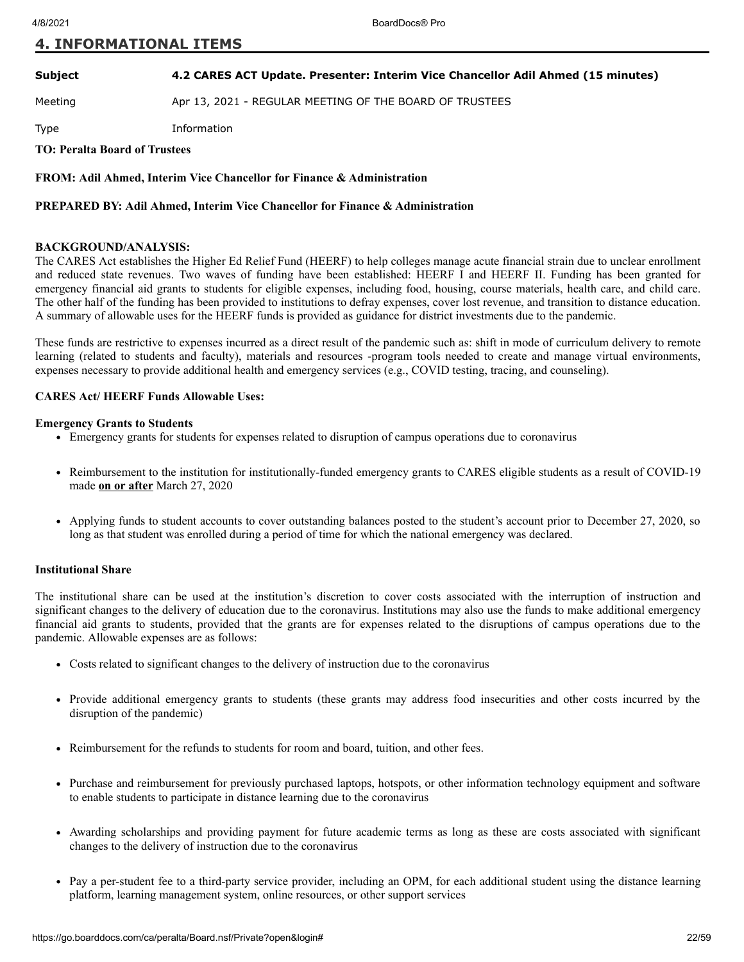#### **Subject 4.2 CARES ACT Update. Presenter: Interim Vice Chancellor Adil Ahmed (15 minutes)**

Meeting **Apr 13, 2021 - REGULAR MEETING OF THE BOARD OF TRUSTEES** 

Type Information

#### **TO: Peralta Board of Trustees**

**FROM: Adil Ahmed, Interim Vice Chancellor for Finance & Administration**

#### **PREPARED BY: Adil Ahmed, Interim Vice Chancellor for Finance & Administration**

#### **BACKGROUND/ANALYSIS:**

The CARES Act establishes the Higher Ed Relief Fund (HEERF) to help colleges manage acute financial strain due to unclear enrollment and reduced state revenues. Two waves of funding have been established: HEERF I and HEERF II. Funding has been granted for emergency financial aid grants to students for eligible expenses, including food, housing, course materials, health care, and child care. The other half of the funding has been provided to institutions to defray expenses, cover lost revenue, and transition to distance education. A summary of allowable uses for the HEERF funds is provided as guidance for district investments due to the pandemic.

These funds are restrictive to expenses incurred as a direct result of the pandemic such as: shift in mode of curriculum delivery to remote learning (related to students and faculty), materials and resources -program tools needed to create and manage virtual environments, expenses necessary to provide additional health and emergency services (e.g., COVID testing, tracing, and counseling).

#### **CARES Act/ HEERF Funds Allowable Uses:**

#### **Emergency Grants to Students**

- Emergency grants for students for expenses related to disruption of campus operations due to coronavirus
- Reimbursement to the institution for institutionally-funded emergency grants to CARES eligible students as a result of COVID-19 made **on or after** March 27, 2020
- Applying funds to student accounts to cover outstanding balances posted to the student's account prior to December 27, 2020, so long as that student was enrolled during a period of time for which the national emergency was declared.

#### **Institutional Share**

The institutional share can be used at the institution's discretion to cover costs associated with the interruption of instruction and significant changes to the delivery of education due to the coronavirus. Institutions may also use the funds to make additional emergency financial aid grants to students, provided that the grants are for expenses related to the disruptions of campus operations due to the pandemic. Allowable expenses are as follows:

- Costs related to significant changes to the delivery of instruction due to the coronavirus
- Provide additional emergency grants to students (these grants may address food insecurities and other costs incurred by the disruption of the pandemic)
- Reimbursement for the refunds to students for room and board, tuition, and other fees.
- Purchase and reimbursement for previously purchased laptops, hotspots, or other information technology equipment and software to enable students to participate in distance learning due to the coronavirus
- Awarding scholarships and providing payment for future academic terms as long as these are costs associated with significant  $\bullet$ changes to the delivery of instruction due to the coronavirus
- Pay a per-student fee to a third-party service provider, including an OPM, for each additional student using the distance learning platform, learning management system, online resources, or other support services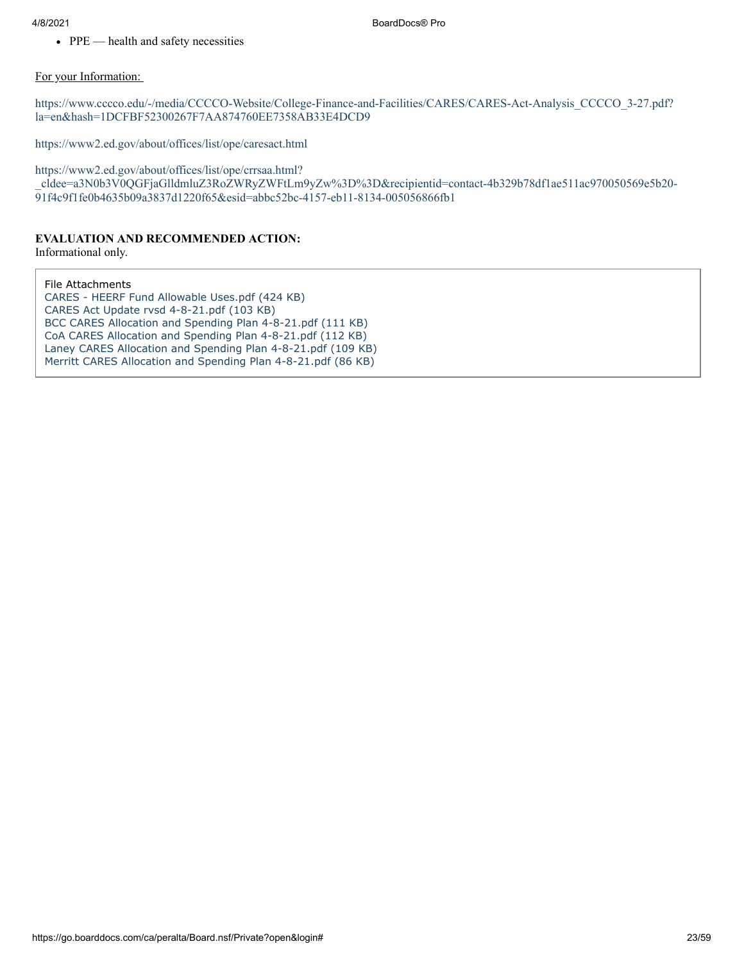• PPE — health and safety necessities

#### For your Information:

[https://www.cccco.edu/-/media/CCCCO-Website/College-Finance-and-Facilities/CARES/CARES-Act-Analysis\\_CCCCO\\_3-27.pdf?](https://www.cccco.edu/-/media/CCCCO-Website/College-Finance-and-Facilities/CARES/CARES-Act-Analysis_CCCCO_3-27.pdf?la=en&hash=1DCFBF52300267F7AA874760EE7358AB33E4DCD9) la=en&hash=1DCFBF52300267F7AA874760EE7358AB33E4DCD9

<https://www2.ed.gov/about/offices/list/ope/caresact.html>

https://www2.ed.gov/about/offices/list/ope/crrsaa.html?

[\\_cldee=a3N0b3V0QGFjaGlldmluZ3RoZWRyZWFtLm9yZw%3D%3D&recipientid=contact-4b329b78df1ae511ac970050569e5b20-](https://www2.ed.gov/about/offices/list/ope/crrsaa.html?_cldee=a3N0b3V0QGFjaGlldmluZ3RoZWRyZWFtLm9yZw%3D%3D&recipientid=contact-4b329b78df1ae511ac970050569e5b20-91f4c9f1fe0b4635b09a3837d1220f65&esid=abbc52bc-4157-eb11-8134-005056866fb1) 91f4c9f1fe0b4635b09a3837d1220f65&esid=abbc52bc-4157-eb11-8134-005056866fb1

#### **EVALUATION AND RECOMMENDED ACTION:**

Informational only.

File Attachments [CARES - HEERF Fund Allowable Uses.pdf \(424 KB\)](https://go.boarddocs.com/ca/peralta/Board.nsf/files/BZUSPU736761/$file/CARES%20-%20HEERF%20Fund%20Allowable%20Uses.pdf) [CARES Act Update rvsd 4-8-21.pdf \(103 KB\)](https://go.boarddocs.com/ca/peralta/Board.nsf/files/BZVSNS72447D/$file/CARES%20Act%20Update%20rvsd%204-8-21.pdf) [BCC CARES Allocation and Spending Plan 4-8-21.pdf \(111 KB\)](https://go.boarddocs.com/ca/peralta/Board.nsf/files/BZVSUX74599B/$file/BCC%20CARES%20Allocation%20and%20Spending%20Plan%204-8-21.pdf) [CoA CARES Allocation and Spending Plan 4-8-21.pdf \(112 KB\)](https://go.boarddocs.com/ca/peralta/Board.nsf/files/BZVSUZ7459A9/$file/CoA%20CARES%20Allocation%20and%20Spending%20Plan%204-8-21.pdf) [Laney CARES Allocation and Spending Plan 4-8-21.pdf \(109 KB\)](https://go.boarddocs.com/ca/peralta/Board.nsf/files/BZVSV37459B6/$file/Laney%20CARES%20%20Allocation%20and%20Spending%20Plan%204-8-21.pdf) [Merritt CARES Allocation and Spending Plan 4-8-21.pdf \(86 KB\)](https://go.boarddocs.com/ca/peralta/Board.nsf/files/BZVSV57459C4/$file/Merritt%20CARES%20Allocation%20and%20Spending%20Plan%204-8-21.pdf)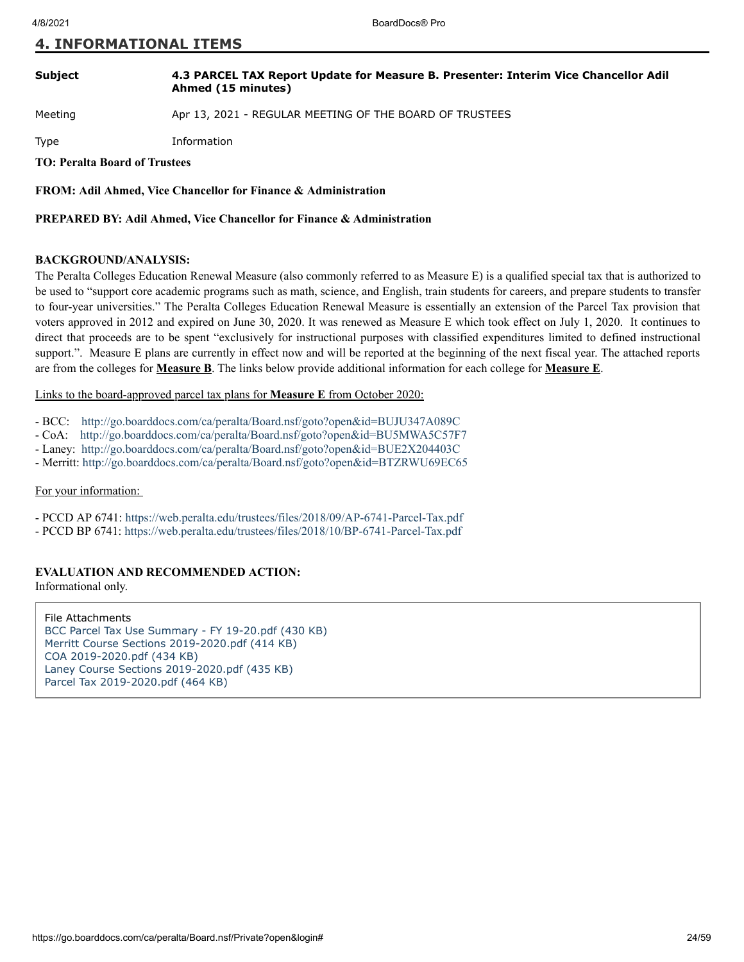#### **Subject 4.3 PARCEL TAX Report Update for Measure B. Presenter: Interim Vice Chancellor Adil Ahmed (15 minutes)**

Meeting **Apr 13, 2021 - REGULAR MEETING OF THE BOARD OF TRUSTEES** 

Type Information

**TO: Peralta Board of Trustees**

**FROM: Adil Ahmed, Vice Chancellor for Finance & Administration**

**PREPARED BY: Adil Ahmed, Vice Chancellor for Finance & Administration**

#### **BACKGROUND/ANALYSIS:**

The Peralta Colleges Education Renewal Measure (also commonly referred to as Measure E) is a qualified special tax that is authorized to be used to "support core academic programs such as math, science, and English, train students for careers, and prepare students to transfer to four-year universities." The Peralta Colleges Education Renewal Measure is essentially an extension of the Parcel Tax provision that voters approved in 2012 and expired on June 30, 2020. It was renewed as Measure E which took effect on July 1, 2020. It continues to direct that proceeds are to be spent "exclusively for instructional purposes with classified expenditures limited to defined instructional support.". Measure E plans are currently in effect now and will be reported at the beginning of the next fiscal year. The attached reports are from the colleges for **Measure B**. The links below provide additional information for each college for **Measure E**.

Links to the board-approved parcel tax plans for **Measure E** from October 2020:

- BCC: <http://go.boarddocs.com/ca/peralta/Board.nsf/goto?open&id=BUJU347A089C>
- CoA: <http://go.boarddocs.com/ca/peralta/Board.nsf/goto?open&id=BU5MWA5C57F7>
- Laney: <http://go.boarddocs.com/ca/peralta/Board.nsf/goto?open&id=BUE2X204403C>
- Merritt: <http://go.boarddocs.com/ca/peralta/Board.nsf/goto?open&id=BTZRWU69EC65>

#### For your information:

- PCCD AP 6741:<https://web.peralta.edu/trustees/files/2018/09/AP-6741-Parcel-Tax.pdf>
- PCCD BP 6741:<https://web.peralta.edu/trustees/files/2018/10/BP-6741-Parcel-Tax.pdf>

#### **EVALUATION AND RECOMMENDED ACTION:**

Informational only.

File Attachments [BCC Parcel Tax Use Summary - FY 19-20.pdf \(430 KB\)](https://go.boarddocs.com/ca/peralta/Board.nsf/files/BZVG6P424DBD/$file/BCC%20Parcel%20Tax%20Use%20Summary%20-%20FY%2019-20.pdf) [Merritt Course Sections 2019-2020.pdf \(414 KB\)](https://go.boarddocs.com/ca/peralta/Board.nsf/files/BZVG6R424F31/$file/Merritt%20Course%20Sections%202019-2020.pdf) [COA 2019-2020.pdf \(434 KB\)](https://go.boarddocs.com/ca/peralta/Board.nsf/files/BZVG6T425034/$file/COA%202019-2020.pdf) [Laney Course Sections 2019-2020.pdf \(435 KB\)](https://go.boarddocs.com/ca/peralta/Board.nsf/files/BZVG6V425116/$file/Laney%20Course%20Sections%202019-2020.pdf) [Parcel Tax 2019-2020.pdf \(464 KB\)](https://go.boarddocs.com/ca/peralta/Board.nsf/files/BZVG6X4251EC/$file/Parcel%20Tax%202019-2020.pdf)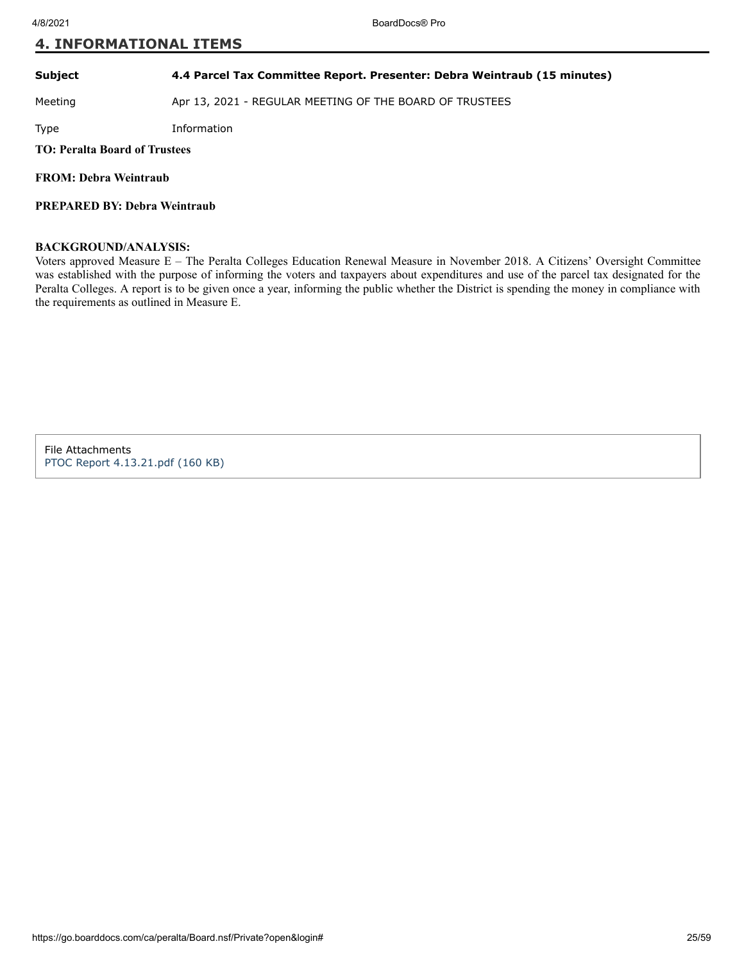#### **Subject 4.4 Parcel Tax Committee Report. Presenter: Debra Weintraub (15 minutes)**

Meeting **Apr 13, 2021 - REGULAR MEETING OF THE BOARD OF TRUSTEES** 

Type Information

**TO: Peralta Board of Trustees**

**FROM: Debra Weintraub**

**PREPARED BY: Debra Weintraub**

#### **BACKGROUND/ANALYSIS:**

Voters approved Measure E – The Peralta Colleges Education Renewal Measure in November 2018. A Citizens' Oversight Committee was established with the purpose of informing the voters and taxpayers about expenditures and use of the parcel tax designated for the Peralta Colleges. A report is to be given once a year, informing the public whether the District is spending the money in compliance with the requirements as outlined in Measure E.

File Attachments [PTOC Report 4.13.21.pdf \(160 KB\)](https://go.boarddocs.com/ca/peralta/Board.nsf/files/BZT66A135E74/$file/PTOC%20Report%204.13.21.pdf)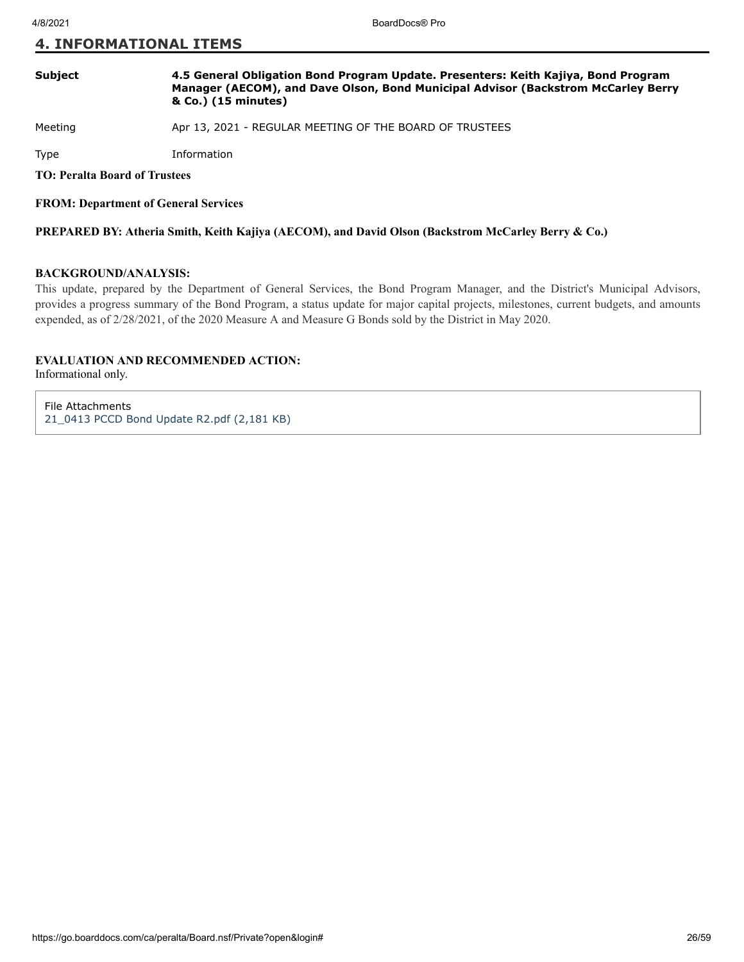#### **Subject 4.5 General Obligation Bond Program Update. Presenters: Keith Kajiya, Bond Program Manager (AECOM), and Dave Olson, Bond Municipal Advisor (Backstrom McCarley Berry & Co.) (15 minutes)**

Meeting **Apr 13, 2021 - REGULAR MEETING OF THE BOARD OF TRUSTEES** 

Type Information

**TO: Peralta Board of Trustees**

**FROM: Department of General Services**

**PREPARED BY: Atheria Smith, Keith Kajiya (AECOM), and David Olson (Backstrom McCarley Berry & Co.)**

#### **BACKGROUND/ANALYSIS:**

This update, prepared by the Department of General Services, the Bond Program Manager, and the District's Municipal Advisors, provides a progress summary of the Bond Program, a status update for major capital projects, milestones, current budgets, and amounts expended, as of 2/28/2021, of the 2020 Measure A and Measure G Bonds sold by the District in May 2020.

#### **EVALUATION AND RECOMMENDED ACTION:**

Informational only.

File Attachments [21\\_0413 PCCD Bond Update R2.pdf \(2,181 KB\)](https://go.boarddocs.com/ca/peralta/Board.nsf/files/BZVSEX71A8FC/$file/21_0413%20PCCD%20Bond%20Update%20R2.pdf)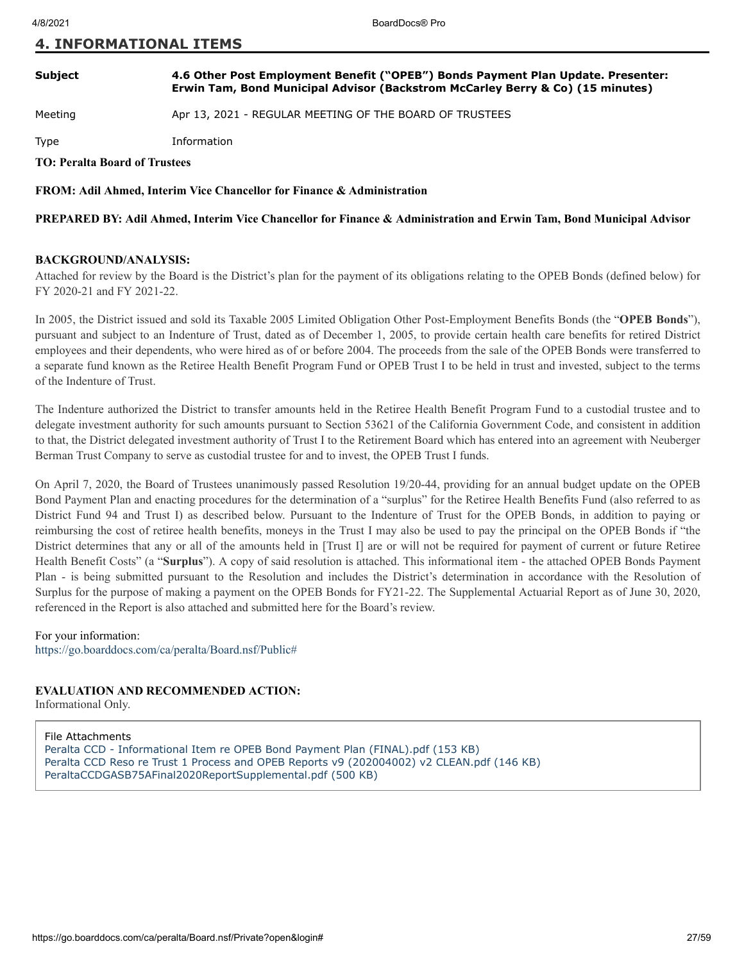#### **Subject 4.6 Other Post Employment Benefit ("OPEB") Bonds Payment Plan Update. Presenter: Erwin Tam, Bond Municipal Advisor (Backstrom McCarley Berry & Co) (15 minutes)**

Meeting **Apr 13, 2021 - REGULAR MEETING OF THE BOARD OF TRUSTEES** 

Type Information

**TO: Peralta Board of Trustees**

**FROM: Adil Ahmed, Interim Vice Chancellor for Finance & Administration**

**PREPARED BY: Adil Ahmed, Interim Vice Chancellor for Finance & Administration and Erwin Tam, Bond Municipal Advisor**

#### **BACKGROUND/ANALYSIS:**

Attached for review by the Board is the District's plan for the payment of its obligations relating to the OPEB Bonds (defined below) for FY 2020-21 and FY 2021-22.

In 2005, the District issued and sold its Taxable 2005 Limited Obligation Other Post-Employment Benefits Bonds (the "**OPEB Bonds**"), pursuant and subject to an Indenture of Trust, dated as of December 1, 2005, to provide certain health care benefits for retired District employees and their dependents, who were hired as of or before 2004. The proceeds from the sale of the OPEB Bonds were transferred to a separate fund known as the Retiree Health Benefit Program Fund or OPEB Trust I to be held in trust and invested, subject to the terms of the Indenture of Trust.

The Indenture authorized the District to transfer amounts held in the Retiree Health Benefit Program Fund to a custodial trustee and to delegate investment authority for such amounts pursuant to Section 53621 of the California Government Code, and consistent in addition to that, the District delegated investment authority of Trust I to the Retirement Board which has entered into an agreement with Neuberger Berman Trust Company to serve as custodial trustee for and to invest, the OPEB Trust I funds.

On April 7, 2020, the Board of Trustees unanimously passed Resolution 19/20-44, providing for an annual budget update on the OPEB Bond Payment Plan and enacting procedures for the determination of a "surplus" for the Retiree Health Benefits Fund (also referred to as District Fund 94 and Trust I) as described below. Pursuant to the Indenture of Trust for the OPEB Bonds, in addition to paying or reimbursing the cost of retiree health benefits, moneys in the Trust I may also be used to pay the principal on the OPEB Bonds if "the District determines that any or all of the amounts held in [Trust I] are or will not be required for payment of current or future Retiree Health Benefit Costs" (a "**Surplus**"). A copy of said resolution is attached. This informational item - the attached OPEB Bonds Payment Plan - is being submitted pursuant to the Resolution and includes the District's determination in accordance with the Resolution of Surplus for the purpose of making a payment on the OPEB Bonds for FY21-22. The Supplemental Actuarial Report as of June 30, 2020, referenced in the Report is also attached and submitted here for the Board's review.

For your information:

<https://go.boarddocs.com/ca/peralta/Board.nsf/Public#>

#### **EVALUATION AND RECOMMENDED ACTION:**

Informational Only.

File Attachments

[Peralta CCD - Informational Item re OPEB Bond Payment Plan \(FINAL\).pdf \(153 KB\)](https://go.boarddocs.com/ca/peralta/Board.nsf/files/BZTS5G707D09/$file/Peralta%20CCD%20-%20Informational%20Item%20re%20OPEB%20Bond%20Payment%20Plan%20(FINAL).pdf) [Peralta CCD Reso re Trust 1 Process and OPEB Reports v9 \(202004002\) v2 CLEAN.pdf \(146 KB\)](https://go.boarddocs.com/ca/peralta/Board.nsf/files/BZTS5J707D20/$file/Peralta%20CCD%20Reso%20re%20Trust%201%20Process%20and%20OPEB%20Reports%20v9%20(202004002)%20v2%20CLEAN.pdf) [PeraltaCCDGASB75AFinal2020ReportSupplemental.pdf \(500 KB\)](https://go.boarddocs.com/ca/peralta/Board.nsf/files/BZTS5L707D4E/$file/PeraltaCCDGASB75AFinal2020ReportSupplemental.pdf)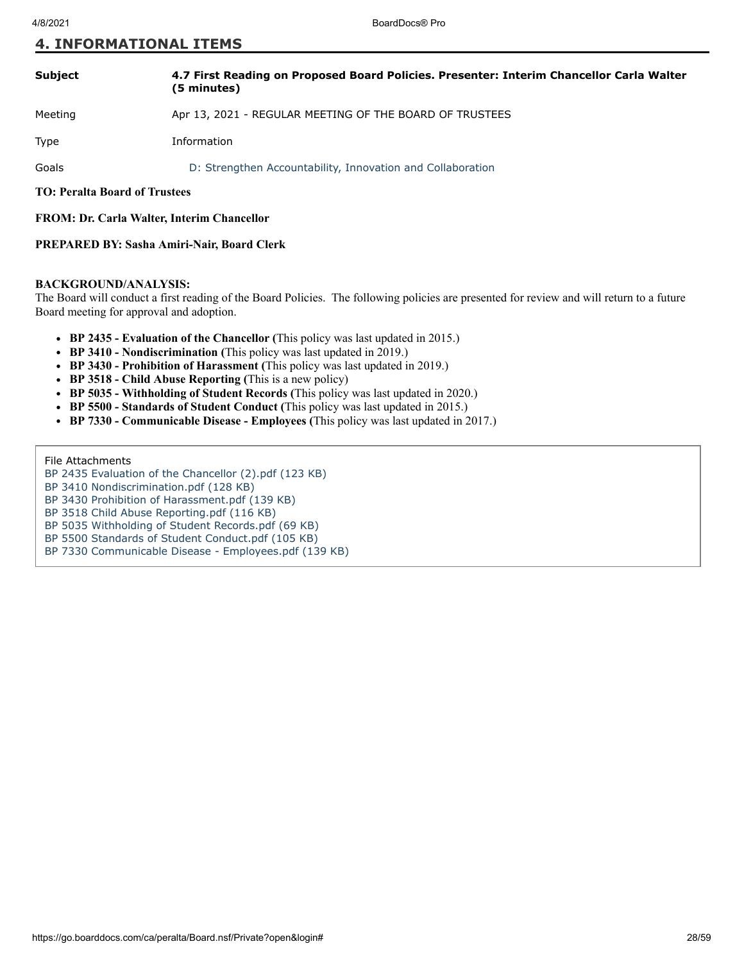| <b>Subject</b>                       | 4.7 First Reading on Proposed Board Policies. Presenter: Interim Chancellor Carla Walter<br>(5 minutes) |
|--------------------------------------|---------------------------------------------------------------------------------------------------------|
| Meeting                              | Apr 13, 2021 - REGULAR MEETING OF THE BOARD OF TRUSTEES                                                 |
| Type                                 | Information                                                                                             |
| Goals                                | D: Strengthen Accountability, Innovation and Collaboration                                              |
| <b>TO: Peralta Board of Trustees</b> |                                                                                                         |

#### **FROM: Dr. Carla Walter, Interim Chancellor**

#### **PREPARED BY: Sasha Amiri-Nair, Board Clerk**

#### **BACKGROUND/ANALYSIS:**

The Board will conduct a first reading of the Board Policies. The following policies are presented for review and will return to a future Board meeting for approval and adoption.

- **BP 2435 Evaluation of the Chancellor (**This policy was last updated in 2015.)
- **BP 3410 Nondiscrimination (**This policy was last updated in 2019.)
- **BP 3430 Prohibition of Harassment (**This policy was last updated in 2019.)
- **BP 3518 Child Abuse Reporting (**This is a new policy)
- **BP 5035 Withholding of Student Records (**This policy was last updated in 2020.)
- **BP 5500 Standards of Student Conduct (**This policy was last updated in 2015.)
- **BP 7330 Communicable Disease Employees (**This policy was last updated in 2017.)

#### File Attachments

- [BP 2435 Evaluation of the Chancellor \(2\).pdf \(123 KB\)](https://go.boarddocs.com/ca/peralta/Board.nsf/files/BZNSJN72EF5E/$file/BP%202435%20Evaluation%20of%20the%20Chancellor%20(2).pdf)
- [BP 3410 Nondiscrimination.pdf \(128 KB\)](https://go.boarddocs.com/ca/peralta/Board.nsf/files/BZNSJV72F772/$file/BP%203410%20Nondiscrimination.pdf)
- [BP 3430 Prohibition of Harassment.pdf \(139 KB\)](https://go.boarddocs.com/ca/peralta/Board.nsf/files/BZNSJY72FA49/$file/BP%203430%20Prohibition%20of%20Harassment.pdf)
- [BP 3518 Child Abuse Reporting.pdf \(116 KB\)](https://go.boarddocs.com/ca/peralta/Board.nsf/files/BZNSK472FD41/$file/BP%203518%20Child%20Abuse%20Reporting.pdf)
- [BP 5035 Withholding of Student Records.pdf \(69 KB\)](https://go.boarddocs.com/ca/peralta/Board.nsf/files/BZNSK772FEED/$file/BP%205035%20Withholding%20of%20Student%20Records.pdf)
- [BP 5500 Standards of Student Conduct.pdf \(105 KB\)](https://go.boarddocs.com/ca/peralta/Board.nsf/files/BZNSKF730C5D/$file/BP%205500%20Standards%20of%20Student%20Conduct.pdf)
- [BP 7330 Communicable Disease Employees.pdf \(139 KB\)](https://go.boarddocs.com/ca/peralta/Board.nsf/files/BZNSKH730E55/$file/BP%207330%20Communicable%20Disease%20-%20Employees.pdf)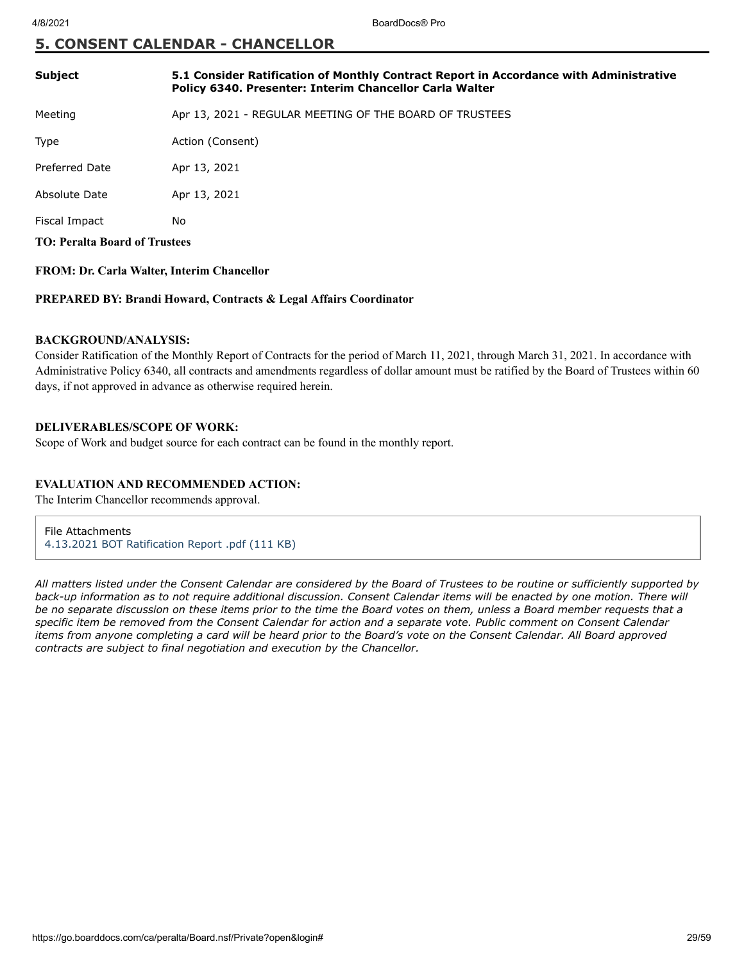## **5. CONSENT CALENDAR - CHANCELLOR**

| <b>Subject</b>                       | 5.1 Consider Ratification of Monthly Contract Report in Accordance with Administrative<br>Policy 6340. Presenter: Interim Chancellor Carla Walter |
|--------------------------------------|---------------------------------------------------------------------------------------------------------------------------------------------------|
| Meeting                              | Apr 13, 2021 - REGULAR MEETING OF THE BOARD OF TRUSTEES                                                                                           |
| <b>Type</b>                          | Action (Consent)                                                                                                                                  |
| <b>Preferred Date</b>                | Apr 13, 2021                                                                                                                                      |
| Absolute Date                        | Apr 13, 2021                                                                                                                                      |
| Fiscal Impact                        | No.                                                                                                                                               |
| <b>TO: Peralta Board of Trustees</b> |                                                                                                                                                   |

#### **FROM: Dr. Carla Walter, Interim Chancellor**

#### **PREPARED BY: Brandi Howard, Contracts & Legal Affairs Coordinator**

#### **BACKGROUND/ANALYSIS:**

Consider Ratification of the Monthly Report of Contracts for the period of March 11, 2021, through March 31, 2021. In accordance with Administrative Policy 6340, all contracts and amendments regardless of dollar amount must be ratified by the Board of Trustees within 60 days, if not approved in advance as otherwise required herein.

#### **DELIVERABLES/SCOPE OF WORK:**

Scope of Work and budget source for each contract can be found in the monthly report.

#### **EVALUATION AND RECOMMENDED ACTION:**

The Interim Chancellor recommends approval.

File Attachments [4.13.2021 BOT Ratification Report .pdf \(111 KB\)](https://go.boarddocs.com/ca/peralta/Board.nsf/files/BZPQ2J6731A8/$file/4.13.2021%20BOT%20Ratification%20Report%20.pdf)

*All matters listed under the Consent Calendar are considered by the Board of Trustees to be routine or sufficiently supported by back-up information as to not require additional discussion. Consent Calendar items will be enacted by one motion. There will be no separate discussion on these items prior to the time the Board votes on them, unless a Board member requests that a specific item be removed from the Consent Calendar for action and a separate vote. Public comment on Consent Calendar items from anyone completing a card will be heard prior to the Board's vote on the Consent Calendar. All Board approved contracts are subject to final negotiation and execution by the Chancellor.*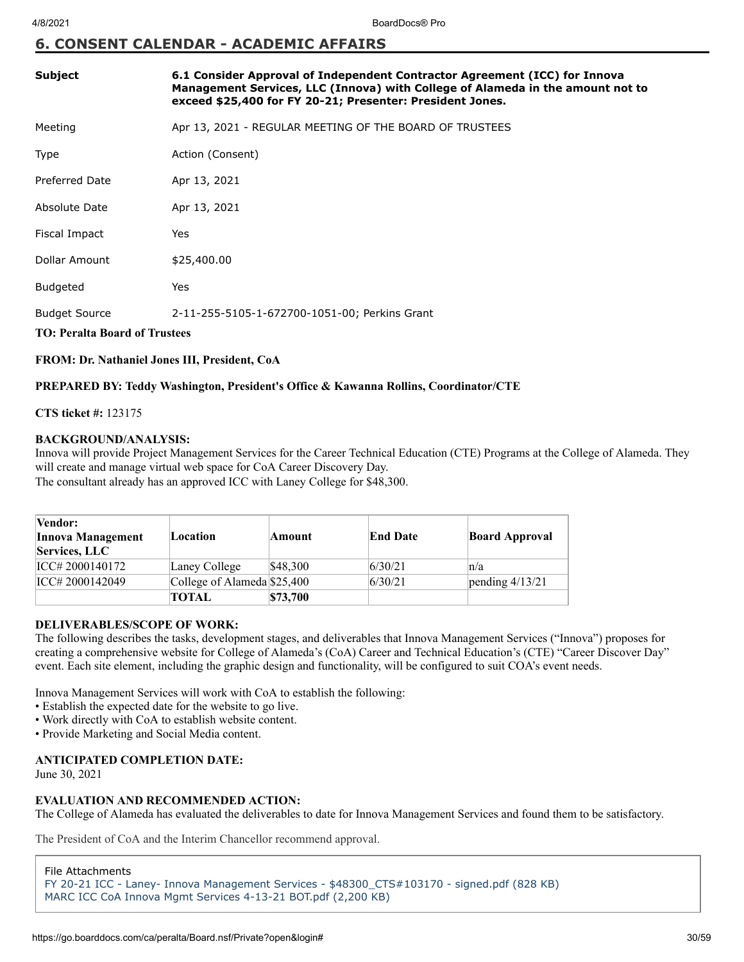## **6. CONSENT CALENDAR - ACADEMIC AFFAIRS**

| <b>Subject</b>                                                                                                | 6.1 Consider Approval of Independent Contractor Agreement (ICC) for Innova<br>Management Services, LLC (Innova) with College of Alameda in the amount not to<br>exceed \$25,400 for FY 20-21; Presenter: President Jones. |  |  |
|---------------------------------------------------------------------------------------------------------------|---------------------------------------------------------------------------------------------------------------------------------------------------------------------------------------------------------------------------|--|--|
| Meeting                                                                                                       | Apr 13, 2021 - REGULAR MEETING OF THE BOARD OF TRUSTEES                                                                                                                                                                   |  |  |
| Type                                                                                                          | Action (Consent)                                                                                                                                                                                                          |  |  |
| <b>Preferred Date</b>                                                                                         | Apr 13, 2021                                                                                                                                                                                                              |  |  |
| Absolute Date                                                                                                 | Apr 13, 2021                                                                                                                                                                                                              |  |  |
| Fiscal Impact                                                                                                 | Yes                                                                                                                                                                                                                       |  |  |
| Dollar Amount                                                                                                 | \$25,400.00                                                                                                                                                                                                               |  |  |
| <b>Budgeted</b>                                                                                               | Yes                                                                                                                                                                                                                       |  |  |
| <b>Budget Source</b><br>2-11-255-5105-1-672700-1051-00; Perkins Grant<br><b>TO: Peralta Board of Trustees</b> |                                                                                                                                                                                                                           |  |  |

**FROM: Dr. Nathaniel Jones III, President, CoA**

#### **PREPARED BY: Teddy Washington, President's Office & Kawanna Rollins, Coordinator/CTE**

**CTS ticket #:** 123175

#### **BACKGROUND/ANALYSIS:**

Innova will provide Project Management Services for the Career Technical Education (CTE) Programs at the College of Alameda. They will create and manage virtual web space for CoA Career Discovery Day. The consultant already has an approved ICC with Laney College for \$48,300.

| <b>Vendor:</b><br><b>Innova Management</b><br>Services, LLC | Location                    | Amount   | <b>End Date</b> | <b>Board Approval</b> |
|-------------------------------------------------------------|-----------------------------|----------|-----------------|-----------------------|
| ICC# 2000140172                                             | Laney College               | \$48,300 | 6/30/21         | n/a                   |
| ICC# 2000142049                                             | College of Alameda \$25,400 |          | 6/30/21         | pending $4/13/21$     |
|                                                             | TOTAL                       | \$73,700 |                 |                       |

#### **DELIVERABLES/SCOPE OF WORK:**

The following describes the tasks, development stages, and deliverables that Innova Management Services ("Innova") proposes for creating a comprehensive website for College of Alameda's (CoA) Career and Technical Education's (CTE) "Career Discover Day" event. Each site element, including the graphic design and functionality, will be configured to suit COA's event needs.

Innova Management Services will work with CoA to establish the following:

- Establish the expected date for the website to go live.
- Work directly with CoA to establish website content.
- Provide Marketing and Social Media content.

#### **ANTICIPATED COMPLETION DATE:** June 30, 2021

#### **EVALUATION AND RECOMMENDED ACTION:**

The College of Alameda has evaluated the deliverables to date for Innova Management Services and found them to be satisfactory.

The President of CoA and the Interim Chancellor recommend approval.

File Attachments [FY 20-21 ICC - Laney- Innova Management Services - \\$48300\\_CTS#103170 - signed.pdf \(828 KB\)](https://go.boarddocs.com/ca/peralta/Board.nsf/files/BZLQVR6B2F21/$file/FY%2020-21%20ICC%20-%20Laney-%20Innova%20Management%20Services%20-%20%2448300_CTS%23103170%20-%20signed.pdf) [MARC ICC CoA Innova Mgmt Services 4-13-21 BOT.pdf \(2,200 KB\)](https://go.boarddocs.com/ca/peralta/Board.nsf/files/BZLQZA6BB396/$file/MARC%20ICC%20CoA%20Innova%20Mgmt%20Services%204-13-21%20BOT.pdf)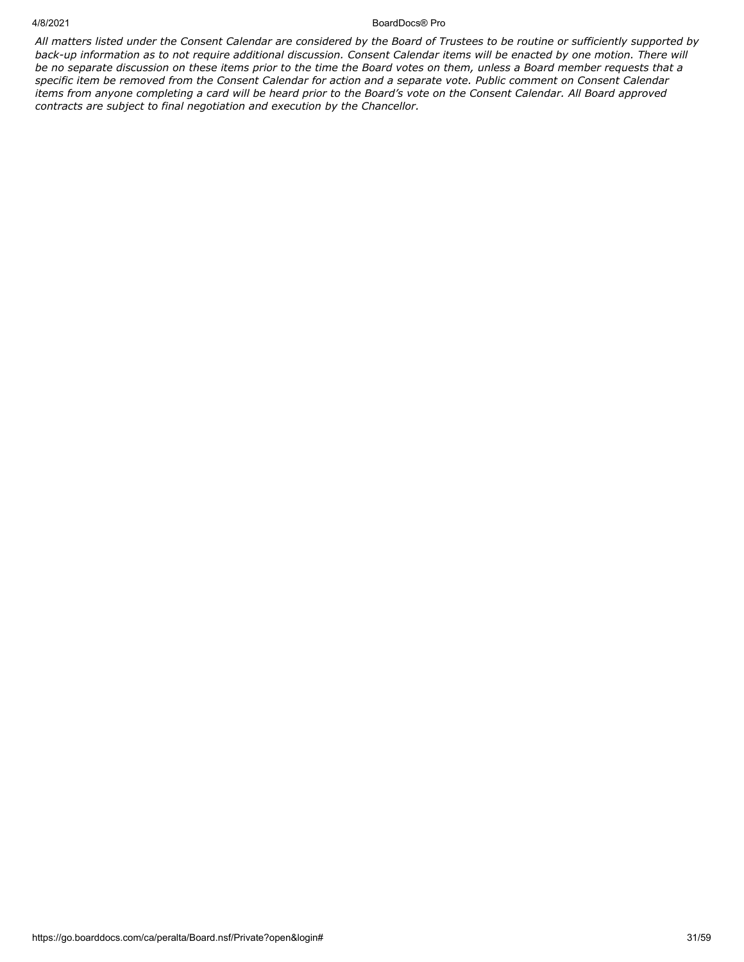#### 4/8/2021 BoardDocs® Pro

*All matters listed under the Consent Calendar are considered by the Board of Trustees to be routine or sufficiently supported by back-up information as to not require additional discussion. Consent Calendar items will be enacted by one motion. There will be no separate discussion on these items prior to the time the Board votes on them, unless a Board member requests that a specific item be removed from the Consent Calendar for action and a separate vote. Public comment on Consent Calendar items from anyone completing a card will be heard prior to the Board's vote on the Consent Calendar. All Board approved contracts are subject to final negotiation and execution by the Chancellor.*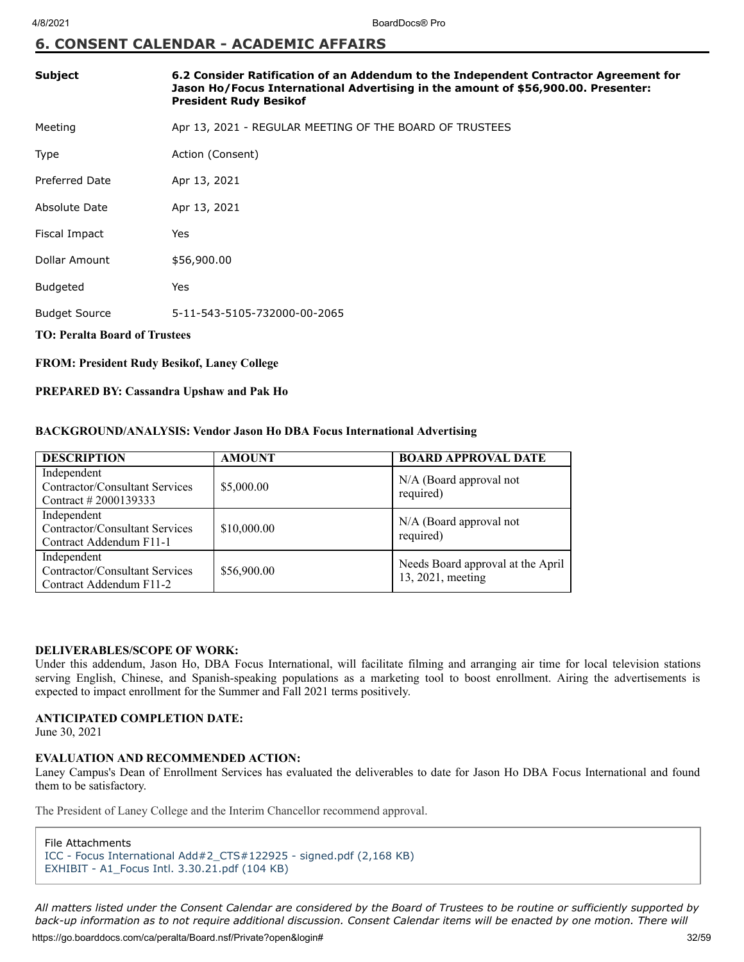## **6. CONSENT CALENDAR - ACADEMIC AFFAIRS**

| Subject                                            | 6.2 Consider Ratification of an Addendum to the Independent Contractor Agreement for<br>Jason Ho/Focus International Advertising in the amount of \$56,900.00. Presenter:<br><b>President Rudy Besikof</b> |  |  |
|----------------------------------------------------|------------------------------------------------------------------------------------------------------------------------------------------------------------------------------------------------------------|--|--|
| Meeting                                            | Apr 13, 2021 - REGULAR MEETING OF THE BOARD OF TRUSTEES                                                                                                                                                    |  |  |
| Type                                               | Action (Consent)                                                                                                                                                                                           |  |  |
| <b>Preferred Date</b>                              | Apr 13, 2021                                                                                                                                                                                               |  |  |
| Absolute Date                                      | Apr 13, 2021                                                                                                                                                                                               |  |  |
| Fiscal Impact                                      | Yes                                                                                                                                                                                                        |  |  |
| Dollar Amount                                      | \$56,900.00                                                                                                                                                                                                |  |  |
| <b>Budgeted</b>                                    | Yes                                                                                                                                                                                                        |  |  |
| <b>Budget Source</b>                               | 5-11-543-5105-732000-00-2065                                                                                                                                                                               |  |  |
| <b>TO: Peralta Board of Trustees</b>               |                                                                                                                                                                                                            |  |  |
| <b>FROM: President Rudy Besikof, Laney College</b> |                                                                                                                                                                                                            |  |  |

#### **PREPARED BY: Cassandra Upshaw and Pak Ho**

#### **BACKGROUND/ANALYSIS: Vendor Jason Ho DBA Focus International Advertising**

| <b>DESCRIPTION</b>                                                       | <b>AMOUNT</b> | <b>BOARD APPROVAL DATE</b>                             |
|--------------------------------------------------------------------------|---------------|--------------------------------------------------------|
| Independent<br>Contractor/Consultant Services<br>Contract # 2000139333   | \$5,000.00    | N/A (Board approval not<br>required)                   |
| Independent<br>Contractor/Consultant Services<br>Contract Addendum F11-1 | \$10,000.00   | N/A (Board approval not<br>required)                   |
| Independent<br>Contractor/Consultant Services<br>Contract Addendum F11-2 | \$56,900.00   | Needs Board approval at the April<br>13, 2021, meeting |

#### **DELIVERABLES/SCOPE OF WORK:**

Under this addendum, Jason Ho, DBA Focus International, will facilitate filming and arranging air time for local television stations serving English, Chinese, and Spanish-speaking populations as a marketing tool to boost enrollment. Airing the advertisements is expected to impact enrollment for the Summer and Fall 2021 terms positively.

#### **ANTICIPATED COMPLETION DATE:**

June 30, 2021

### **EVALUATION AND RECOMMENDED ACTION:**

Laney Campus's Dean of Enrollment Services has evaluated the deliverables to date for Jason Ho DBA Focus International and found them to be satisfactory.

The President of Laney College and the Interim Chancellor recommend approval.

```
File Attachments
```
[ICC - Focus International Add#2\\_CTS#122925 - signed.pdf \(2,168 KB\)](https://go.boarddocs.com/ca/peralta/Board.nsf/files/BZL3HY0704C6/$file/ICC%20-%20Focus%20International%20Add%232_CTS%23122925%20-%20signed.pdf) [EXHIBIT - A1\\_Focus Intl. 3.30.21.pdf \(104 KB\)](https://go.boarddocs.com/ca/peralta/Board.nsf/files/BZM7UK1B51CF/$file/EXHIBIT%20-%20A1_Focus%20Intl.%203.30.21.pdf)

https://go.boarddocs.com/ca/peralta/Board.nsf/Private?open&login# 32/59 *All matters listed under the Consent Calendar are considered by the Board of Trustees to be routine or sufficiently supported by back-up information as to not require additional discussion. Consent Calendar items will be enacted by one motion. There will*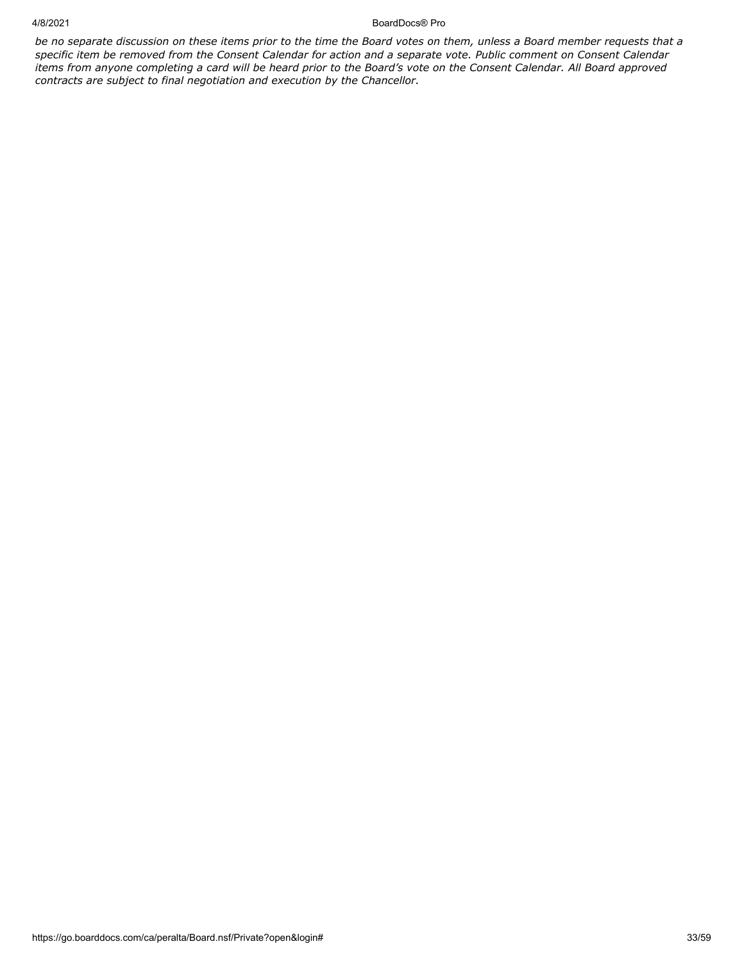#### 4/8/2021 BoardDocs® Pro

*be no separate discussion on these items prior to the time the Board votes on them, unless a Board member requests that a specific item be removed from the Consent Calendar for action and a separate vote. Public comment on Consent Calendar items from anyone completing a card will be heard prior to the Board's vote on the Consent Calendar. All Board approved contracts are subject to final negotiation and execution by the Chancellor.*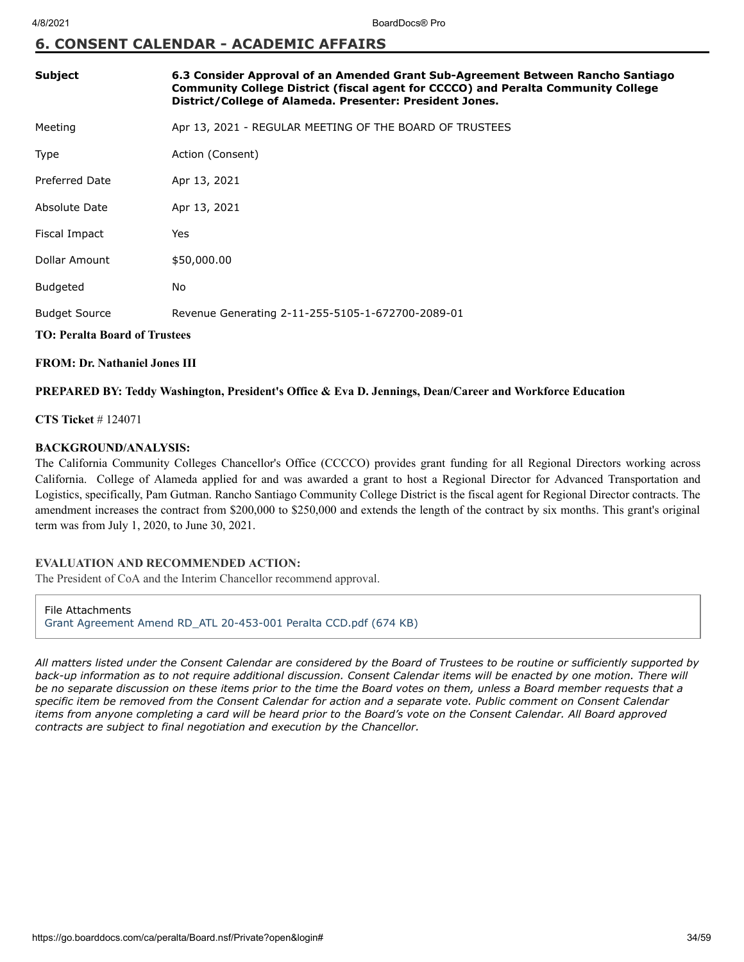## **6. CONSENT CALENDAR - ACADEMIC AFFAIRS**

| Subject                              | 6.3 Consider Approval of an Amended Grant Sub-Agreement Between Rancho Santiago<br>Community College District (fiscal agent for CCCCO) and Peralta Community College<br>District/College of Alameda. Presenter: President Jones. |  |  |
|--------------------------------------|----------------------------------------------------------------------------------------------------------------------------------------------------------------------------------------------------------------------------------|--|--|
| Meeting                              | Apr 13, 2021 - REGULAR MEETING OF THE BOARD OF TRUSTEES                                                                                                                                                                          |  |  |
| <b>Type</b>                          | Action (Consent)                                                                                                                                                                                                                 |  |  |
| <b>Preferred Date</b>                | Apr 13, 2021                                                                                                                                                                                                                     |  |  |
| Absolute Date                        | Apr 13, 2021                                                                                                                                                                                                                     |  |  |
| Fiscal Impact                        | Yes                                                                                                                                                                                                                              |  |  |
| Dollar Amount                        | \$50,000.00                                                                                                                                                                                                                      |  |  |
| <b>Budgeted</b>                      | <b>No</b>                                                                                                                                                                                                                        |  |  |
| <b>Budget Source</b>                 | Revenue Generating 2-11-255-5105-1-672700-2089-01                                                                                                                                                                                |  |  |
| <b>TO: Peralta Board of Trustees</b> |                                                                                                                                                                                                                                  |  |  |
| <b>FROM: Dr. Nathaniel Jones III</b> |                                                                                                                                                                                                                                  |  |  |

#### **PREPARED BY: Teddy Washington, President's Office & Eva D. Jennings, Dean/Career and Workforce Education**

#### **CTS Ticket** # 124071

#### **BACKGROUND/ANALYSIS:**

The California Community Colleges Chancellor's Office (CCCCO) provides grant funding for all Regional Directors working across California. College of Alameda applied for and was awarded a grant to host a Regional Director for Advanced Transportation and Logistics, specifically, Pam Gutman. Rancho Santiago Community College District is the fiscal agent for Regional Director contracts. The amendment increases the contract from \$200,000 to \$250,000 and extends the length of the contract by six months. This grant's original term was from July 1, 2020, to June 30, 2021.

#### **EVALUATION AND RECOMMENDED ACTION:**

The President of CoA and the Interim Chancellor recommend approval.

File Attachments [Grant Agreement Amend RD\\_ATL 20-453-001 Peralta CCD.pdf \(674 KB\)](https://go.boarddocs.com/ca/peralta/Board.nsf/files/BZLTPG785359/$file/Grant%20Agreement%20Amend%20RD_ATL%2020-453-001%20Peralta%20CCD.pdf)

*All matters listed under the Consent Calendar are considered by the Board of Trustees to be routine or sufficiently supported by back-up information as to not require additional discussion. Consent Calendar items will be enacted by one motion. There will be no separate discussion on these items prior to the time the Board votes on them, unless a Board member requests that a specific item be removed from the Consent Calendar for action and a separate vote. Public comment on Consent Calendar items from anyone completing a card will be heard prior to the Board's vote on the Consent Calendar. All Board approved contracts are subject to final negotiation and execution by the Chancellor.*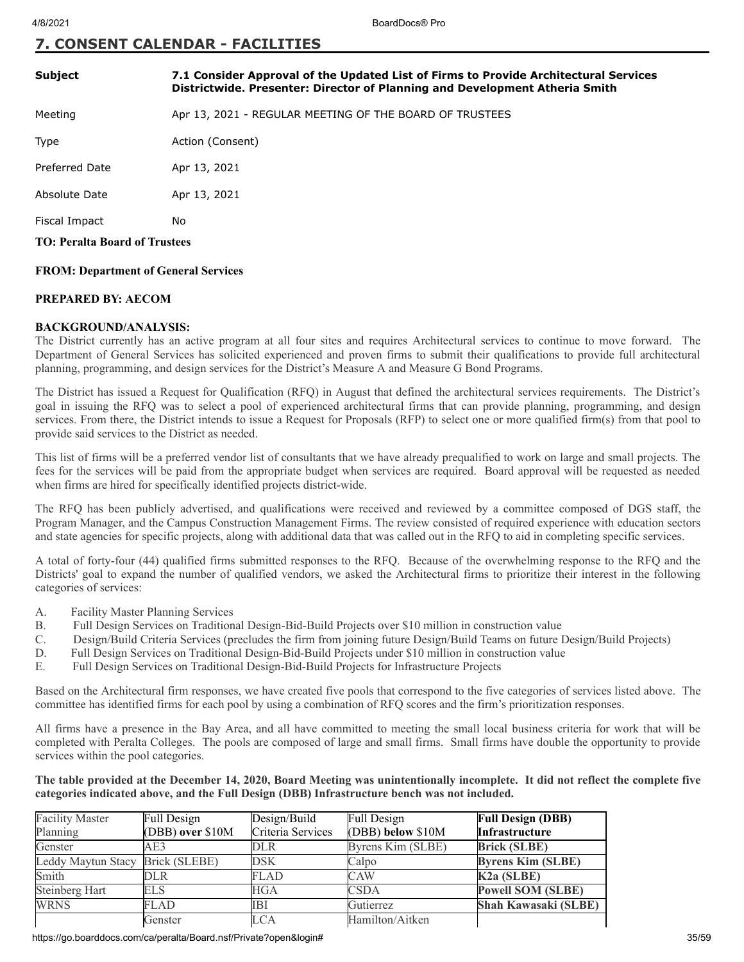## **7. CONSENT CALENDAR - FACILITIES**

| 7.1 Consider Approval of the Updated List of Firms to Provide Architectural Services<br>Districtwide. Presenter: Director of Planning and Development Atheria Smith |  |  |  |
|---------------------------------------------------------------------------------------------------------------------------------------------------------------------|--|--|--|
| Apr 13, 2021 - REGULAR MEETING OF THE BOARD OF TRUSTEES                                                                                                             |  |  |  |
| Action (Consent)                                                                                                                                                    |  |  |  |
| Apr 13, 2021                                                                                                                                                        |  |  |  |
| Apr 13, 2021                                                                                                                                                        |  |  |  |
| No                                                                                                                                                                  |  |  |  |
| <b>TO: Peralta Board of Trustees</b>                                                                                                                                |  |  |  |
|                                                                                                                                                                     |  |  |  |

#### **FROM: Department of General Services**

#### **PREPARED BY: AECOM**

#### **BACKGROUND/ANALYSIS:**

The District currently has an active program at all four sites and requires Architectural services to continue to move forward. The Department of General Services has solicited experienced and proven firms to submit their qualifications to provide full architectural planning, programming, and design services for the District's Measure A and Measure G Bond Programs.

The District has issued a Request for Qualification (RFQ) in August that defined the architectural services requirements. The District's goal in issuing the RFQ was to select a pool of experienced architectural firms that can provide planning, programming, and design services. From there, the District intends to issue a Request for Proposals (RFP) to select one or more qualified firm(s) from that pool to provide said services to the District as needed.

This list of firms will be a preferred vendor list of consultants that we have already prequalified to work on large and small projects. The fees for the services will be paid from the appropriate budget when services are required. Board approval will be requested as needed when firms are hired for specifically identified projects district-wide.

The RFQ has been publicly advertised, and qualifications were received and reviewed by a committee composed of DGS staff, the Program Manager, and the Campus Construction Management Firms. The review consisted of required experience with education sectors and state agencies for specific projects, along with additional data that was called out in the RFQ to aid in completing specific services.

A total of forty-four (44) qualified firms submitted responses to the RFQ. Because of the overwhelming response to the RFQ and the Districts' goal to expand the number of qualified vendors, we asked the Architectural firms to prioritize their interest in the following categories of services:

- A. Facility Master Planning Services
- B. Full Design Services on Traditional Design-Bid-Build Projects over \$10 million in construction value
- C. Design/Build Criteria Services (precludes the firm from joining future Design/Build Teams on future Design/Build Projects)
- D. Full Design Services on Traditional Design-Bid-Build Projects under \$10 million in construction value
- E. Full Design Services on Traditional Design-Bid-Build Projects for Infrastructure Projects

Based on the Architectural firm responses, we have created five pools that correspond to the five categories of services listed above. The committee has identified firms for each pool by using a combination of RFQ scores and the firm's prioritization responses.

All firms have a presence in the Bay Area, and all have committed to meeting the small local business criteria for work that will be completed with Peralta Colleges. The pools are composed of large and small firms. Small firms have double the opportunity to provide services within the pool categories.

#### **The table provided at the December 14, 2020, Board Meeting was unintentionally incomplete. It did not reflect the complete five categories indicated above, and the Full Design (DBB) Infrastructure bench was not included.**

| <b>Facility Master</b> | Full Design      | Design/Build      | Full Design       | <b>Full Design (DBB)</b>    |
|------------------------|------------------|-------------------|-------------------|-----------------------------|
| Planning               | (DBB) over \$10M | Criteria Services | (DBB) below \$10M | <b>Infrastructure</b>       |
| Genster                | AE3              | DLR               | Byrens Kim (SLBE) | <b>Brick (SLBE)</b>         |
| Leddy Maytun Stacy     | Brick (SLEBE)    | DSK               | Calpo             | <b>Byrens Kim (SLBE)</b>    |
| Smith                  | <b>DLR</b>       | FLAD              | CAW               | K <sub>2</sub> a (SLBE)     |
| Steinberg Hart         | <b>ELS</b>       | <b>HGA</b>        | <b>CSDA</b>       | <b>Powell SOM (SLBE)</b>    |
| <b>WRNS</b>            | <b>FLAD</b>      | IBI               | Gutierrez         | <b>Shah Kawasaki (SLBE)</b> |
|                        | Genster          | LCA               | Hamilton/Aitken   |                             |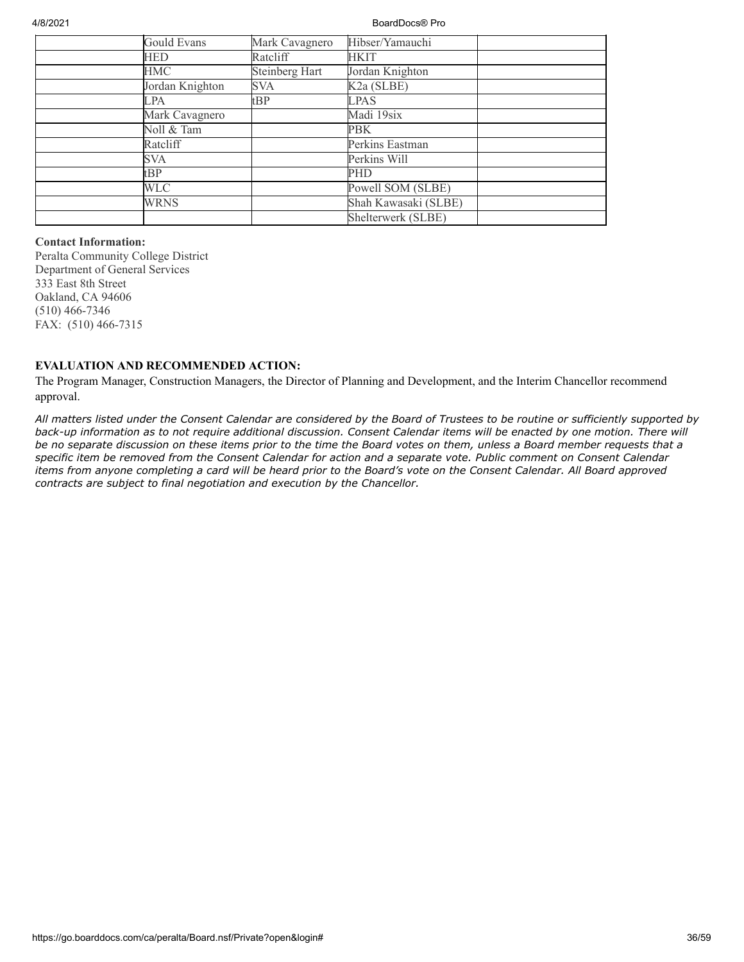4/8/2021 BoardDocs® Pro

| Gould Evans     | Mark Cavagnero | Hibser/Yamauchi      |  |
|-----------------|----------------|----------------------|--|
| HED             | Ratcliff       | <b>HKIT</b>          |  |
| HMC             | Steinberg Hart | Jordan Knighton      |  |
| Jordan Knighton | SVA            | K2a (SLBE)           |  |
| LPA             | tBP            | <b>LPAS</b>          |  |
| Mark Cavagnero  |                | Madi 19six           |  |
| Noll & Tam      |                | PBK                  |  |
| Ratcliff        |                | Perkins Eastman      |  |
| <b>SVA</b>      |                | Perkins Will         |  |
| tBP             |                | <b>PHD</b>           |  |
| <b>WLC</b>      |                | Powell SOM (SLBE)    |  |
| <b>WRNS</b>     |                | Shah Kawasaki (SLBE) |  |
|                 |                | Shelterwerk (SLBE)   |  |

#### **Contact Information:**

Peralta Community College District Department of General Services 333 East 8th Street Oakland, CA 94606 (510) 466-7346 FAX: (510) 466-7315

#### **EVALUATION AND RECOMMENDED ACTION:**

The Program Manager, Construction Managers, the Director of Planning and Development, and the Interim Chancellor recommend approval.

*All matters listed under the Consent Calendar are considered by the Board of Trustees to be routine or sufficiently supported by back-up information as to not require additional discussion. Consent Calendar items will be enacted by one motion. There will be no separate discussion on these items prior to the time the Board votes on them, unless a Board member requests that a specific item be removed from the Consent Calendar for action and a separate vote. Public comment on Consent Calendar items from anyone completing a card will be heard prior to the Board's vote on the Consent Calendar. All Board approved contracts are subject to final negotiation and execution by the Chancellor.*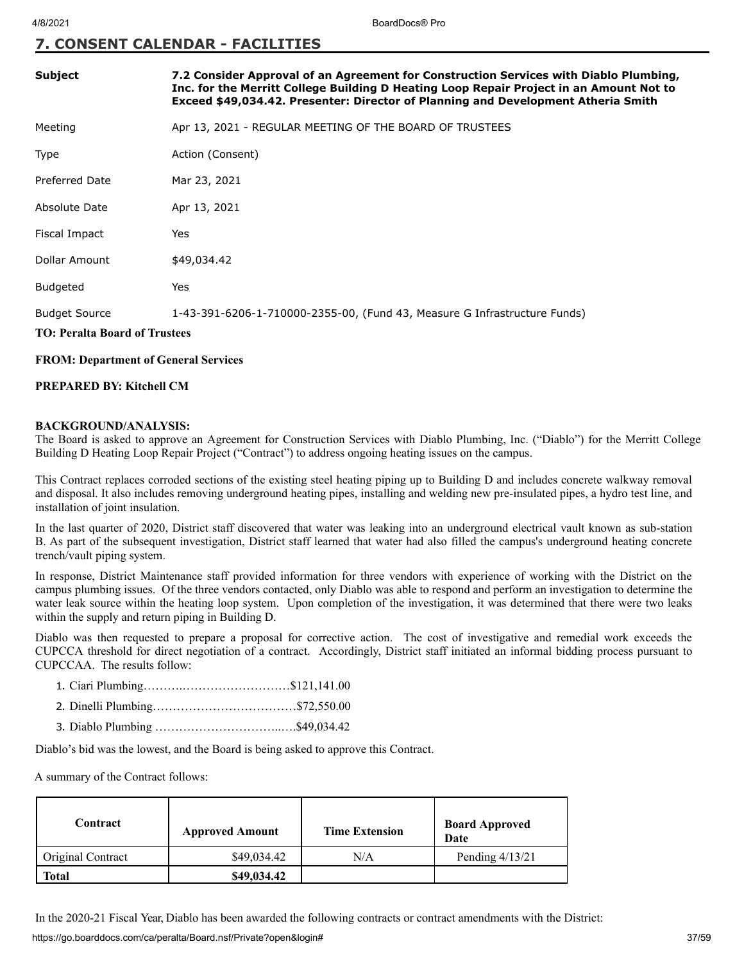## **7. CONSENT CALENDAR - FACILITIES**

| <b>Subject</b>                                               | 7.2 Consider Approval of an Agreement for Construction Services with Diablo Plumbing,<br>Inc. for the Merritt College Building D Heating Loop Repair Project in an Amount Not to<br>Exceed \$49,034.42. Presenter: Director of Planning and Development Atheria Smith |
|--------------------------------------------------------------|-----------------------------------------------------------------------------------------------------------------------------------------------------------------------------------------------------------------------------------------------------------------------|
| Meeting                                                      | Apr 13, 2021 - REGULAR MEETING OF THE BOARD OF TRUSTEES                                                                                                                                                                                                               |
| Type                                                         | Action (Consent)                                                                                                                                                                                                                                                      |
| Preferred Date                                               | Mar 23, 2021                                                                                                                                                                                                                                                          |
| Absolute Date                                                | Apr 13, 2021                                                                                                                                                                                                                                                          |
| Fiscal Impact                                                | Yes                                                                                                                                                                                                                                                                   |
| Dollar Amount                                                | \$49,034.42                                                                                                                                                                                                                                                           |
| <b>Budgeted</b>                                              | Yes                                                                                                                                                                                                                                                                   |
| <b>Budget Source</b><br><b>TO: Peralta Board of Trustees</b> | 1-43-391-6206-1-710000-2355-00, (Fund 43, Measure G Infrastructure Funds)                                                                                                                                                                                             |

### **FROM: Department of General Services**

#### **PREPARED BY: Kitchell CM**

#### **BACKGROUND/ANALYSIS:**

The Board is asked to approve an Agreement for Construction Services with Diablo Plumbing, Inc. ("Diablo") for the Merritt College Building D Heating Loop Repair Project ("Contract") to address ongoing heating issues on the campus.

This Contract replaces corroded sections of the existing steel heating piping up to Building D and includes concrete walkway removal and disposal. It also includes removing underground heating pipes, installing and welding new pre-insulated pipes, a hydro test line, and installation of joint insulation.

In the last quarter of 2020, District staff discovered that water was leaking into an underground electrical vault known as sub-station B. As part of the subsequent investigation, District staff learned that water had also filled the campus's underground heating concrete trench/vault piping system.

In response, District Maintenance staff provided information for three vendors with experience of working with the District on the campus plumbing issues. Of the three vendors contacted, only Diablo was able to respond and perform an investigation to determine the water leak source within the heating loop system. Upon completion of the investigation, it was determined that there were two leaks within the supply and return piping in Building D.

Diablo was then requested to prepare a proposal for corrective action. The cost of investigative and remedial work exceeds the CUPCCA threshold for direct negotiation of a contract. Accordingly, District staff initiated an informal bidding process pursuant to CUPCCAA. The results follow:

|--|--|--|--|

- 2. Dinelli Plumbing………………………………\$72,550.00
- 3. Diablo Plumbing …………………………..….\$49,034.42

Diablo's bid was the lowest, and the Board is being asked to approve this Contract.

A summary of the Contract follows:

| Contract          | <b>Approved Amount</b> | <b>Time Extension</b> | <b>Board Approved</b><br>Date |
|-------------------|------------------------|-----------------------|-------------------------------|
| Original Contract | \$49,034.42            | N/A                   | Pending $4/13/21$             |
| Total             | \$49,034.42            |                       |                               |

In the 2020-21 Fiscal Year, Diablo has been awarded the following contracts or contract amendments with the District: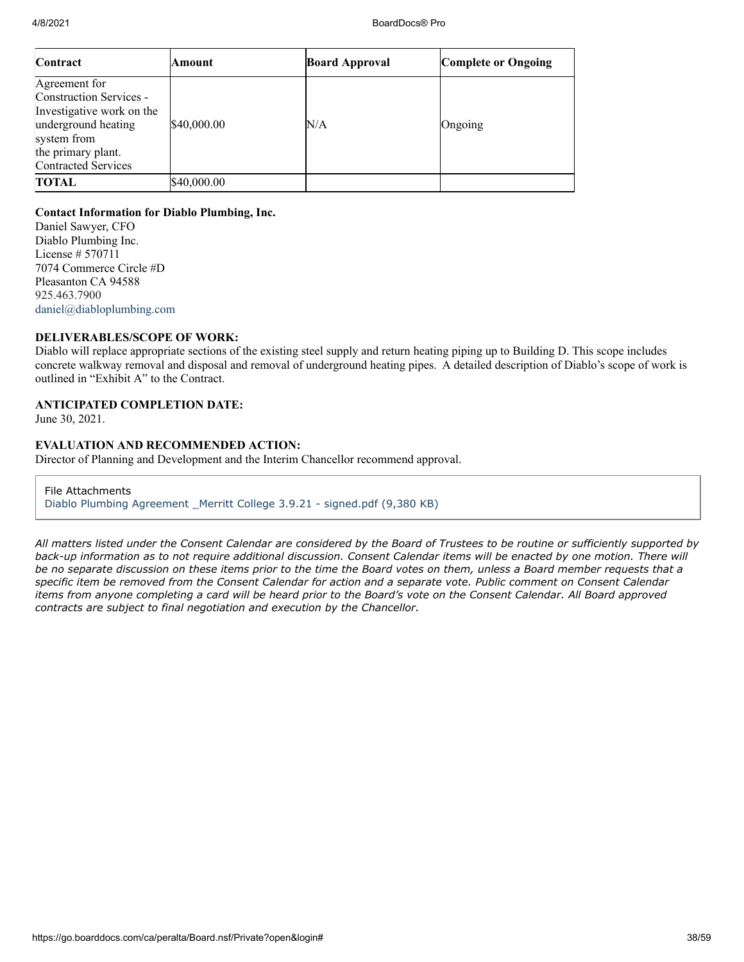| Contract                                                                                                                                                        | Amount      | <b>Board Approval</b> | <b>Complete or Ongoing</b> |
|-----------------------------------------------------------------------------------------------------------------------------------------------------------------|-------------|-----------------------|----------------------------|
| Agreement for<br>Construction Services -<br>Investigative work on the<br>underground heating<br>system from<br>the primary plant.<br><b>Contracted Services</b> | \$40,000.00 | N/A                   | Ongoing                    |
| TOTAL                                                                                                                                                           | \$40,000.00 |                       |                            |

#### **Contact Information for Diablo Plumbing, Inc.**

Daniel Sawyer, CFO Diablo Plumbing Inc. License # 570711 7074 Commerce Circle #D Pleasanton CA 94588 925.463.7900 [daniel@diabloplumbing.com](mailto:daniel@diabloplumbing.com)

#### **DELIVERABLES/SCOPE OF WORK:**

Diablo will replace appropriate sections of the existing steel supply and return heating piping up to Building D. This scope includes concrete walkway removal and disposal and removal of underground heating pipes. A detailed description of Diablo's scope of work is outlined in "Exhibit A" to the Contract.

#### **ANTICIPATED COMPLETION DATE:**

June 30, 2021.

#### **EVALUATION AND RECOMMENDED ACTION:**

Director of Planning and Development and the Interim Chancellor recommend approval.

File Attachments [Diablo Plumbing Agreement \\_Merritt College 3.9.21 - signed.pdf \(9,380 KB\)](https://go.boarddocs.com/ca/peralta/Board.nsf/files/BYZV457EC354/$file/Diablo%20Plumbing%20Agreement%20_Merritt%20College%203.9.21%20-%20signed.pdf)

*All matters listed under the Consent Calendar are considered by the Board of Trustees to be routine or sufficiently supported by back-up information as to not require additional discussion. Consent Calendar items will be enacted by one motion. There will be no separate discussion on these items prior to the time the Board votes on them, unless a Board member requests that a specific item be removed from the Consent Calendar for action and a separate vote. Public comment on Consent Calendar items from anyone completing a card will be heard prior to the Board's vote on the Consent Calendar. All Board approved contracts are subject to final negotiation and execution by the Chancellor.*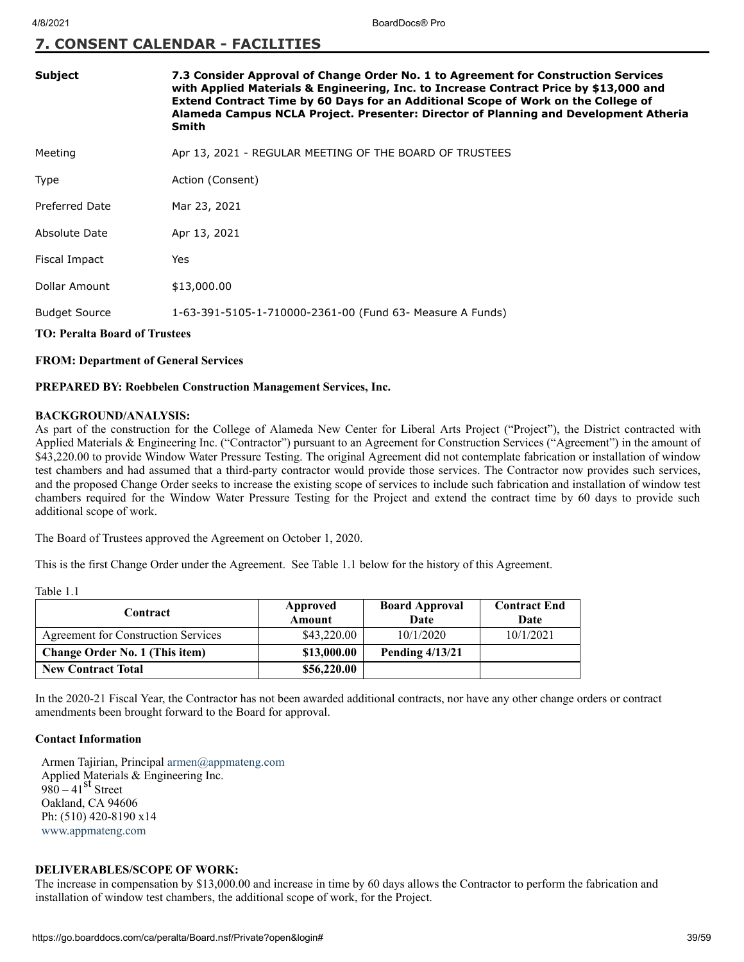## **7. CONSENT CALENDAR - FACILITIES**

| <b>Subject</b>                       | 7.3 Consider Approval of Change Order No. 1 to Agreement for Construction Services<br>with Applied Materials & Engineering, Inc. to Increase Contract Price by \$13,000 and<br>Extend Contract Time by 60 Days for an Additional Scope of Work on the College of<br>Alameda Campus NCLA Project. Presenter: Director of Planning and Development Atheria<br>Smith |  |  |
|--------------------------------------|-------------------------------------------------------------------------------------------------------------------------------------------------------------------------------------------------------------------------------------------------------------------------------------------------------------------------------------------------------------------|--|--|
| Meeting                              | Apr 13, 2021 - REGULAR MEETING OF THE BOARD OF TRUSTEES                                                                                                                                                                                                                                                                                                           |  |  |
| <b>Type</b>                          | Action (Consent)                                                                                                                                                                                                                                                                                                                                                  |  |  |
| Preferred Date                       | Mar 23, 2021                                                                                                                                                                                                                                                                                                                                                      |  |  |
| Absolute Date                        | Apr 13, 2021                                                                                                                                                                                                                                                                                                                                                      |  |  |
| Fiscal Impact                        | Yes                                                                                                                                                                                                                                                                                                                                                               |  |  |
| Dollar Amount                        | \$13,000.00                                                                                                                                                                                                                                                                                                                                                       |  |  |
| <b>Budget Source</b>                 | 1-63-391-5105-1-710000-2361-00 (Fund 63- Measure A Funds)                                                                                                                                                                                                                                                                                                         |  |  |
| <b>TO: Peralta Board of Trustees</b> |                                                                                                                                                                                                                                                                                                                                                                   |  |  |

#### **FROM: Department of General Services**

#### **PREPARED BY: Roebbelen Construction Management Services, Inc.**

#### **BACKGROUND/ANALYSIS:**

As part of the construction for the College of Alameda New Center for Liberal Arts Project ("Project"), the District contracted with Applied Materials & Engineering Inc. ("Contractor") pursuant to an Agreement for Construction Services ("Agreement") in the amount of \$43,220.00 to provide Window Water Pressure Testing. The original Agreement did not contemplate fabrication or installation of window test chambers and had assumed that a third-party contractor would provide those services. The Contractor now provides such services, and the proposed Change Order seeks to increase the existing scope of services to include such fabrication and installation of window test chambers required for the Window Water Pressure Testing for the Project and extend the contract time by 60 days to provide such additional scope of work.

The Board of Trustees approved the Agreement on October 1, 2020.

This is the first Change Order under the Agreement. See Table 1.1 below for the history of this Agreement.

| anie |  |
|------|--|
|      |  |

| Contract                            | Approved<br>Amount | <b>Board Approval</b><br>Date | <b>Contract End</b><br>Date |
|-------------------------------------|--------------------|-------------------------------|-----------------------------|
| Agreement for Construction Services | \$43,220.00        | 10/1/2020                     | 10/1/2021                   |
| Change Order No. 1 (This item)      | \$13,000.00        | <b>Pending 4/13/21</b>        |                             |
| <b>New Contract Total</b>           | \$56,220.00        |                               |                             |

In the 2020-21 Fiscal Year, the Contractor has not been awarded additional contracts, nor have any other change orders or contract amendments been brought forward to the Board for approval.

#### **Contact Information**

Armen Tajirian, Principal [armen@appmateng.com](mailto:armen@appmateng.com) Applied Materials & Engineering Inc. 980 –  $41<sup>st</sup>$  Street Oakland, CA 94606 Ph: (510) 420-8190 x14 [www.appmateng.com](http://www.appmateng.com/)

#### **DELIVERABLES/SCOPE OF WORK:**

The increase in compensation by \$13,000.00 and increase in time by 60 days allows the Contractor to perform the fabrication and installation of window test chambers, the additional scope of work, for the Project.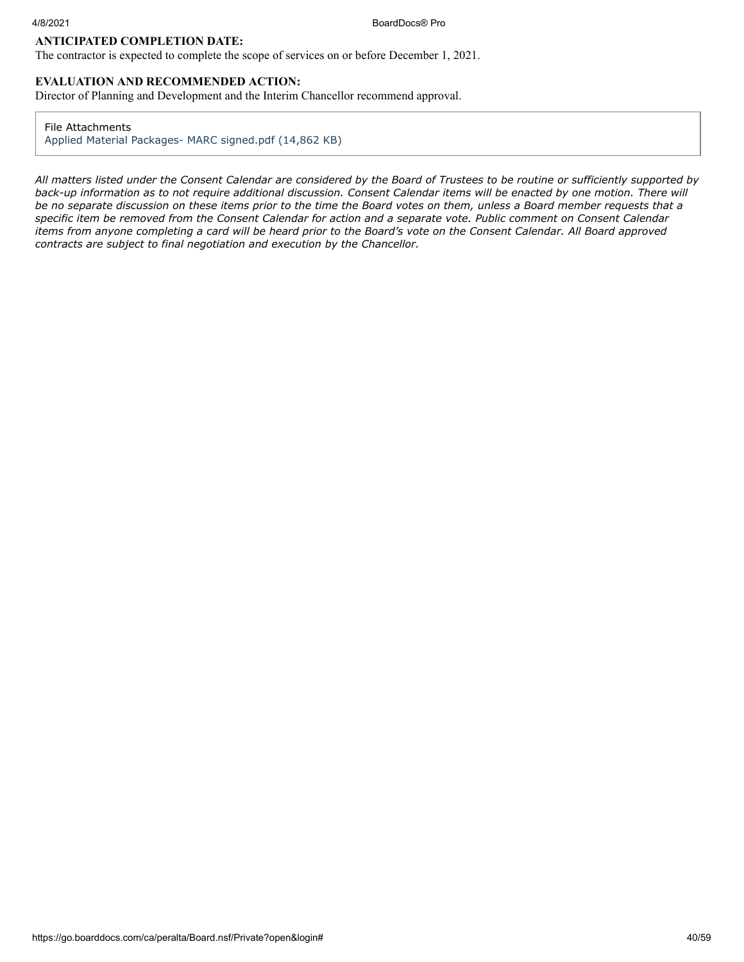#### **ANTICIPATED COMPLETION DATE:**

The contractor is expected to complete the scope of services on or before December 1, 2021.

### **EVALUATION AND RECOMMENDED ACTION:**

Director of Planning and Development and the Interim Chancellor recommend approval.

#### File Attachments

[Applied Material Packages- MARC signed.pdf \(14,862 KB\)](https://go.boarddocs.com/ca/peralta/Board.nsf/files/BZ9QJA68CE43/$file/Applied%20Material%20Packages-%20MARC%20signed.pdf)

*All matters listed under the Consent Calendar are considered by the Board of Trustees to be routine or sufficiently supported by back-up information as to not require additional discussion. Consent Calendar items will be enacted by one motion. There will be no separate discussion on these items prior to the time the Board votes on them, unless a Board member requests that a specific item be removed from the Consent Calendar for action and a separate vote. Public comment on Consent Calendar items from anyone completing a card will be heard prior to the Board's vote on the Consent Calendar. All Board approved contracts are subject to final negotiation and execution by the Chancellor.*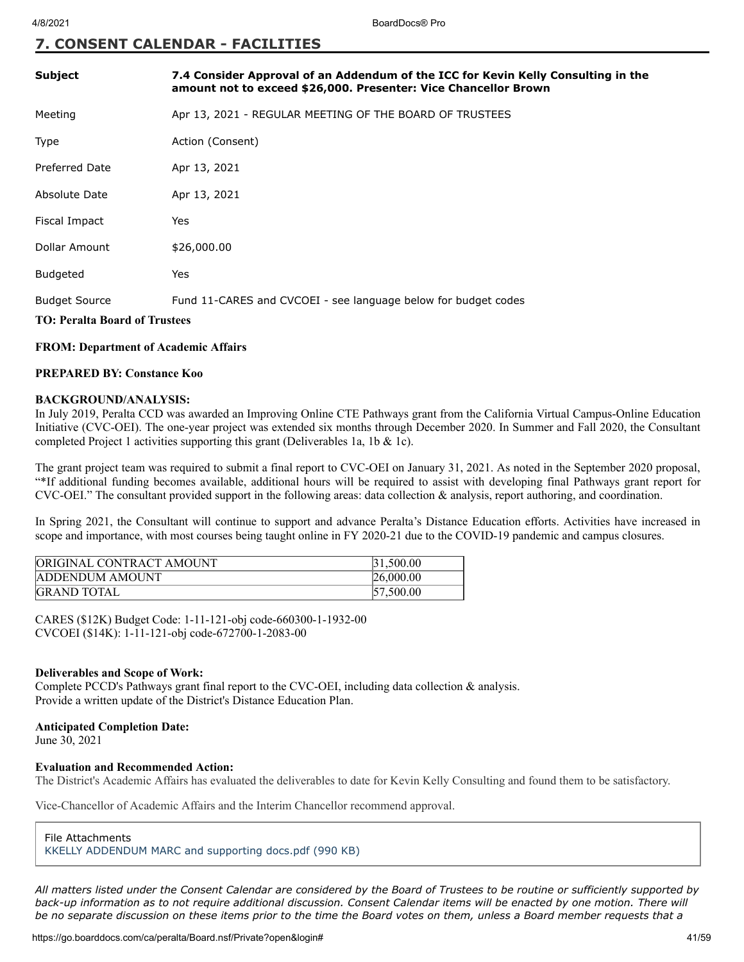### **7. CONSENT CALENDAR - FACILITIES**

| <b>Subject</b>                                               | 7.4 Consider Approval of an Addendum of the ICC for Kevin Kelly Consulting in the<br>amount not to exceed \$26,000. Presenter: Vice Chancellor Brown |
|--------------------------------------------------------------|------------------------------------------------------------------------------------------------------------------------------------------------------|
| Meeting                                                      | Apr 13, 2021 - REGULAR MEETING OF THE BOARD OF TRUSTEES                                                                                              |
| <b>Type</b>                                                  | Action (Consent)                                                                                                                                     |
| <b>Preferred Date</b>                                        | Apr 13, 2021                                                                                                                                         |
| Absolute Date                                                | Apr 13, 2021                                                                                                                                         |
| Fiscal Impact                                                | Yes                                                                                                                                                  |
| Dollar Amount                                                | \$26,000.00                                                                                                                                          |
| <b>Budgeted</b>                                              | Yes                                                                                                                                                  |
| <b>Budget Source</b><br><b>TO: Peralta Board of Trustees</b> | Fund 11-CARES and CVCOEI - see language below for budget codes                                                                                       |

#### **FROM: Department of Academic Affairs**

#### **PREPARED BY: Constance Koo**

#### **BACKGROUND/ANALYSIS:**

In July 2019, Peralta CCD was awarded an Improving Online CTE Pathways grant from the California Virtual Campus-Online Education Initiative (CVC-OEI). The one-year project was extended six months through December 2020. In Summer and Fall 2020, the Consultant completed Project 1 activities supporting this grant (Deliverables 1a, 1b & 1c).

The grant project team was required to submit a final report to CVC-OEI on January 31, 2021. As noted in the September 2020 proposal, "\*If additional funding becomes available, additional hours will be required to assist with developing final Pathways grant report for CVC-OEI." The consultant provided support in the following areas: data collection & analysis, report authoring, and coordination.

In Spring 2021, the Consultant will continue to support and advance Peralta's Distance Education efforts. Activities have increased in scope and importance, with most courses being taught online in FY 2020-21 due to the COVID-19 pandemic and campus closures.

| <b>ORIGINAL CONTRACT AMOUNT</b> | 31.500.00 |
|---------------------------------|-----------|
| <b>ADDENDUM AMOUNT</b>          | 26,000.00 |
| <b>GRAND TOTAL</b>              | 57,500.00 |

CARES (\$12K) Budget Code: 1-11-121-obj code-660300-1-1932-00 CVCOEI (\$14K): 1-11-121-obj code-672700-1-2083-00

#### **Deliverables and Scope of Work:**

Complete PCCD's Pathways grant final report to the CVC-OEI, including data collection & analysis. Provide a written update of the District's Distance Education Plan.

#### **Anticipated Completion Date:**

June 30, 2021

#### **Evaluation and Recommended Action:**

The District's Academic Affairs has evaluated the deliverables to date for Kevin Kelly Consulting and found them to be satisfactory.

Vice-Chancellor of Academic Affairs and the Interim Chancellor recommend approval.

File Attachments [KKELLY ADDENDUM MARC and supporting docs.pdf \(990 KB\)](https://go.boarddocs.com/ca/peralta/Board.nsf/files/BZGN3X5E0778/$file/KKELLY%20ADDENDUM%20MARC%20and%20supporting%20docs.pdf)

*All matters listed under the Consent Calendar are considered by the Board of Trustees to be routine or sufficiently supported by back-up information as to not require additional discussion. Consent Calendar items will be enacted by one motion. There will be no separate discussion on these items prior to the time the Board votes on them, unless a Board member requests that a*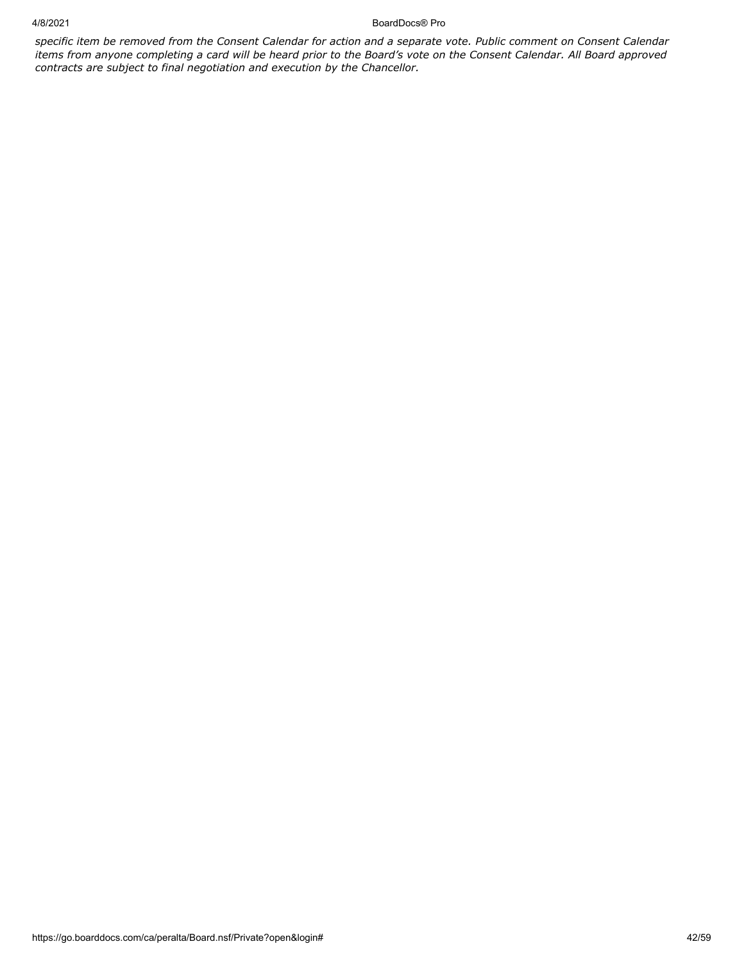4/8/2021 BoardDocs® Pro

*specific item be removed from the Consent Calendar for action and a separate vote. Public comment on Consent Calendar items from anyone completing a card will be heard prior to the Board's vote on the Consent Calendar. All Board approved contracts are subject to final negotiation and execution by the Chancellor.*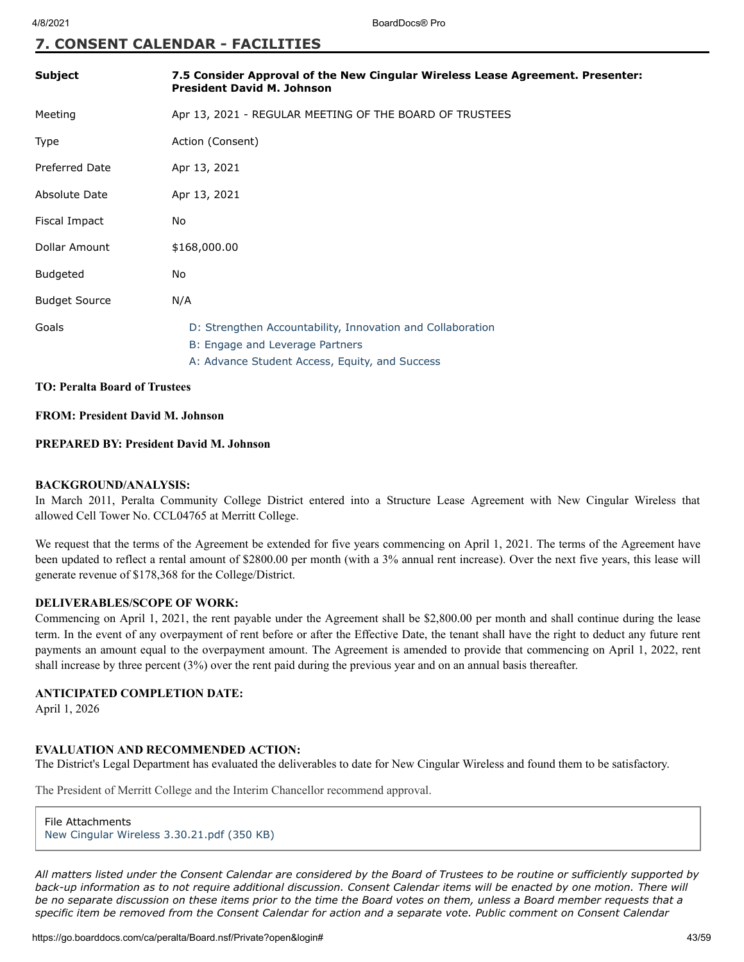#### **7. CONSENT CALENDAR - FACILITIES**

| <b>Subject</b>        | 7.5 Consider Approval of the New Cingular Wireless Lease Agreement. Presenter:<br><b>President David M. Johnson</b>                             |
|-----------------------|-------------------------------------------------------------------------------------------------------------------------------------------------|
| Meeting               | Apr 13, 2021 - REGULAR MEETING OF THE BOARD OF TRUSTEES                                                                                         |
| Type                  | Action (Consent)                                                                                                                                |
| <b>Preferred Date</b> | Apr 13, 2021                                                                                                                                    |
| Absolute Date         | Apr 13, 2021                                                                                                                                    |
| Fiscal Impact         | No.                                                                                                                                             |
| Dollar Amount         | \$168,000.00                                                                                                                                    |
| Budgeted              | No                                                                                                                                              |
| <b>Budget Source</b>  | N/A                                                                                                                                             |
| Goals                 | D: Strengthen Accountability, Innovation and Collaboration<br>B: Engage and Leverage Partners<br>A: Advance Student Access, Equity, and Success |
|                       |                                                                                                                                                 |

#### **TO: Peralta Board of Trustees**

#### **FROM: President David M. Johnson**

#### **PREPARED BY: President David M. Johnson**

#### **BACKGROUND/ANALYSIS:**

In March 2011, Peralta Community College District entered into a Structure Lease Agreement with New Cingular Wireless that allowed Cell Tower No. CCL04765 at Merritt College.

We request that the terms of the Agreement be extended for five years commencing on April 1, 2021. The terms of the Agreement have been updated to reflect a rental amount of \$2800.00 per month (with a 3% annual rent increase). Over the next five years, this lease will generate revenue of \$178,368 for the College/District.

#### **DELIVERABLES/SCOPE OF WORK:**

Commencing on April 1, 2021, the rent payable under the Agreement shall be \$2,800.00 per month and shall continue during the lease term. In the event of any overpayment of rent before or after the Effective Date, the tenant shall have the right to deduct any future rent payments an amount equal to the overpayment amount. The Agreement is amended to provide that commencing on April 1, 2022, rent shall increase by three percent (3%) over the rent paid during the previous year and on an annual basis thereafter.

#### **ANTICIPATED COMPLETION DATE:**

April 1, 2026

#### **EVALUATION AND RECOMMENDED ACTION:**

The District's Legal Department has evaluated the deliverables to date for New Cingular Wireless and found them to be satisfactory.

The President of Merritt College and the Interim Chancellor recommend approval.

File Attachments [New Cingular Wireless 3.30.21.pdf \(350 KB\)](https://go.boarddocs.com/ca/peralta/Board.nsf/files/BZPLCD54FFBF/$file/New%20Cingular%20Wireless%203.30.21.pdf)

*All matters listed under the Consent Calendar are considered by the Board of Trustees to be routine or sufficiently supported by back-up information as to not require additional discussion. Consent Calendar items will be enacted by one motion. There will be no separate discussion on these items prior to the time the Board votes on them, unless a Board member requests that a specific item be removed from the Consent Calendar for action and a separate vote. Public comment on Consent Calendar*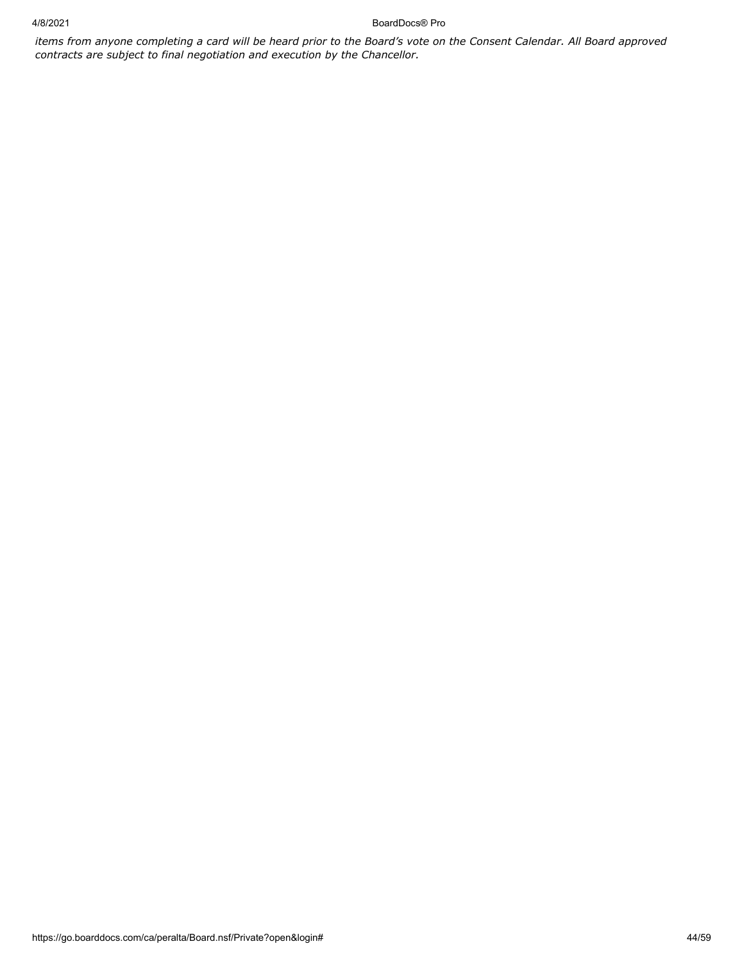4/8/2021 BoardDocs® Pro

*items from anyone completing a card will be heard prior to the Board's vote on the Consent Calendar. All Board approved contracts are subject to final negotiation and execution by the Chancellor.*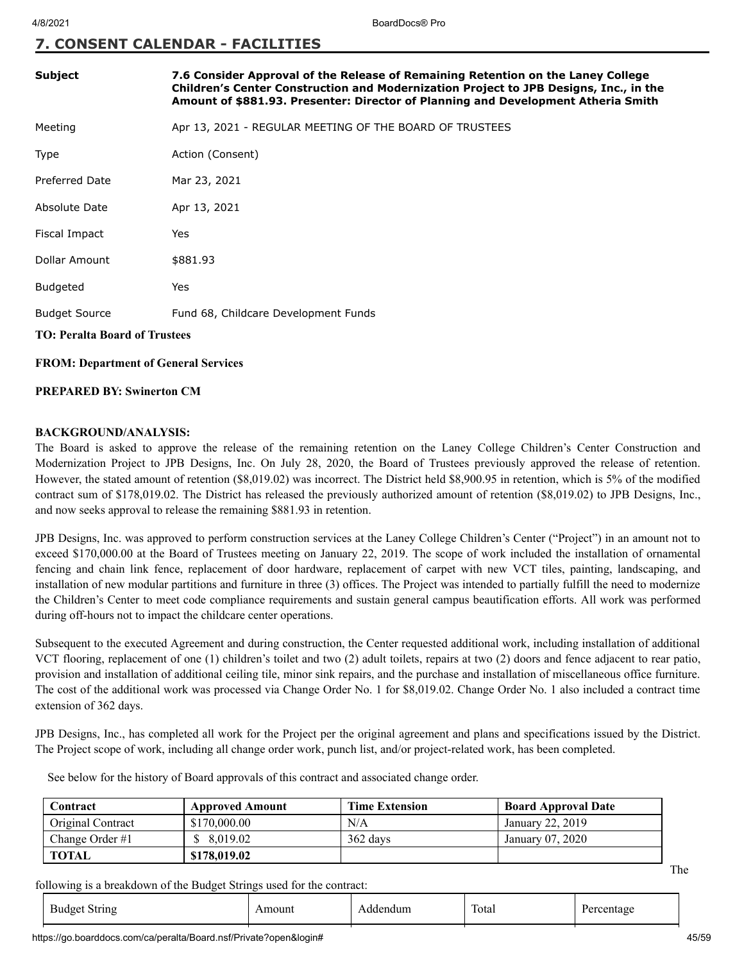## **7. CONSENT CALENDAR - FACILITIES**

| Subject              | 7.6 Consider Approval of the Release of Remaining Retention on the Laney College<br>Children's Center Construction and Modernization Project to JPB Designs, Inc., in the<br>Amount of \$881.93. Presenter: Director of Planning and Development Atheria Smith |
|----------------------|----------------------------------------------------------------------------------------------------------------------------------------------------------------------------------------------------------------------------------------------------------------|
| Meeting              | Apr 13, 2021 - REGULAR MEETING OF THE BOARD OF TRUSTEES                                                                                                                                                                                                        |
| Type                 | Action (Consent)                                                                                                                                                                                                                                               |
| Preferred Date       | Mar 23, 2021                                                                                                                                                                                                                                                   |
| Absolute Date        | Apr 13, 2021                                                                                                                                                                                                                                                   |
| Fiscal Impact        | Yes                                                                                                                                                                                                                                                            |
| Dollar Amount        | \$881.93                                                                                                                                                                                                                                                       |
| <b>Budgeted</b>      | Yes                                                                                                                                                                                                                                                            |
| <b>Budget Source</b> | Fund 68, Childcare Development Funds                                                                                                                                                                                                                           |

**TO: Peralta Board of Trustees**

**FROM: Department of General Services**

**PREPARED BY: Swinerton CM**

#### **BACKGROUND/ANALYSIS:**

The Board is asked to approve the release of the remaining retention on the Laney College Children's Center Construction and Modernization Project to JPB Designs, Inc. On July 28, 2020, the Board of Trustees previously approved the release of retention. However, the stated amount of retention (\$8,019.02) was incorrect. The District held \$8,900.95 in retention, which is 5% of the modified contract sum of \$178,019.02. The District has released the previously authorized amount of retention (\$8,019.02) to JPB Designs, Inc., and now seeks approval to release the remaining \$881.93 in retention.

JPB Designs, Inc. was approved to perform construction services at the Laney College Children's Center ("Project") in an amount not to exceed \$170,000.00 at the Board of Trustees meeting on January 22, 2019. The scope of work included the installation of ornamental fencing and chain link fence, replacement of door hardware, replacement of carpet with new VCT tiles, painting, landscaping, and installation of new modular partitions and furniture in three (3) offices. The Project was intended to partially fulfill the need to modernize the Children's Center to meet code compliance requirements and sustain general campus beautification efforts. All work was performed during off-hours not to impact the childcare center operations.

Subsequent to the executed Agreement and during construction, the Center requested additional work, including installation of additional VCT flooring, replacement of one (1) children's toilet and two (2) adult toilets, repairs at two (2) doors and fence adjacent to rear patio, provision and installation of additional ceiling tile, minor sink repairs, and the purchase and installation of miscellaneous office furniture. The cost of the additional work was processed via Change Order No. 1 for \$8,019.02. Change Order No. 1 also included a contract time extension of 362 days.

JPB Designs, Inc., has completed all work for the Project per the original agreement and plans and specifications issued by the District. The Project scope of work, including all change order work, punch list, and/or project-related work, has been completed.

See below for the history of Board approvals of this contract and associated change order.

| Contract          | <b>Approved Amount</b> | <b>Time Extension</b> | <b>Board Approval Date</b> |
|-------------------|------------------------|-----------------------|----------------------------|
| Original Contract | \$170,000.00           | N/A                   | January 22, 2019           |
| Change Order $#1$ | \$8.019.02             | $362$ days            | January 07, 2020           |
| <b>TOTAL</b>      | \$178,019.02           |                       |                            |

following is a breakdown of the Budget Strings used for the contract:

| - Budget<br>String | noun | adur<br>Adde | $\mathbf{r}$<br>Total |  |
|--------------------|------|--------------|-----------------------|--|
|--------------------|------|--------------|-----------------------|--|

https://go.boarddocs.com/ca/peralta/Board.nsf/Private?open&login# 45/59

The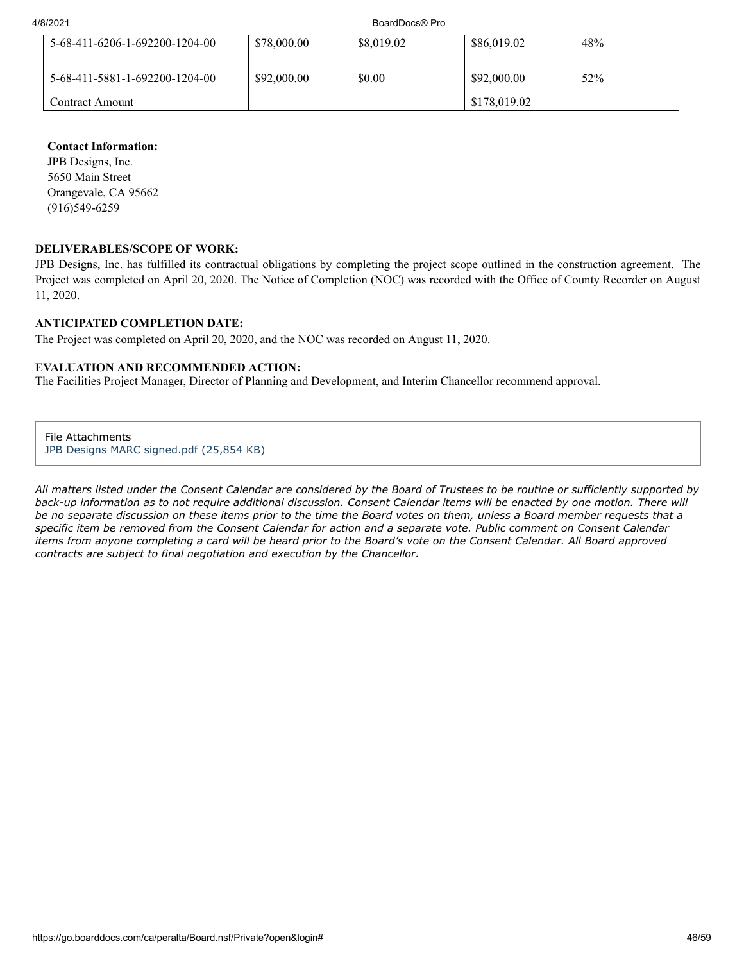4/8/2021 BoardDocs® Pro

| 5-68-411-6206-1-692200-1204-00 | \$78,000.00 | \$8,019.02 | \$86,019.02  | 48% |
|--------------------------------|-------------|------------|--------------|-----|
| 5-68-411-5881-1-692200-1204-00 | \$92,000.00 | \$0.00     | \$92,000.00  | 52% |
| Contract Amount                |             |            | \$178,019.02 |     |

#### **Contact Information:**

JPB Designs, Inc. 5650 Main Street Orangevale, CA 95662 (916)549-6259

#### **DELIVERABLES/SCOPE OF WORK:**

JPB Designs, Inc. has fulfilled its contractual obligations by completing the project scope outlined in the construction agreement. The Project was completed on April 20, 2020. The Notice of Completion (NOC) was recorded with the Office of County Recorder on August 11, 2020.

#### **ANTICIPATED COMPLETION DATE:**

The Project was completed on April 20, 2020, and the NOC was recorded on August 11, 2020.

#### **EVALUATION AND RECOMMENDED ACTION:**

The Facilities Project Manager, Director of Planning and Development, and Interim Chancellor recommend approval.

File Attachments [JPB Designs MARC signed.pdf \(25,854 KB\)](https://go.boarddocs.com/ca/peralta/Board.nsf/files/BZKUQK7D170D/$file/JPB%20Designs%20MARC%20signed.pdf)

*All matters listed under the Consent Calendar are considered by the Board of Trustees to be routine or sufficiently supported by back-up information as to not require additional discussion. Consent Calendar items will be enacted by one motion. There will be no separate discussion on these items prior to the time the Board votes on them, unless a Board member requests that a specific item be removed from the Consent Calendar for action and a separate vote. Public comment on Consent Calendar items from anyone completing a card will be heard prior to the Board's vote on the Consent Calendar. All Board approved contracts are subject to final negotiation and execution by the Chancellor.*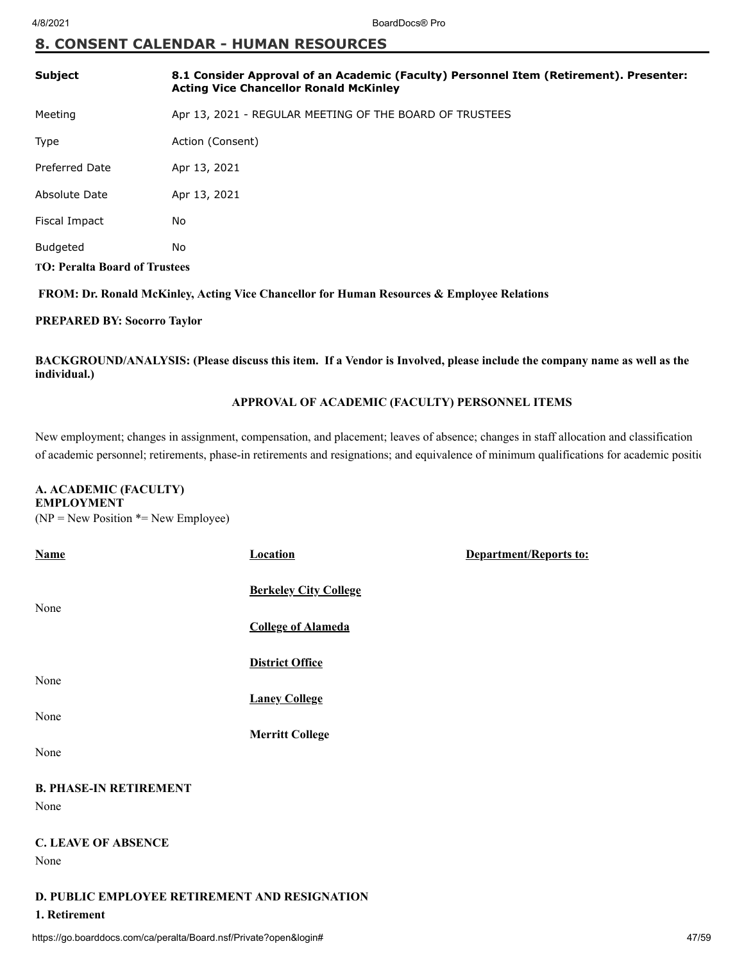## **8. CONSENT CALENDAR - HUMAN RESOURCES**

| <b>Subject</b>                       | 8.1 Consider Approval of an Academic (Faculty) Personnel Item (Retirement). Presenter:<br><b>Acting Vice Chancellor Ronald McKinley</b> |  |
|--------------------------------------|-----------------------------------------------------------------------------------------------------------------------------------------|--|
| Meeting                              | Apr 13, 2021 - REGULAR MEETING OF THE BOARD OF TRUSTEES                                                                                 |  |
| Type                                 | Action (Consent)                                                                                                                        |  |
| <b>Preferred Date</b>                | Apr 13, 2021                                                                                                                            |  |
| Absolute Date                        | Apr 13, 2021                                                                                                                            |  |
| Fiscal Impact                        | No                                                                                                                                      |  |
| <b>Budgeted</b>                      | No                                                                                                                                      |  |
| <b>TO: Peralta Board of Trustees</b> |                                                                                                                                         |  |

 **FROM: Dr. Ronald McKinley, Acting Vice Chancellor for Human Resources & Employee Relations**

#### **PREPARED BY: Socorro Taylor**

**BACKGROUND/ANALYSIS: (Please discuss this item. If a Vendor is Involved, please include the company name as well as the individual.)**

## **APPROVAL OF ACADEMIC (FACULTY) PERSONNEL ITEMS**

New employment; changes in assignment, compensation, and placement; leaves of absence; changes in staff allocation and classification of academic personnel; retirements, phase-in retirements and resignations; and equivalence of minimum qualifications for academic positio

#### **A. ACADEMIC (FACULTY) EMPLOYMENT**

 $(NP = New Position * = New Employee)$ 

| <b>Name</b>                                   | <b>Location</b>              | <b>Department/Reports to:</b> |
|-----------------------------------------------|------------------------------|-------------------------------|
| None                                          | <b>Berkeley City College</b> |                               |
|                                               | <b>College of Alameda</b>    |                               |
|                                               | <b>District Office</b>       |                               |
| None                                          | <b>Laney College</b>         |                               |
| None                                          |                              |                               |
|                                               | <b>Merritt College</b>       |                               |
| None                                          |                              |                               |
| <b>B. PHASE-IN RETIREMENT</b>                 |                              |                               |
| None                                          |                              |                               |
| <b>C. LEAVE OF ABSENCE</b>                    |                              |                               |
| None                                          |                              |                               |
| D. PUBLIC EMPLOYEE RETIREMENT AND RESIGNATION |                              |                               |
| 1. Retirement                                 |                              |                               |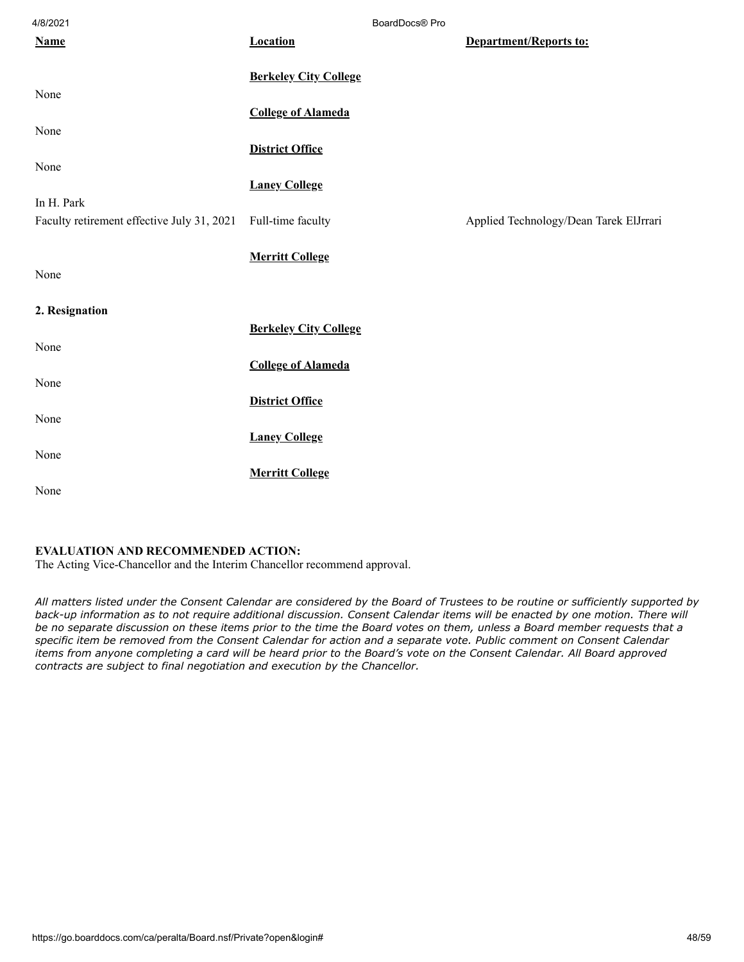| 4/8/2021                                   |                              | BoardDocs® Pro |                                        |
|--------------------------------------------|------------------------------|----------------|----------------------------------------|
| <b>Name</b>                                | <b>Location</b>              |                | Department/Reports to:                 |
|                                            | <b>Berkeley City College</b> |                |                                        |
| None                                       |                              |                |                                        |
|                                            | <b>College of Alameda</b>    |                |                                        |
| None                                       | <b>District Office</b>       |                |                                        |
| None                                       |                              |                |                                        |
|                                            | <b>Laney College</b>         |                |                                        |
| In H. Park                                 |                              |                |                                        |
| Faculty retirement effective July 31, 2021 | Full-time faculty            |                | Applied Technology/Dean Tarek ElJrrari |
|                                            | <b>Merritt College</b>       |                |                                        |
| None                                       |                              |                |                                        |
| 2. Resignation                             |                              |                |                                        |
|                                            | <b>Berkeley City College</b> |                |                                        |
| None                                       |                              |                |                                        |
|                                            | <b>College of Alameda</b>    |                |                                        |
| None                                       |                              |                |                                        |
|                                            | <b>District Office</b>       |                |                                        |
| None                                       |                              |                |                                        |
| None                                       | <b>Laney College</b>         |                |                                        |
|                                            | <b>Merritt College</b>       |                |                                        |
| None                                       |                              |                |                                        |

#### **EVALUATION AND RECOMMENDED ACTION:**

The Acting Vice-Chancellor and the Interim Chancellor recommend approval.

*All matters listed under the Consent Calendar are considered by the Board of Trustees to be routine or sufficiently supported by back-up information as to not require additional discussion. Consent Calendar items will be enacted by one motion. There will be no separate discussion on these items prior to the time the Board votes on them, unless a Board member requests that a specific item be removed from the Consent Calendar for action and a separate vote. Public comment on Consent Calendar items from anyone completing a card will be heard prior to the Board's vote on the Consent Calendar. All Board approved contracts are subject to final negotiation and execution by the Chancellor.*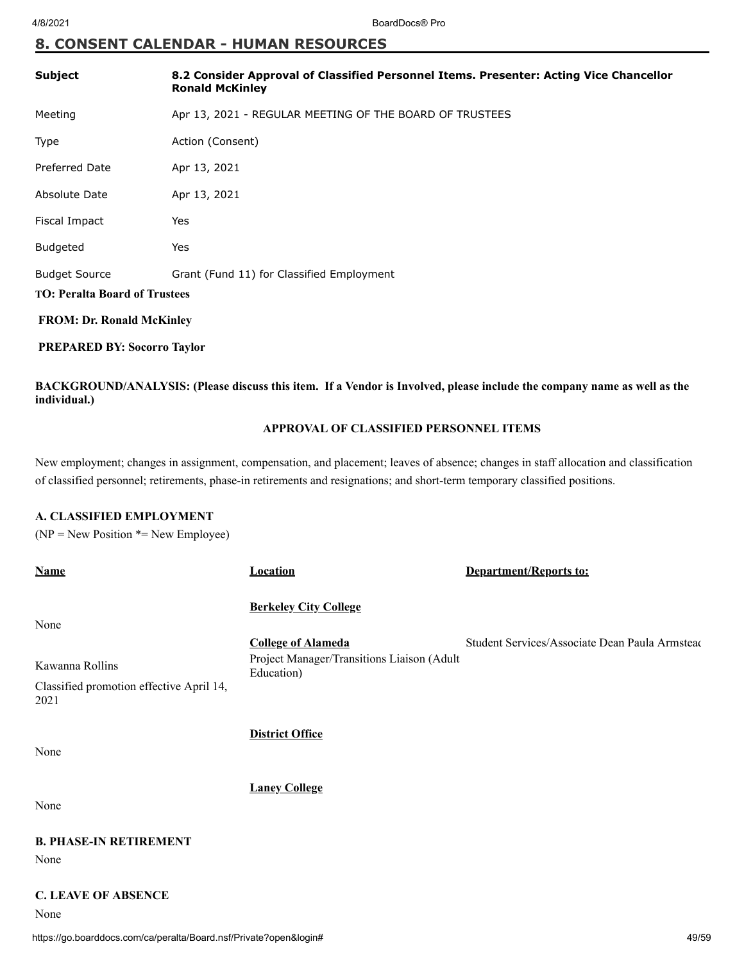## **8. CONSENT CALENDAR - HUMAN RESOURCES**

| Subject                              | 8.2 Consider Approval of Classified Personnel Items. Presenter: Acting Vice Chancellor<br><b>Ronald McKinley</b> |
|--------------------------------------|------------------------------------------------------------------------------------------------------------------|
| Meeting                              | Apr 13, 2021 - REGULAR MEETING OF THE BOARD OF TRUSTEES                                                          |
| Type                                 | Action (Consent)                                                                                                 |
| <b>Preferred Date</b>                | Apr 13, 2021                                                                                                     |
| Absolute Date                        | Apr 13, 2021                                                                                                     |
| Fiscal Impact                        | Yes                                                                                                              |
| <b>Budgeted</b>                      | Yes                                                                                                              |
| <b>Budget Source</b>                 | Grant (Fund 11) for Classified Employment                                                                        |
| <b>TO: Peralta Board of Trustees</b> |                                                                                                                  |
| <b>FROM: Dr. Ronald McKinley</b>     |                                                                                                                  |
| <b>PREPARED BY: Socorro Taylor</b>   |                                                                                                                  |

**BACKGROUND/ANALYSIS: (Please discuss this item. If a Vendor is Involved, please include the company name as well as the individual.)**

### **APPROVAL OF CLASSIFIED PERSONNEL ITEMS**

New employment; changes in assignment, compensation, and placement; leaves of absence; changes in staff allocation and classification of classified personnel; retirements, phase-in retirements and resignations; and short-term temporary classified positions.

#### **A. CLASSIFIED EMPLOYMENT**

 $(NP = New Position * = New Employee)$ 

| <b>Name</b>                                      | <b>Location</b>                                          | Department/Reports to:                         |
|--------------------------------------------------|----------------------------------------------------------|------------------------------------------------|
|                                                  | <b>Berkeley City College</b>                             |                                                |
| None                                             |                                                          |                                                |
|                                                  | <b>College of Alameda</b>                                | Student Services/Associate Dean Paula Armsteac |
| Kawanna Rollins                                  | Project Manager/Transitions Liaison (Adult<br>Education) |                                                |
| Classified promotion effective April 14,<br>2021 |                                                          |                                                |
|                                                  | <b>District Office</b>                                   |                                                |
| None                                             |                                                          |                                                |
|                                                  | <b>Laney College</b>                                     |                                                |
| None                                             |                                                          |                                                |
| <b>B. PHASE-IN RETIREMENT</b>                    |                                                          |                                                |
| None                                             |                                                          |                                                |
|                                                  |                                                          |                                                |

## **C. LEAVE OF ABSENCE**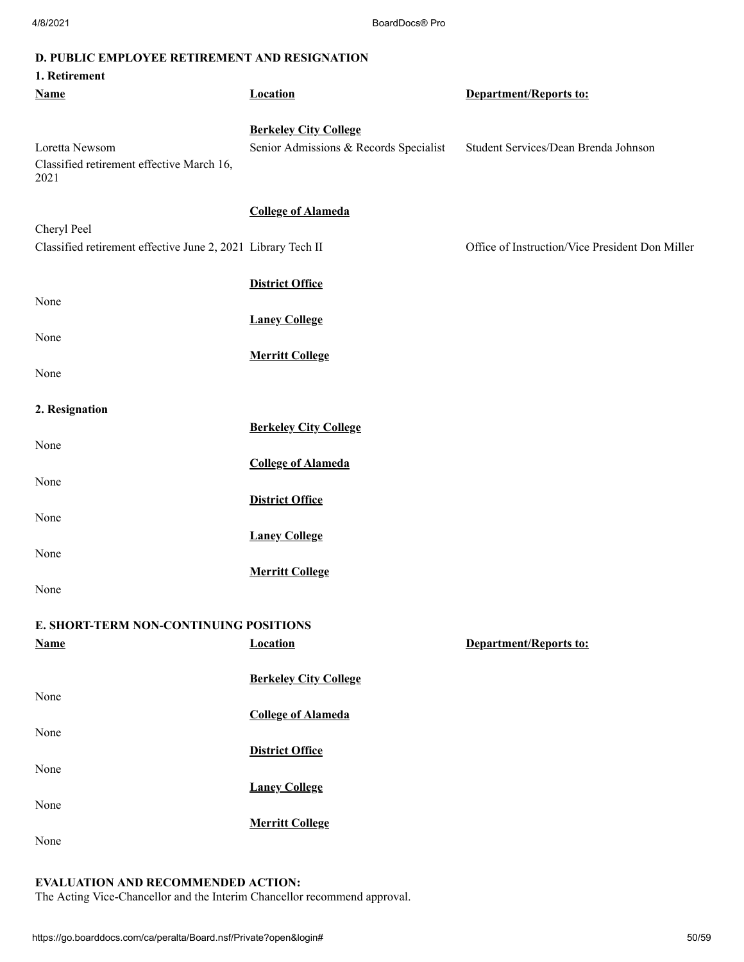|  |  |  |  |  |  |  | D. PUBLIC EMPLOYEE RETIREMENT AND RESIGNATION |
|--|--|--|--|--|--|--|-----------------------------------------------|
|--|--|--|--|--|--|--|-----------------------------------------------|

| 1. Retirement                                                       |                                                                        |                                                 |
|---------------------------------------------------------------------|------------------------------------------------------------------------|-------------------------------------------------|
| <b>Name</b>                                                         | <b>Location</b>                                                        | <b>Department/Reports to:</b>                   |
| Loretta Newsom<br>Classified retirement effective March 16,<br>2021 | <b>Berkeley City College</b><br>Senior Admissions & Records Specialist | Student Services/Dean Brenda Johnson            |
| Cheryl Peel                                                         | <b>College of Alameda</b>                                              |                                                 |
| Classified retirement effective June 2, 2021 Library Tech II        |                                                                        | Office of Instruction/Vice President Don Miller |
| None                                                                | <b>District Office</b>                                                 |                                                 |
|                                                                     | <b>Laney College</b>                                                   |                                                 |
| None<br>None                                                        | <b>Merritt College</b>                                                 |                                                 |
|                                                                     |                                                                        |                                                 |
| 2. Resignation                                                      |                                                                        |                                                 |
|                                                                     | <b>Berkeley City College</b>                                           |                                                 |
| None<br>None                                                        | <b>College of Alameda</b>                                              |                                                 |
|                                                                     | <b>District Office</b>                                                 |                                                 |
| None                                                                | <b>Laney College</b>                                                   |                                                 |
| None                                                                |                                                                        |                                                 |
| None                                                                | <b>Merritt College</b>                                                 |                                                 |
| E. SHORT-TERM NON-CONTINUING POSITIONS                              |                                                                        |                                                 |
| <b>Name</b>                                                         | <b>Location</b>                                                        | <b>Department/Reports to:</b>                   |
| None                                                                | <b>Berkeley City College</b>                                           |                                                 |
|                                                                     | <b>College of Alameda</b>                                              |                                                 |
| None                                                                |                                                                        |                                                 |
|                                                                     | <b>District Office</b>                                                 |                                                 |
| None                                                                |                                                                        |                                                 |
| None                                                                | <b>Laney College</b><br><b>Merritt College</b>                         |                                                 |
| None                                                                |                                                                        |                                                 |

## **EVALUATION AND RECOMMENDED ACTION:**

The Acting Vice-Chancellor and the Interim Chancellor recommend approval.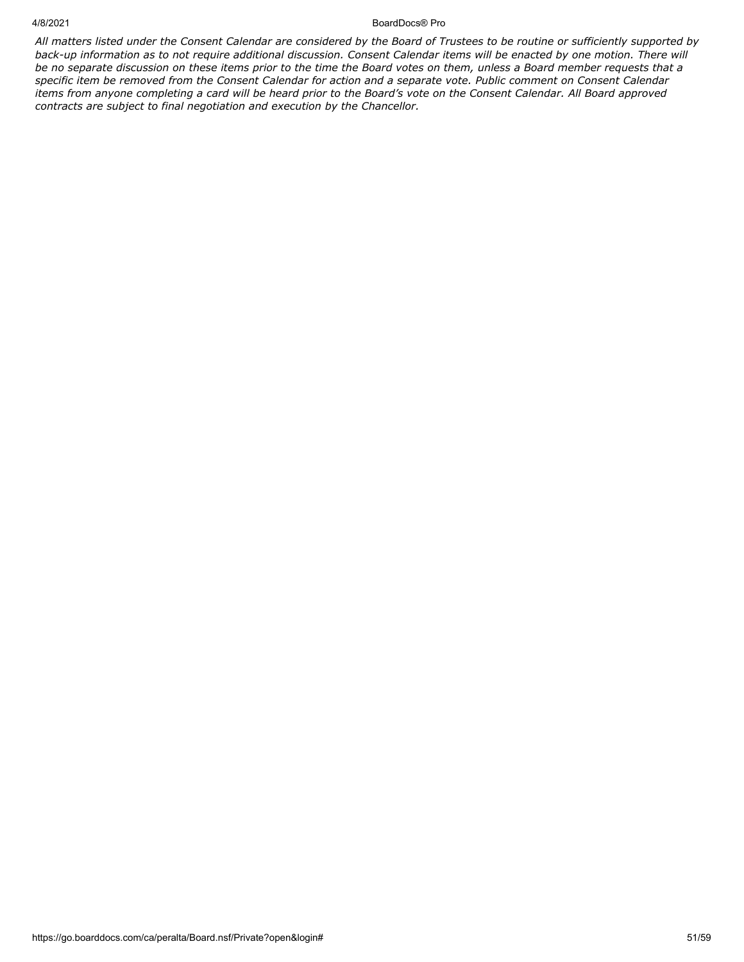#### 4/8/2021 BoardDocs® Pro

*All matters listed under the Consent Calendar are considered by the Board of Trustees to be routine or sufficiently supported by back-up information as to not require additional discussion. Consent Calendar items will be enacted by one motion. There will be no separate discussion on these items prior to the time the Board votes on them, unless a Board member requests that a specific item be removed from the Consent Calendar for action and a separate vote. Public comment on Consent Calendar items from anyone completing a card will be heard prior to the Board's vote on the Consent Calendar. All Board approved contracts are subject to final negotiation and execution by the Chancellor.*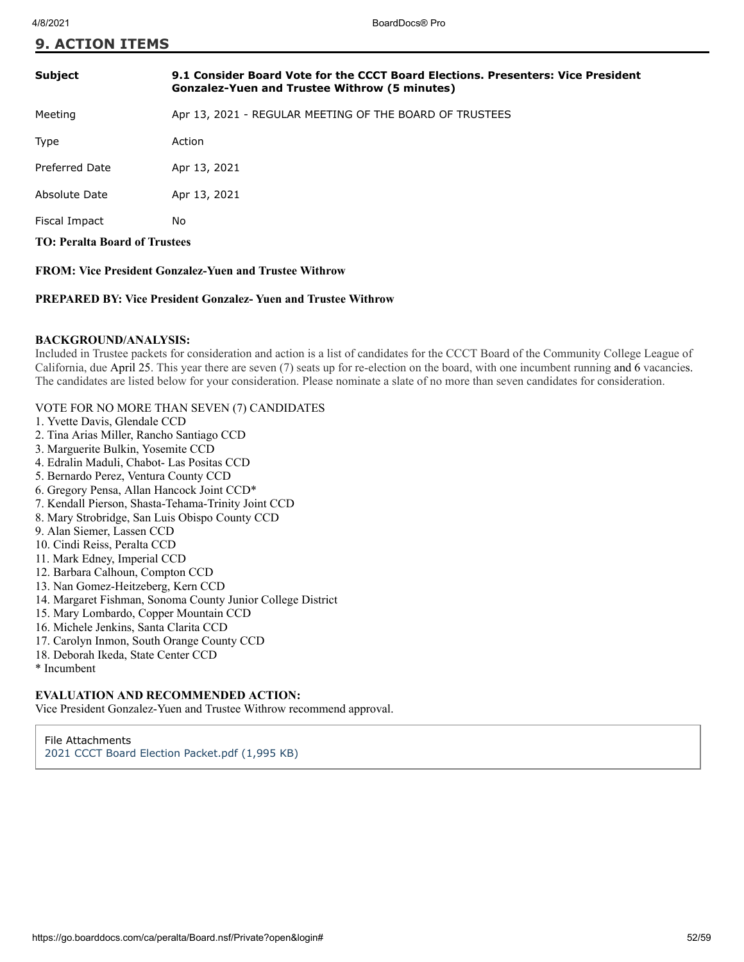#### **9. ACTION ITEMS**

| <b>Subject</b>                       | 9.1 Consider Board Vote for the CCCT Board Elections. Presenters: Vice President<br><b>Gonzalez-Yuen and Trustee Withrow (5 minutes)</b>                                                                                                                                                                                         |
|--------------------------------------|----------------------------------------------------------------------------------------------------------------------------------------------------------------------------------------------------------------------------------------------------------------------------------------------------------------------------------|
| Meeting                              | Apr 13, 2021 - REGULAR MEETING OF THE BOARD OF TRUSTEES                                                                                                                                                                                                                                                                          |
| <b>Type</b>                          | Action                                                                                                                                                                                                                                                                                                                           |
| Preferred Date                       | Apr 13, 2021                                                                                                                                                                                                                                                                                                                     |
| Absolute Date                        | Apr 13, 2021                                                                                                                                                                                                                                                                                                                     |
| Fiscal Impact                        | No.                                                                                                                                                                                                                                                                                                                              |
| <b>TO: Peralta Board of Trustees</b> |                                                                                                                                                                                                                                                                                                                                  |
|                                      | $FDMW''$ $\mathbf{D}$ $\mathbf{D}$ $\mathbf{D}$ $\mathbf{D}$ $\mathbf{D}$ $\mathbf{D}$ $\mathbf{D}$ $\mathbf{D}$ $\mathbf{D}$ $\mathbf{D}$ $\mathbf{D}$ $\mathbf{D}$ $\mathbf{D}$ $\mathbf{D}$ $\mathbf{D}$ $\mathbf{D}$ $\mathbf{D}$ $\mathbf{D}$ $\mathbf{D}$ $\mathbf{D}$ $\mathbf{D}$ $\mathbf{D}$ $\mathbf{D}$ $\mathbf{D}$ |

**FROM: Vice President Gonzalez-Yuen and Trustee Withrow**

#### **PREPARED BY: Vice President Gonzalez- Yuen and Trustee Withrow**

#### **BACKGROUND/ANALYSIS:**

Included in Trustee packets for consideration and action is a list of candidates for the CCCT Board of the Community College League of California, due April 25. This year there are seven (7) seats up for re-election on the board, with one incumbent running and 6 vacancies. The candidates are listed below for your consideration. Please nominate a slate of no more than seven candidates for consideration.

#### VOTE FOR NO MORE THAN SEVEN (7) CANDIDATES

- 1. Yvette Davis, Glendale CCD
- 2. Tina Arias Miller, Rancho Santiago CCD
- 3. Marguerite Bulkin, Yosemite CCD
- 4. Edralin Maduli, Chabot- Las Positas CCD
- 5. Bernardo Perez, Ventura County CCD
- 6. Gregory Pensa, Allan Hancock Joint CCD\*
- 7. Kendall Pierson, Shasta-Tehama-Trinity Joint CCD
- 8. Mary Strobridge, San Luis Obispo County CCD
- 9. Alan Siemer, Lassen CCD
- 10. Cindi Reiss, Peralta CCD
- 11. Mark Edney, Imperial CCD
- 12. Barbara Calhoun, Compton CCD
- 13. Nan Gomez-Heitzeberg, Kern CCD
- 14. Margaret Fishman, Sonoma County Junior College District
- 15. Mary Lombardo, Copper Mountain CCD
- 16. Michele Jenkins, Santa Clarita CCD
- 17. Carolyn Inmon, South Orange County CCD
- 18. Deborah Ikeda, State Center CCD
- \* Incumbent

#### **EVALUATION AND RECOMMENDED ACTION:**

Vice President Gonzalez-Yuen and Trustee Withrow recommend approval.

File Attachments [2021 CCCT Board Election Packet.pdf \(1,995 KB\)](https://go.boarddocs.com/ca/peralta/Board.nsf/files/BZTFVM40FA6D/$file/2021%20CCCT%20Board%20Election%20Packet.pdf)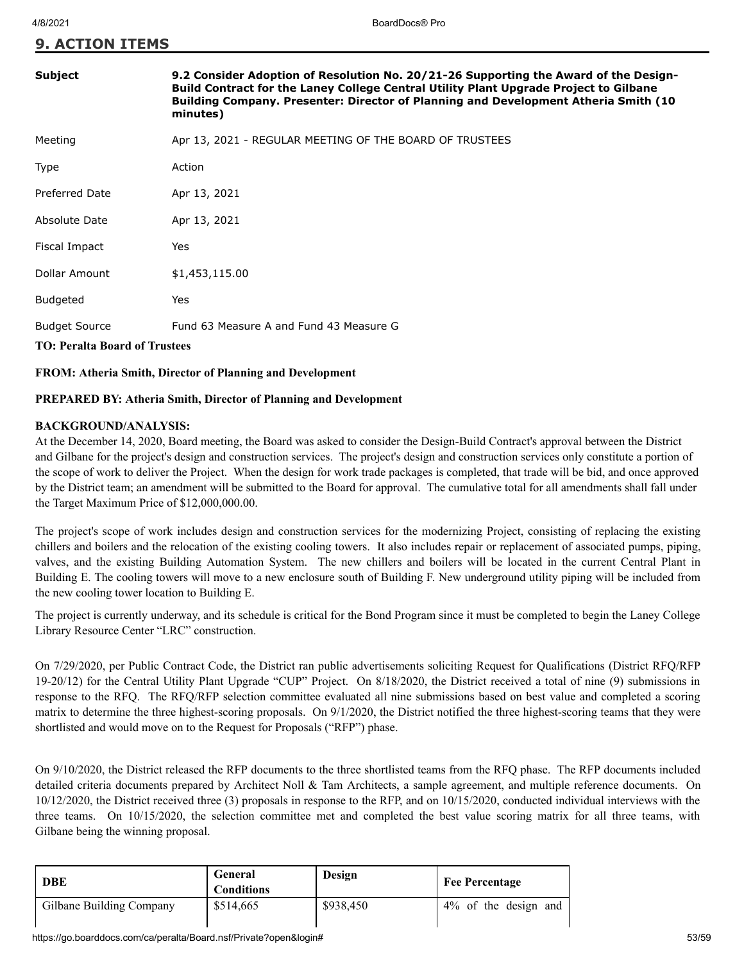#### **9. ACTION ITEMS**

| <b>Subject</b>                                               | 9.2 Consider Adoption of Resolution No. 20/21-26 Supporting the Award of the Design-<br>Build Contract for the Laney College Central Utility Plant Upgrade Project to Gilbane<br><b>Building Company. Presenter: Director of Planning and Development Atheria Smith (10</b><br>minutes) |
|--------------------------------------------------------------|-----------------------------------------------------------------------------------------------------------------------------------------------------------------------------------------------------------------------------------------------------------------------------------------|
| Meeting                                                      | Apr 13, 2021 - REGULAR MEETING OF THE BOARD OF TRUSTEES                                                                                                                                                                                                                                 |
| Type                                                         | Action                                                                                                                                                                                                                                                                                  |
| Preferred Date                                               | Apr 13, 2021                                                                                                                                                                                                                                                                            |
| Absolute Date                                                | Apr 13, 2021                                                                                                                                                                                                                                                                            |
| Fiscal Impact                                                | Yes                                                                                                                                                                                                                                                                                     |
| Dollar Amount                                                | \$1,453,115.00                                                                                                                                                                                                                                                                          |
| <b>Budgeted</b>                                              | Yes                                                                                                                                                                                                                                                                                     |
| <b>Budget Source</b><br><b>TO: Peralta Board of Trustees</b> | Fund 63 Measure A and Fund 43 Measure G                                                                                                                                                                                                                                                 |

#### **FROM: Atheria Smith, Director of Planning and Development**

#### **PREPARED BY: Atheria Smith, Director of Planning and Development**

#### **BACKGROUND/ANALYSIS:**

At the December 14, 2020, Board meeting, the Board was asked to consider the Design-Build Contract's approval between the District and Gilbane for the project's design and construction services. The project's design and construction services only constitute a portion of the scope of work to deliver the Project. When the design for work trade packages is completed, that trade will be bid, and once approved by the District team; an amendment will be submitted to the Board for approval. The cumulative total for all amendments shall fall under the Target Maximum Price of \$12,000,000.00.

The project's scope of work includes design and construction services for the modernizing Project, consisting of replacing the existing chillers and boilers and the relocation of the existing cooling towers. It also includes repair or replacement of associated pumps, piping, valves, and the existing Building Automation System. The new chillers and boilers will be located in the current Central Plant in Building E. The cooling towers will move to a new enclosure south of Building F. New underground utility piping will be included from the new cooling tower location to Building E.

The project is currently underway, and its schedule is critical for the Bond Program since it must be completed to begin the Laney College Library Resource Center "LRC" construction.

On 7/29/2020, per Public Contract Code, the District ran public advertisements soliciting Request for Qualifications (District RFQ/RFP 19-20/12) for the Central Utility Plant Upgrade "CUP" Project. On 8/18/2020, the District received a total of nine (9) submissions in response to the RFQ. The RFQ/RFP selection committee evaluated all nine submissions based on best value and completed a scoring matrix to determine the three highest-scoring proposals. On 9/1/2020, the District notified the three highest-scoring teams that they were shortlisted and would move on to the Request for Proposals ("RFP") phase.

On 9/10/2020, the District released the RFP documents to the three shortlisted teams from the RFQ phase. The RFP documents included detailed criteria documents prepared by Architect Noll & Tam Architects, a sample agreement, and multiple reference documents. On 10/12/2020, the District received three (3) proposals in response to the RFP, and on 10/15/2020, conducted individual interviews with the three teams. On 10/15/2020, the selection committee met and completed the best value scoring matrix for all three teams, with Gilbane being the winning proposal.

| <b>DBE</b>               | General<br><b>Conditions</b> | Design    | <b>Fee Percentage</b> |
|--------------------------|------------------------------|-----------|-----------------------|
| Gilbane Building Company | \$514,665                    | \$938,450 | 4% of the design and  |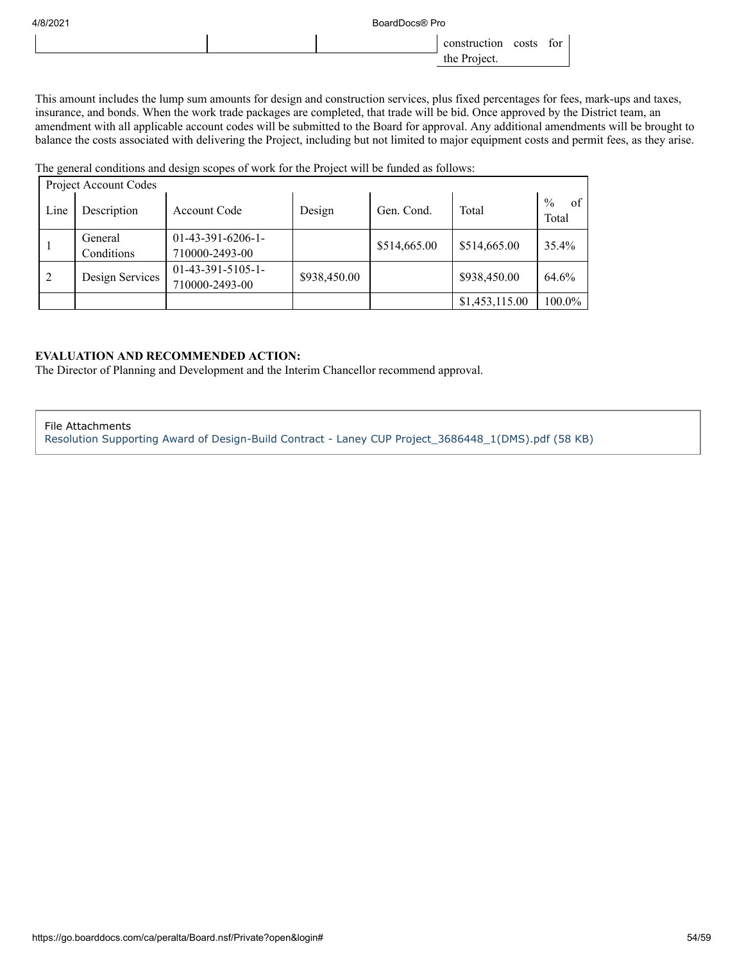| 4/8/2021 | BoardDocs® Pro |              |       |     |
|----------|----------------|--------------|-------|-----|
|          |                | construction | costs | for |
|          |                | the Project. |       |     |

This amount includes the lump sum amounts for design and construction services, plus fixed percentages for fees, mark-ups and taxes, insurance, and bonds. When the work trade packages are completed, that trade will be bid. Once approved by the District team, an amendment with all applicable account codes will be submitted to the Board for approval. Any additional amendments will be brought to balance the costs associated with delivering the Project, including but not limited to major equipment costs and permit fees, as they arise.

The general conditions and design scopes of work for the Project will be funded as follows:

|      | Project Account Codes |                                       |              |              |                |                              |
|------|-----------------------|---------------------------------------|--------------|--------------|----------------|------------------------------|
| Line | Description           | Account Code                          | Design       | Gen. Cond.   | Total          | $\frac{0}{0}$<br>of<br>Total |
|      | General<br>Conditions | $01-43-391-6206-1-$<br>710000-2493-00 |              | \$514,665.00 | \$514,665.00   | 35.4%                        |
| 2    | Design Services       | $01-43-391-5105-1-$<br>710000-2493-00 | \$938,450.00 |              | \$938,450.00   | 64.6%                        |
|      |                       |                                       |              |              | \$1,453,115.00 | 100.0%                       |

#### **EVALUATION AND RECOMMENDED ACTION:**

The Director of Planning and Development and the Interim Chancellor recommend approval.

#### File Attachments

[Resolution Supporting Award of Design-Build Contract - Laney CUP Project\\_3686448\\_1\(DMS\).pdf \(58 KB\)](https://go.boarddocs.com/ca/peralta/Board.nsf/files/BZDUFV7BE701/$file/Resolution%20Supporting%20Award%20of%20Design-Build%20Contract%20-%20Laney%20CUP%20Project_3686448_1(DMS).pdf)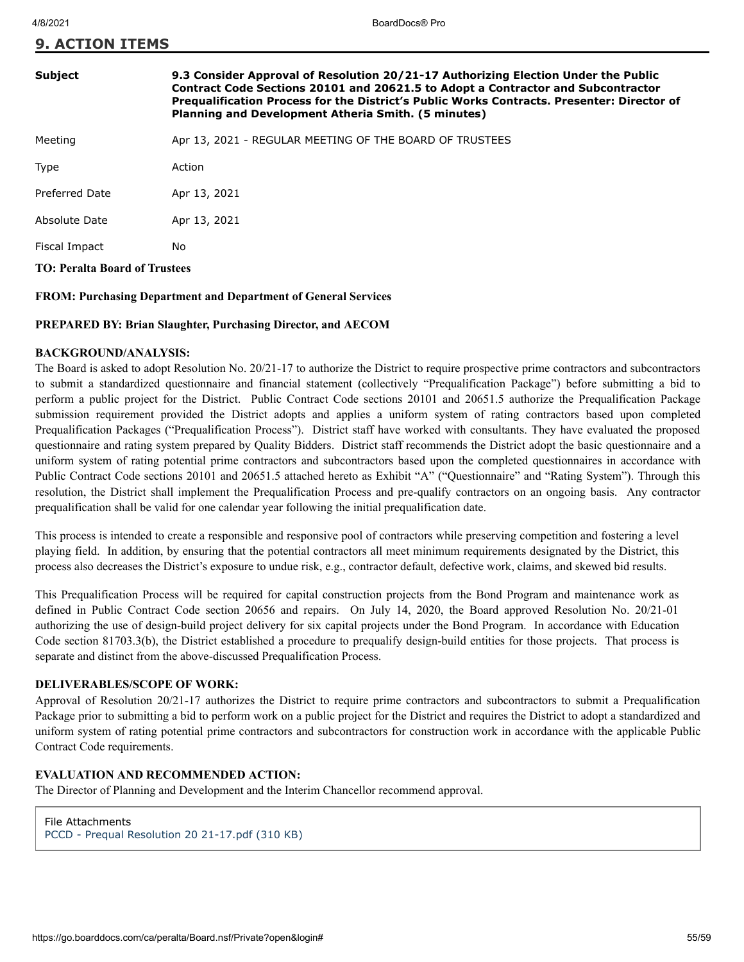| <b>9. ACTION ITEMS</b> |  |
|------------------------|--|
|------------------------|--|

#### **Subject 9.3 Consider Approval of Resolution 20/21-17 Authorizing Election Under the Public Contract Code Sections 20101 and 20621.5 to Adopt a Contractor and Subcontractor Prequalification Process for the District's Public Works Contracts. Presenter: Director of Planning and Development Atheria Smith. (5 minutes)**

Meeting **Apr 13, 2021 - REGULAR MEETING OF THE BOARD OF TRUSTEES** 

Type **Action** Preferred Date Apr 13, 2021 Absolute Date Apr 13, 2021

Fiscal Impact No

**TO: Peralta Board of Trustees**

#### **FROM: Purchasing Department and Department of General Services**

#### **PREPARED BY: Brian Slaughter, Purchasing Director, and AECOM**

#### **BACKGROUND/ANALYSIS:**

The Board is asked to adopt Resolution No. 20/21-17 to authorize the District to require prospective prime contractors and subcontractors to submit a standardized questionnaire and financial statement (collectively "Prequalification Package") before submitting a bid to perform a public project for the District. Public Contract Code sections 20101 and 20651.5 authorize the Prequalification Package submission requirement provided the District adopts and applies a uniform system of rating contractors based upon completed Prequalification Packages ("Prequalification Process"). District staff have worked with consultants. They have evaluated the proposed questionnaire and rating system prepared by Quality Bidders. District staff recommends the District adopt the basic questionnaire and a uniform system of rating potential prime contractors and subcontractors based upon the completed questionnaires in accordance with Public Contract Code sections 20101 and 20651.5 attached hereto as Exhibit "A" ("Questionnaire" and "Rating System"). Through this resolution, the District shall implement the Prequalification Process and pre-qualify contractors on an ongoing basis. Any contractor prequalification shall be valid for one calendar year following the initial prequalification date.

This process is intended to create a responsible and responsive pool of contractors while preserving competition and fostering a level playing field. In addition, by ensuring that the potential contractors all meet minimum requirements designated by the District, this process also decreases the District's exposure to undue risk, e.g., contractor default, defective work, claims, and skewed bid results.

This Prequalification Process will be required for capital construction projects from the Bond Program and maintenance work as defined in Public Contract Code section 20656 and repairs. On July 14, 2020, the Board approved Resolution No. 20/21-01 authorizing the use of design-build project delivery for six capital projects under the Bond Program. In accordance with Education Code section 81703.3(b), the District established a procedure to prequalify design-build entities for those projects. That process is separate and distinct from the above-discussed Prequalification Process.

#### **DELIVERABLES/SCOPE OF WORK:**

Approval of Resolution 20/21-17 authorizes the District to require prime contractors and subcontractors to submit a Prequalification Package prior to submitting a bid to perform work on a public project for the District and requires the District to adopt a standardized and uniform system of rating potential prime contractors and subcontractors for construction work in accordance with the applicable Public Contract Code requirements.

#### **EVALUATION AND RECOMMENDED ACTION:**

The Director of Planning and Development and the Interim Chancellor recommend approval.

File Attachments [PCCD - Prequal Resolution 20 21-17.pdf \(310 KB\)](https://go.boarddocs.com/ca/peralta/Board.nsf/files/BZLT55742859/$file/PCCD%20-%20Prequal%20Resolution%2020%2021-17.pdf)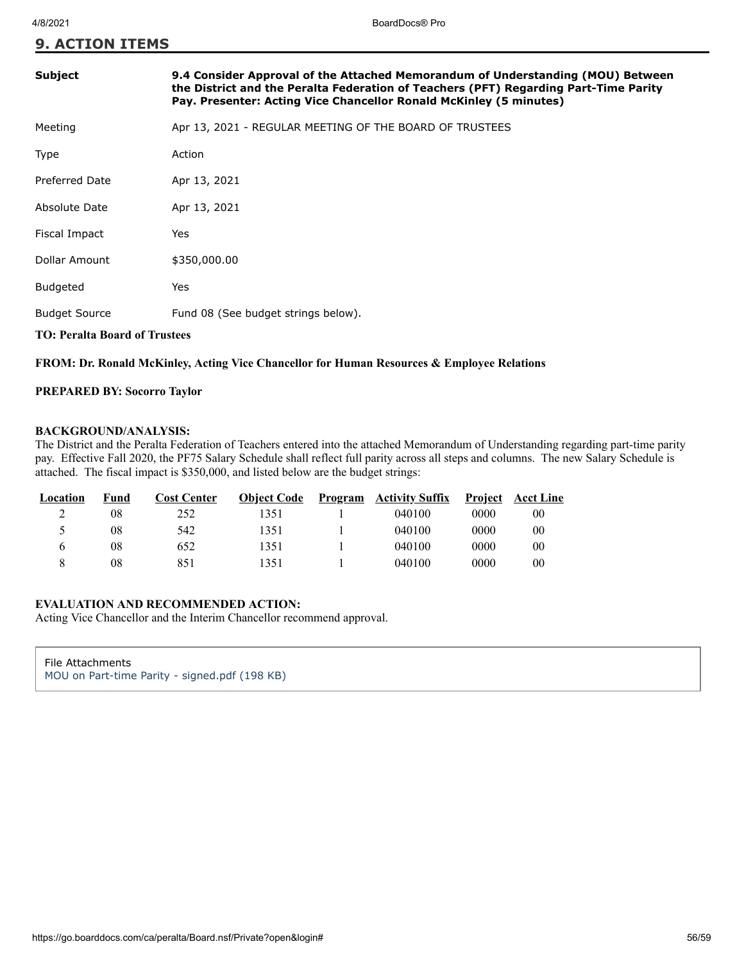## **9. ACTION ITEMS**

## **Subject 9.4 Consider Approval of the Attached Memorandum of Understanding (MOU) Between the District and the Peralta Federation of Teachers (PFT) Regarding Part-Time Parity Pay. Presenter: Acting Vice Chancellor Ronald McKinley (5 minutes)**

| Apr 13, 2021 - REGULAR MEETING OF THE BOARD OF TRUSTEES<br>Meeting |
|--------------------------------------------------------------------|
|--------------------------------------------------------------------|

| Type                  | Action                              |
|-----------------------|-------------------------------------|
| <b>Preferred Date</b> | Apr 13, 2021                        |
| Absolute Date         | Apr 13, 2021                        |
| Fiscal Impact         | Yes                                 |
| Dollar Amount         | \$350,000.00                        |
| Budgeted              | Yes                                 |
| <b>Budget Source</b>  | Fund 08 (See budget strings below). |

### **TO: Peralta Board of Trustees**

#### **FROM: Dr. Ronald McKinley, Acting Vice Chancellor for Human Resources & Employee Relations**

#### **PREPARED BY: Socorro Taylor**

#### **BACKGROUND/ANALYSIS:**

The District and the Peralta Federation of Teachers entered into the attached Memorandum of Understanding regarding part-time parity pay. Effective Fall 2020, the PF75 Salary Schedule shall reflect full parity across all steps and columns. The new Salary Schedule is attached. The fiscal impact is \$350,000, and listed below are the budget strings:

| Location | Fund | <b>Cost Center</b> | <b>Object Code</b> | <u>Program</u> | <b>Activity Suffix</b> |      | <b>Project</b> Acct Line |
|----------|------|--------------------|--------------------|----------------|------------------------|------|--------------------------|
|          | 08   | 252                | 1351               |                | 040100                 | 0000 | 00                       |
|          | 08   | 542                | 1351               |                | 040100                 | 0000 | 00                       |
|          | 08   | 652                | 1351               |                | 040100                 | 0000 | 00                       |
|          | 08   | 851                | 1351               |                | 040100                 | 0000 | 00                       |

### **EVALUATION AND RECOMMENDED ACTION:**

Acting Vice Chancellor and the Interim Chancellor recommend approval.

| File Attachments |                                               |  |
|------------------|-----------------------------------------------|--|
|                  | MOU on Part-time Parity - signed.pdf (198 KB) |  |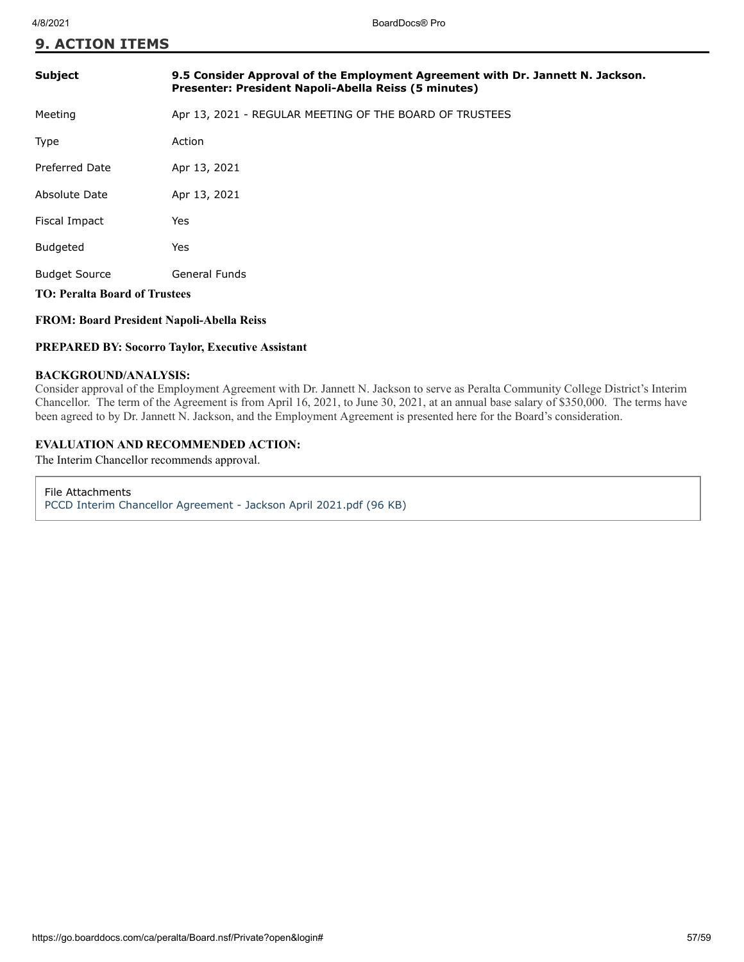## **9. ACTION ITEMS**

| <b>Subject</b>                       | 9.5 Consider Approval of the Employment Agreement with Dr. Jannett N. Jackson.<br>Presenter: President Napoli-Abella Reiss (5 minutes) |  |
|--------------------------------------|----------------------------------------------------------------------------------------------------------------------------------------|--|
| Meeting                              | Apr 13, 2021 - REGULAR MEETING OF THE BOARD OF TRUSTEES                                                                                |  |
| Type                                 | Action                                                                                                                                 |  |
| Preferred Date                       | Apr 13, 2021                                                                                                                           |  |
| Absolute Date                        | Apr 13, 2021                                                                                                                           |  |
| Fiscal Impact                        | Yes                                                                                                                                    |  |
| <b>Budgeted</b>                      | Yes                                                                                                                                    |  |
| <b>Budget Source</b>                 | <b>General Funds</b>                                                                                                                   |  |
| <b>TO: Peralta Board of Trustees</b> |                                                                                                                                        |  |

#### **FROM: Board President Napoli-Abella Reiss**

#### **PREPARED BY: Socorro Taylor, Executive Assistant**

#### **BACKGROUND/ANALYSIS:**

Consider approval of the Employment Agreement with Dr. Jannett N. Jackson to serve as Peralta Community College District's Interim Chancellor. The term of the Agreement is from April 16, 2021, to June 30, 2021, at an annual base salary of \$350,000. The terms have been agreed to by Dr. Jannett N. Jackson, and the Employment Agreement is presented here for the Board's consideration.

## **EVALUATION AND RECOMMENDED ACTION:**

The Interim Chancellor recommends approval.

File Attachments [PCCD Interim Chancellor Agreement - Jackson April 2021.pdf \(96 KB\)](https://go.boarddocs.com/ca/peralta/Board.nsf/files/BZPTBD768E3C/$file/PCCD%20Interim%20Chancellor%20Agreement%20-%20Jackson%20April%202021.pdf)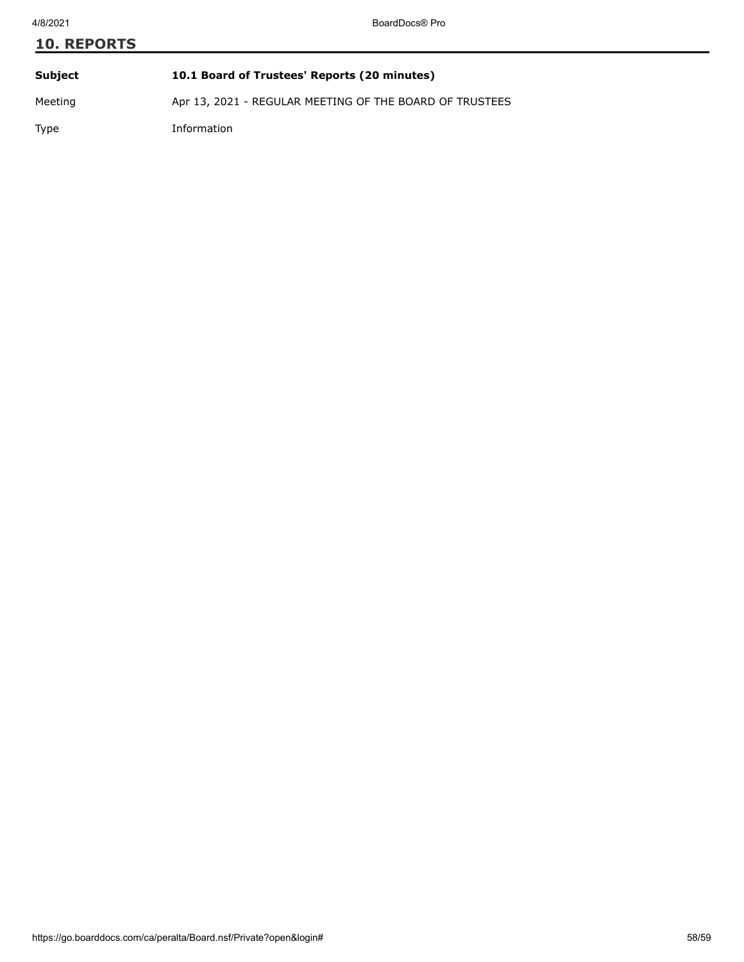# **10. REPORTS Subject 10.1 Board of Trustees' Reports (20 minutes)**

Meeting Apr 13, 2021 - REGULAR MEETING OF THE BOARD OF TRUSTEES

Type Information